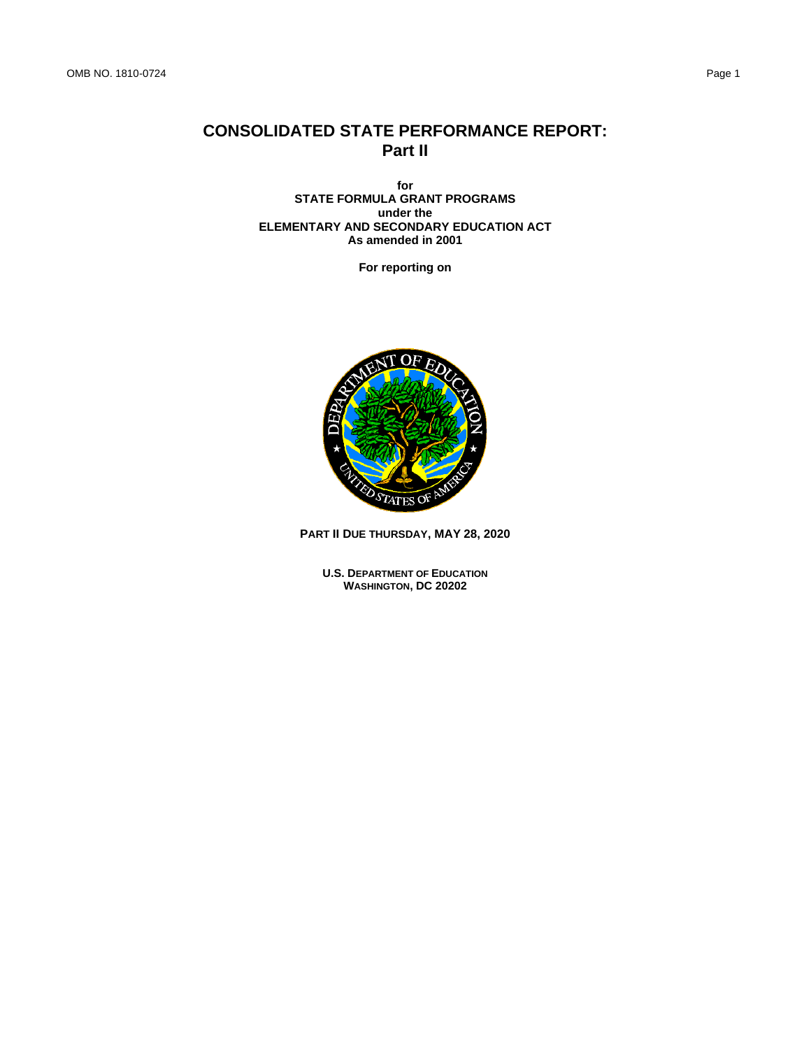# **CONSOLIDATED STATE PERFORMANCE REPORT: Part II**

**for STATE FORMULA GRANT PROGRAMS under the ELEMENTARY AND SECONDARY EDUCATION ACT As amended in 2001**

**For reporting on**



**PART II DUE THURSDAY, MAY 28, 2020**

**U.S. DEPARTMENT OF EDUCATION WASHINGTON, DC 20202**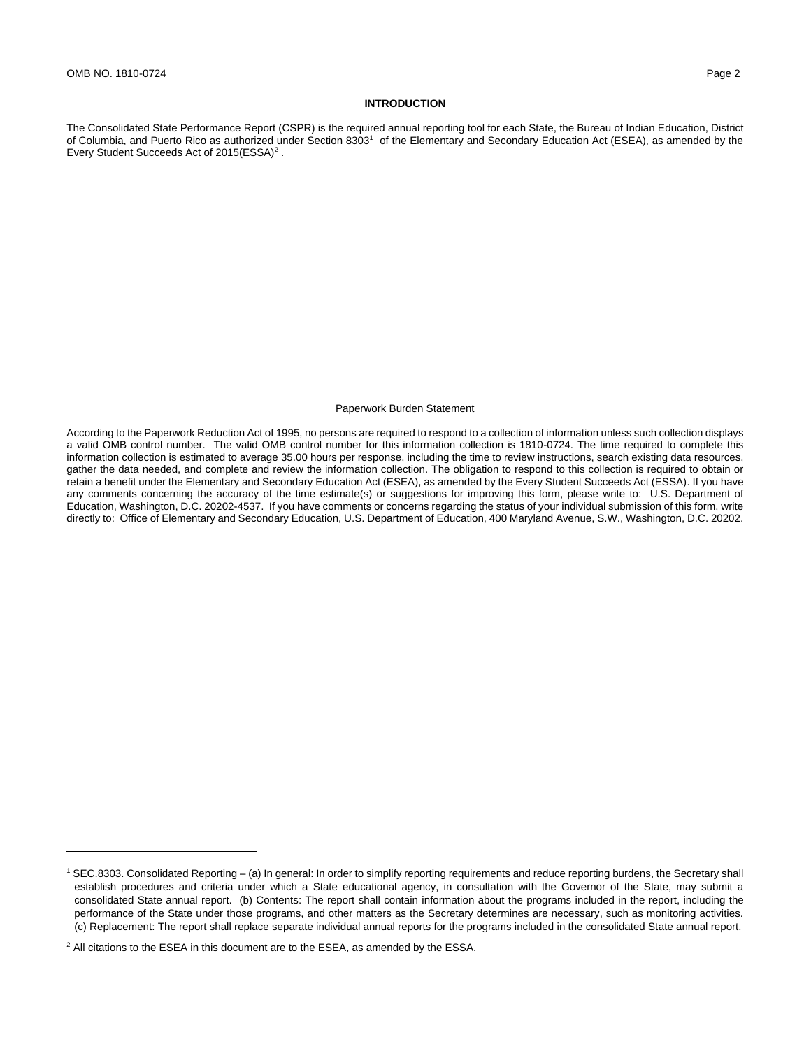## **INTRODUCTION**

The Consolidated State Performance Report (CSPR) is the required annual reporting tool for each State, the Bureau of Indian Education, District of Columbia, and Puerto Rico as authorized under Section 8303<sup>1</sup> of the Elementary and Secondary Education Act (ESEA), as amended by the Every Student Succeeds Act of 2015(ESSA)<sup>2</sup>.

#### Paperwork Burden Statement

According to the Paperwork Reduction Act of 1995, no persons are required to respond to a collection of information unless such collection displays a valid OMB control number. The valid OMB control number for this information collection is 1810-0724. The time required to complete this information collection is estimated to average 35.00 hours per response, including the time to review instructions, search existing data resources, gather the data needed, and complete and review the information collection. The obligation to respond to this collection is required to obtain or retain a benefit under the Elementary and Secondary Education Act (ESEA), as amended by the Every Student Succeeds Act (ESSA). If you have any comments concerning the accuracy of the time estimate(s) or suggestions for improving this form, please write to: U.S. Department of Education, Washington, D.C. 20202-4537. If you have comments or concerns regarding the status of your individual submission of this form, write directly to: Office of Elementary and Secondary Education, U.S. Department of Education, 400 Maryland Avenue, S.W., Washington, D.C. 20202.

<sup>1</sup> SEC.8303. Consolidated Reporting – (a) In general: In order to simplify reporting requirements and reduce reporting burdens, the Secretary shall establish procedures and criteria under which a State educational agency, in consultation with the Governor of the State, may submit a consolidated State annual report. (b) Contents: The report shall contain information about the programs included in the report, including the performance of the State under those programs, and other matters as the Secretary determines are necessary, such as monitoring activities. (c) Replacement: The report shall replace separate individual annual reports for the programs included in the consolidated State annual report.

<sup>&</sup>lt;sup>2</sup> All citations to the ESEA in this document are to the ESEA, as amended by the ESSA.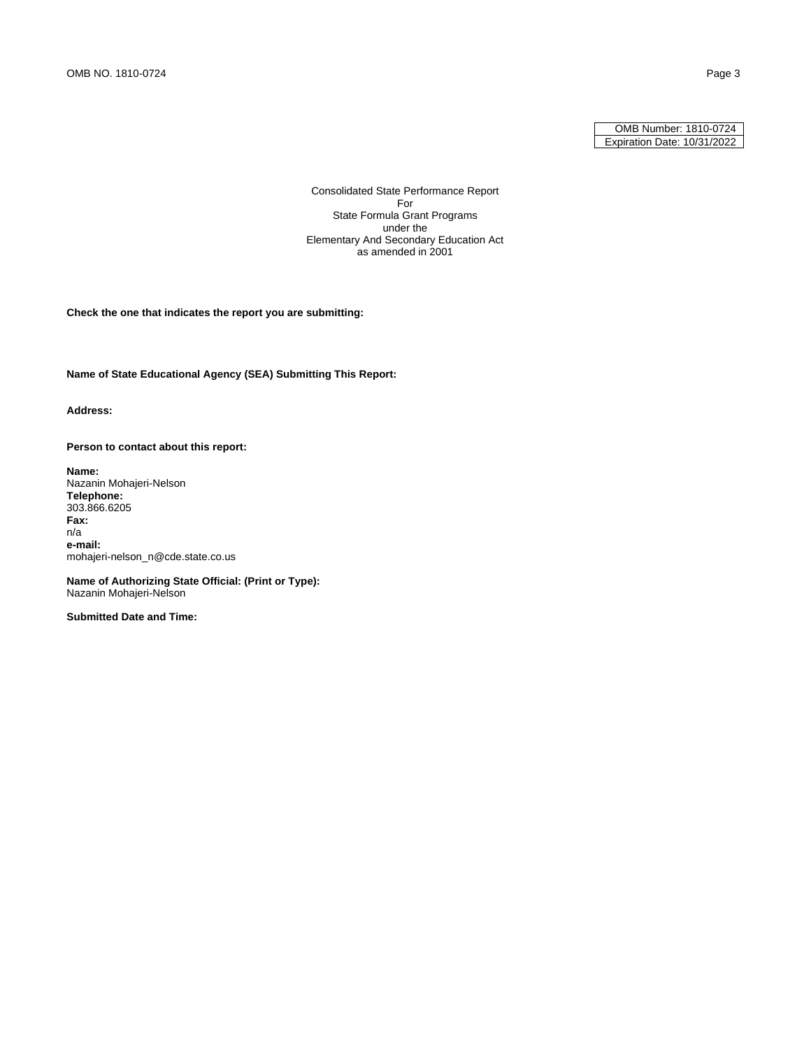### OMB Number: 1810-0724 Expiration Date: 10/31/2022

Consolidated State Performance Report For State Formula Grant Programs under the Elementary And Secondary Education Act as amended in 2001

**Check the one that indicates the report you are submitting:**

**Name of State Educational Agency (SEA) Submitting This Report:**

**Address:**

**Person to contact about this report:**

**Name:**  Nazanin Mohajeri-Nelson **Telephone:**  303.866.6205 **Fax:**  n/a **e-mail:**  mohajeri-nelson\_n@cde.state.co.us

**Name of Authorizing State Official: (Print or Type):** Nazanin Mohajeri-Nelson

**Submitted Date and Time:**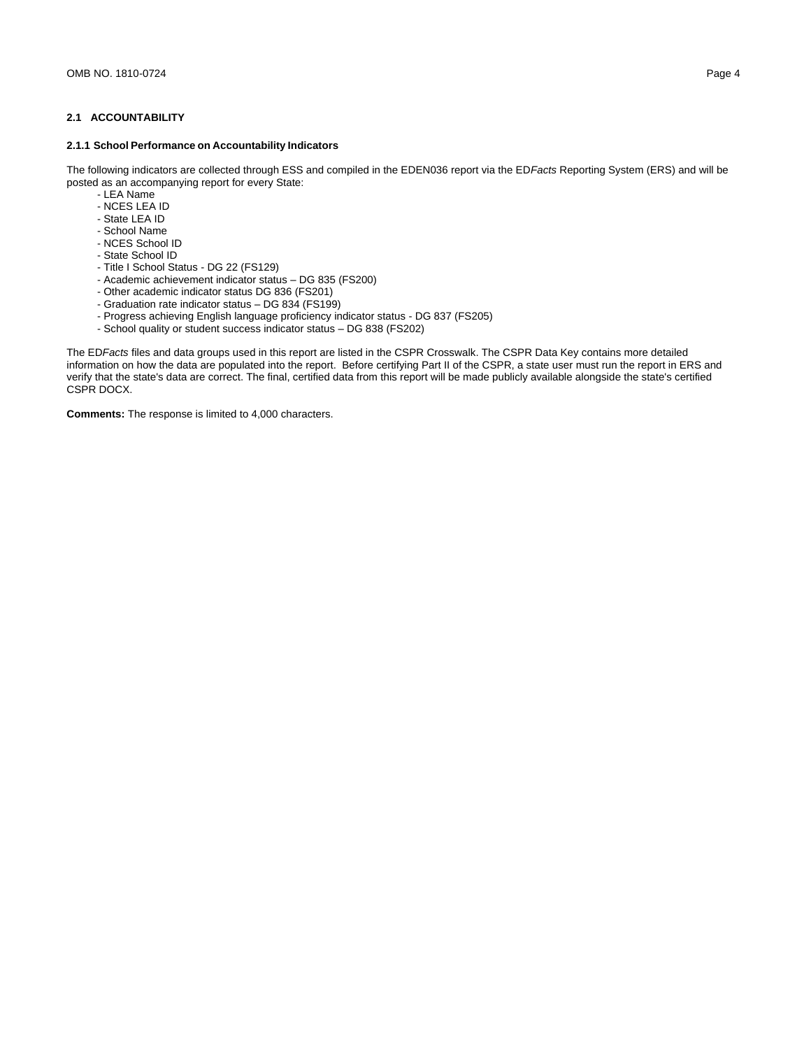# **2.1 ACCOUNTABILITY**

# **2.1.1 School Performance on Accountability Indicators**

The following indicators are collected through ESS and compiled in the EDEN036 report via the ED*Facts* Reporting System (ERS) and will be posted as an accompanying report for every State:

- LEA Name
- NCES LEA ID
- State LEA ID
- School Name
- NCES School ID
- State School ID
- Title I School Status DG 22 (FS129)
- Academic achievement indicator status DG 835 (FS200)
- Other academic indicator status DG 836 (FS201)
- Graduation rate indicator status DG 834 (FS199)
- Progress achieving English language proficiency indicator status DG 837 (FS205)
- School quality or student success indicator status DG 838 (FS202)

The ED*Facts* files and data groups used in this report are listed in the CSPR Crosswalk. The CSPR Data Key contains more detailed information on how the data are populated into the report. Before certifying Part II of the CSPR, a state user must run the report in ERS and verify that the state's data are correct. The final, certified data from this report will be made publicly available alongside the state's certified CSPR DOCX.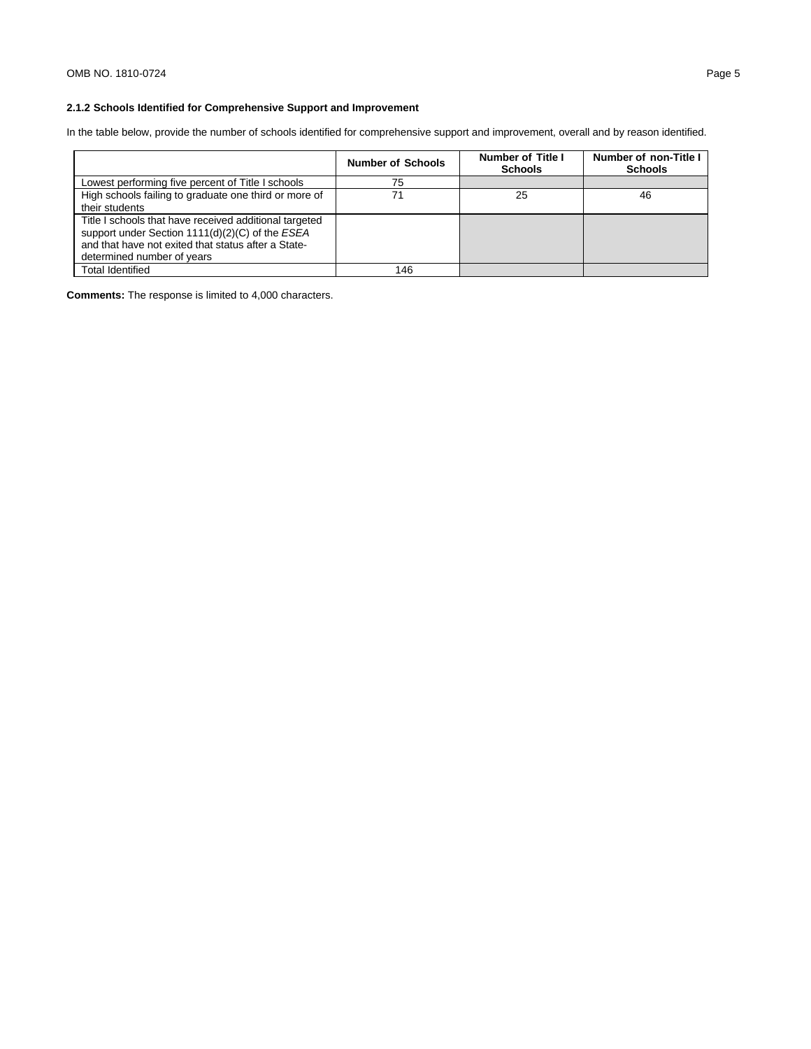# **2.1.2 Schools Identified for Comprehensive Support and Improvement**

In the table below, provide the number of schools identified for comprehensive support and improvement, overall and by reason identified.

|                                                                                                                                                                                                | <b>Number of Schools</b> | <b>Number of Title I</b><br><b>Schools</b> | Number of non-Title I<br><b>Schools</b> |
|------------------------------------------------------------------------------------------------------------------------------------------------------------------------------------------------|--------------------------|--------------------------------------------|-----------------------------------------|
| Lowest performing five percent of Title I schools                                                                                                                                              | 75                       |                                            |                                         |
| High schools failing to graduate one third or more of<br>their students                                                                                                                        | 71                       | 25                                         | 46                                      |
| Title I schools that have received additional targeted<br>support under Section 1111(d)(2)(C) of the ESEA<br>and that have not exited that status after a State-<br>determined number of years |                          |                                            |                                         |
| Total Identified                                                                                                                                                                               | 146                      |                                            |                                         |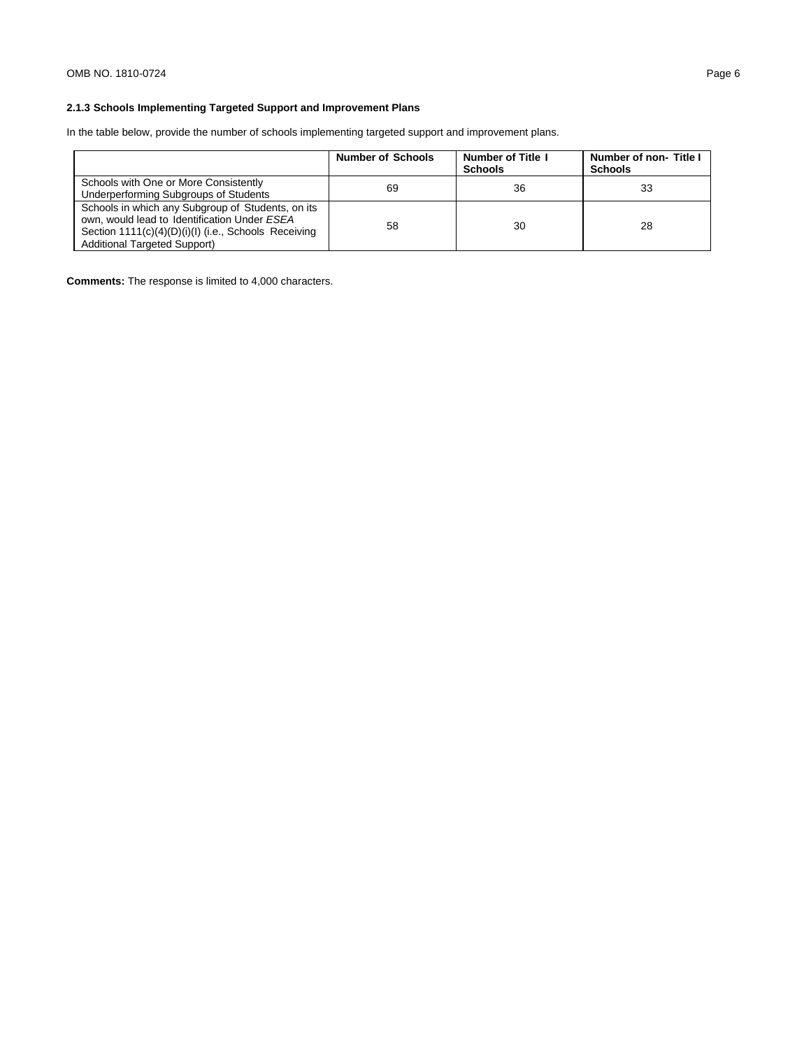# **2.1.3 Schools Implementing Targeted Support and Improvement Plans**

In the table below, provide the number of schools implementing targeted support and improvement plans.

|                                                                                                                                                                                                  | <b>Number of Schools</b> | <b>Number of Title I</b><br><b>Schools</b> | Number of non-Title I<br><b>Schools</b> |
|--------------------------------------------------------------------------------------------------------------------------------------------------------------------------------------------------|--------------------------|--------------------------------------------|-----------------------------------------|
| Schools with One or More Consistently<br>Underperforming Subgroups of Students                                                                                                                   | 69                       | 36                                         | 33                                      |
| Schools in which any Subgroup of Students, on its<br>own, would lead to Identification Under ESEA<br>Section 1111(c)(4)(D)(i)(l) (i.e., Schools Receiving<br><b>Additional Targeted Support)</b> | 58                       | 30                                         | 28                                      |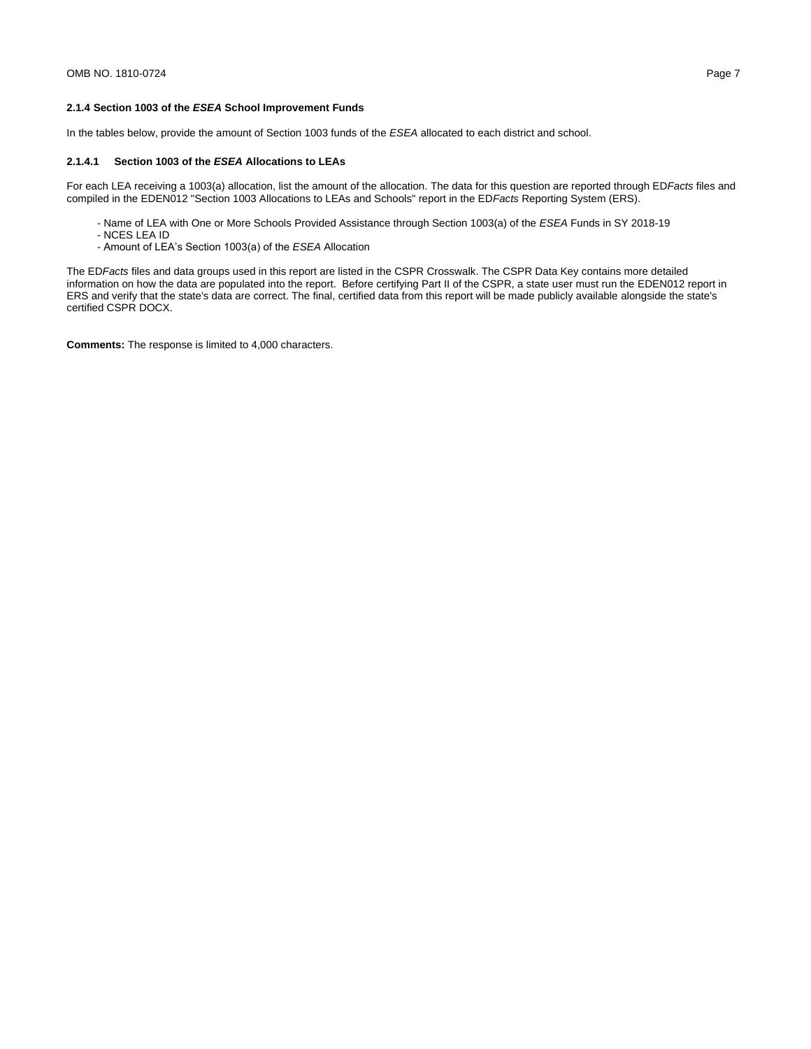## **2.1.4 Section 1003 of the** *ESEA* **School Improvement Funds**

In the tables below, provide the amount of Section 1003 funds of the *ESEA* allocated to each district and school.

### **2.1.4.1 Section 1003 of the** *ESEA* **Allocations to LEAs**

For each LEA receiving a 1003(a) allocation, list the amount of the allocation. The data for this question are reported through ED*Facts* files and compiled in the EDEN012 "Section 1003 Allocations to LEAs and Schools" report in the ED*Facts* Reporting System (ERS).

- Name of LEA with One or More Schools Provided Assistance through Section 1003(a) of the *ESEA* Funds in SY 2018-19
- NCES LEA ID
- Amount of LEA's Section 1003(a) of the *ESEA* Allocation

The ED*Facts* files and data groups used in this report are listed in the CSPR Crosswalk. The CSPR Data Key contains more detailed information on how the data are populated into the report. Before certifying Part II of the CSPR, a state user must run the EDEN012 report in ERS and verify that the state's data are correct. The final, certified data from this report will be made publicly available alongside the state's certified CSPR DOCX.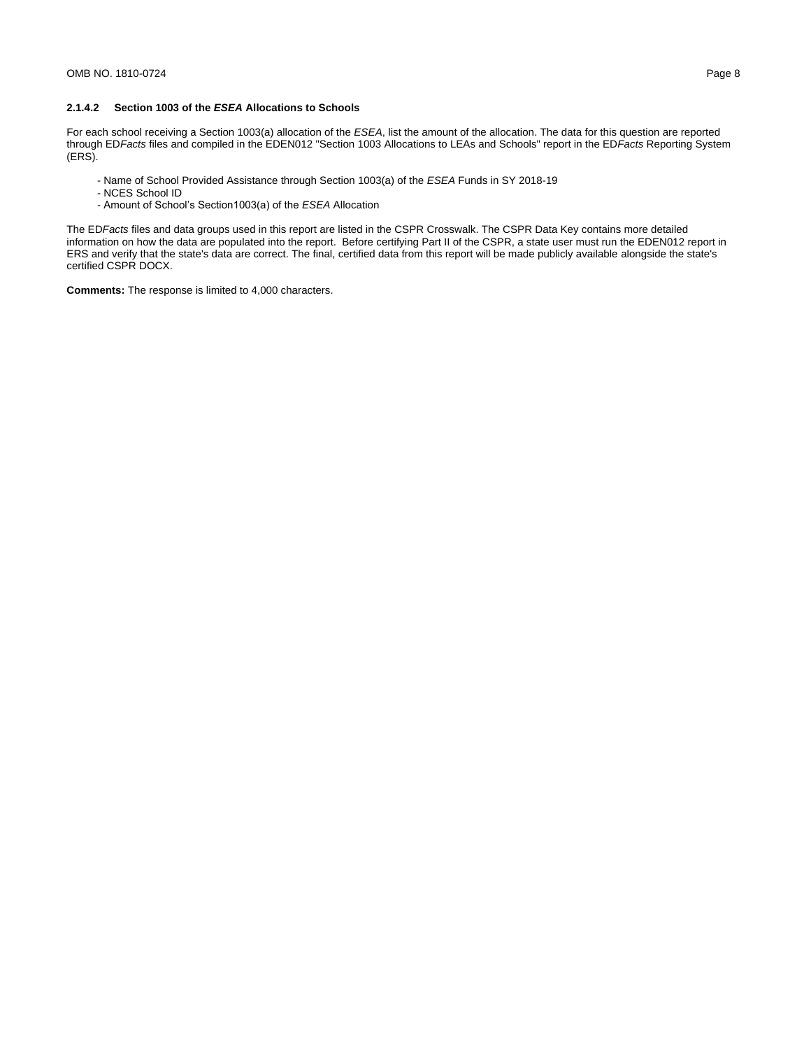## **2.1.4.2 Section 1003 of the** *ESEA* **Allocations to Schools**

For each school receiving a Section 1003(a) allocation of the *ESEA*, list the amount of the allocation. The data for this question are reported through ED*Facts* files and compiled in the EDEN012 "Section 1003 Allocations to LEAs and Schools" report in the ED*Facts* Reporting System (ERS).

- Name of School Provided Assistance through Section 1003(a) of the *ESEA* Funds in SY 2018-19
- NCES School ID
- Amount of School's Section1003(a) of the *ESEA* Allocation

The ED*Facts* files and data groups used in this report are listed in the CSPR Crosswalk. The CSPR Data Key contains more detailed information on how the data are populated into the report. Before certifying Part II of the CSPR, a state user must run the EDEN012 report in ERS and verify that the state's data are correct. The final, certified data from this report will be made publicly available alongside the state's certified CSPR DOCX.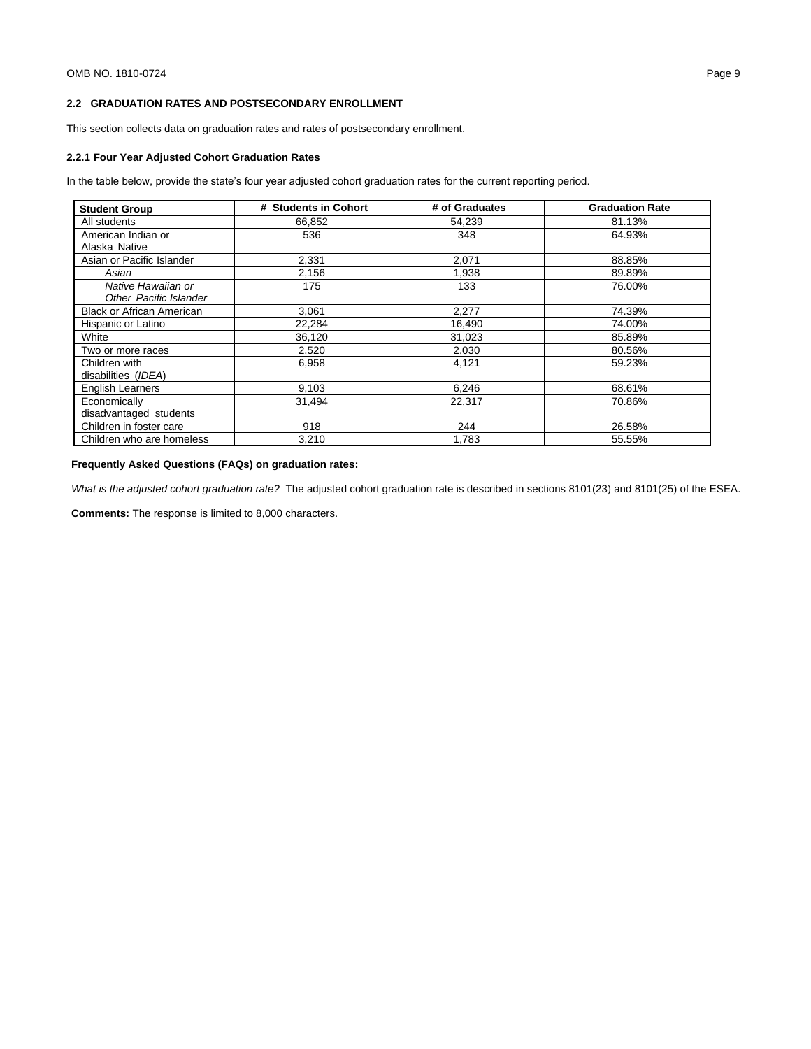# **2.2 GRADUATION RATES AND POSTSECONDARY ENROLLMENT**

This section collects data on graduation rates and rates of postsecondary enrollment.

### **2.2.1 Four Year Adjusted Cohort Graduation Rates**

In the table below, provide the state's four year adjusted cohort graduation rates for the current reporting period.

| <b>Student Group</b>                                | # Students in Cohort | # of Graduates | <b>Graduation Rate</b> |
|-----------------------------------------------------|----------------------|----------------|------------------------|
| All students                                        | 66,852               | 54,239         | 81.13%                 |
| American Indian or                                  | 536                  | 348            | 64.93%                 |
| Alaska Native                                       |                      |                |                        |
| Asian or Pacific Islander                           | 2,331                | 2,071          | 88.85%                 |
| Asian                                               | 2,156                | 1.938          | 89.89%                 |
| Native Hawaiian or<br><b>Other Pacific Islander</b> | 175                  | 133            | 76.00%                 |
| <b>Black or African American</b>                    | 3.061                | 2,277          | 74.39%                 |
| Hispanic or Latino                                  | 22,284               | 16,490         | 74.00%                 |
| White                                               | 36.120               | 31,023         | 85.89%                 |
| Two or more races                                   | 2,520                | 2,030          | 80.56%                 |
| Children with<br>disabilities (IDEA)                | 6,958                | 4,121          | 59.23%                 |
| <b>English Learners</b>                             | 9,103                | 6,246          | 68.61%                 |
| Economically                                        | 31.494               | 22.317         | 70.86%                 |
| disadvantaged students                              |                      |                |                        |
| Children in foster care                             | 918                  | 244            | 26.58%                 |
| Children who are homeless                           | 3.210                | 1.783          | 55.55%                 |

# **Frequently Asked Questions (FAQs) on graduation rates:**

*What is the adjusted cohort graduation rate?* The adjusted cohort graduation rate is described in sections 8101(23) and 8101(25) of the ESEA.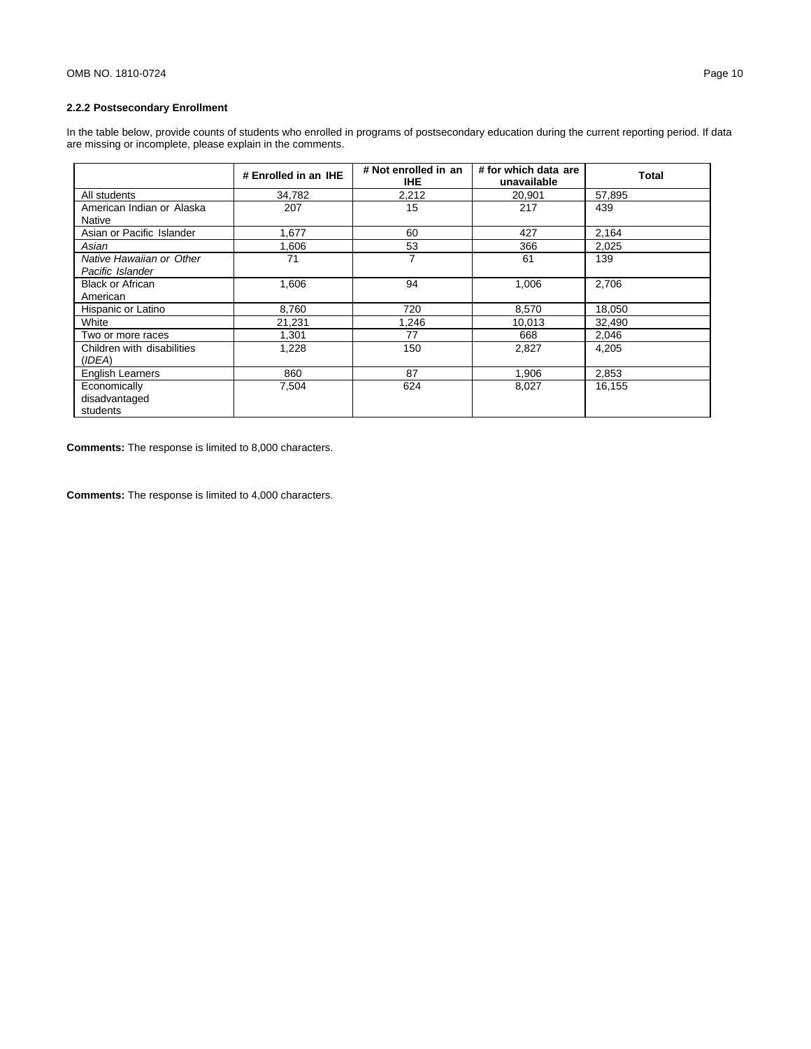# **2.2.2 Postsecondary Enrollment**

In the table below, provide counts of students who enrolled in programs of postsecondary education during the current reporting period. If data are missing or incomplete, please explain in the comments.

|                                              | # Enrolled in an IHE | # Not enrolled in an<br><b>IHE</b> | # for which data are<br>unavailable | Total  |
|----------------------------------------------|----------------------|------------------------------------|-------------------------------------|--------|
| All students                                 | 34,782               | 2,212                              | 20,901                              | 57,895 |
| American Indian or Alaska<br>Native          | 207                  | 15                                 | 217                                 | 439    |
| Asian or Pacific Islander                    | 1,677                | 60                                 | 427                                 | 2,164  |
| Asian                                        | 1,606                | 53                                 | 366                                 | 2,025  |
| Native Hawaiian or Other<br>Pacific Islander | 71                   | 7                                  | 61                                  | 139    |
| <b>Black or African</b><br>American          | 1,606                | 94                                 | 1,006                               | 2,706  |
| Hispanic or Latino                           | 8,760                | 720                                | 8,570                               | 18,050 |
| White                                        | 21.231               | 1.246                              | 10,013                              | 32.490 |
| Two or more races                            | 1,301                | 77                                 | 668                                 | 2,046  |
| Children with disabilities<br>(IDEA)         | 1,228                | 150                                | 2,827                               | 4,205  |
| <b>English Learners</b>                      | 860                  | 87                                 | 1.906                               | 2,853  |
| Economically<br>disadvantaged<br>students    | 7,504                | 624                                | 8,027                               | 16,155 |

**Comments:** The response is limited to 8,000 characters.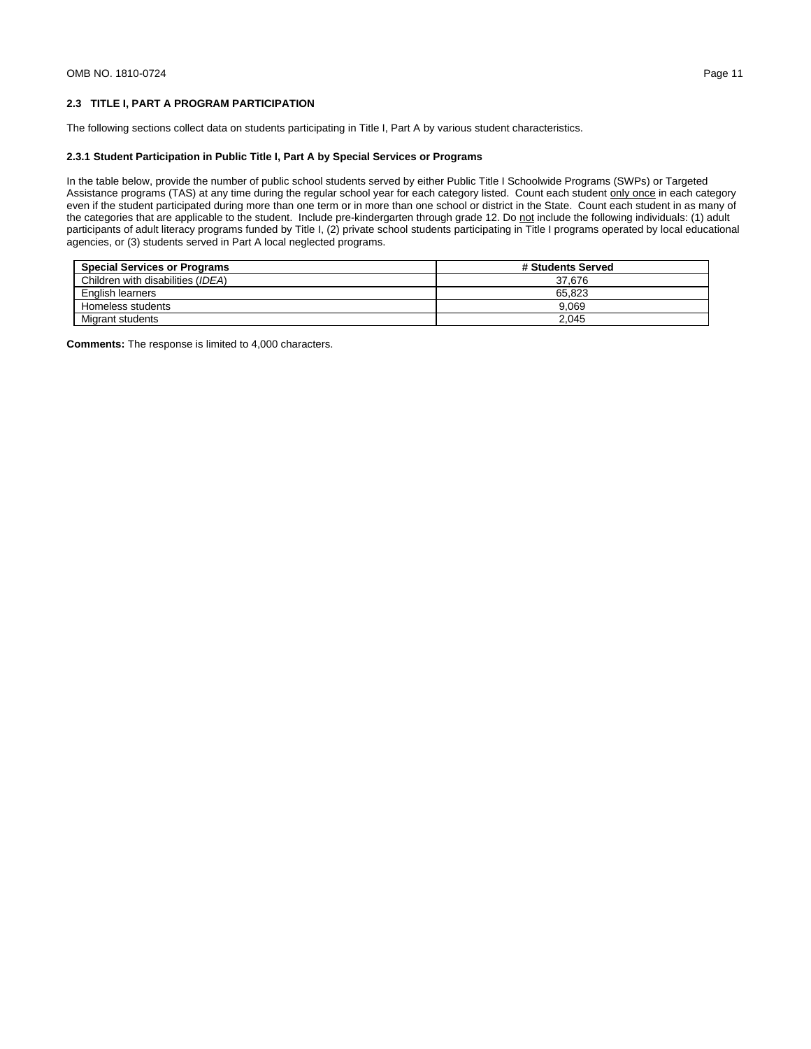## **2.3 TITLE I, PART A PROGRAM PARTICIPATION**

The following sections collect data on students participating in Title I, Part A by various student characteristics.

### **2.3.1 Student Participation in Public Title I, Part A by Special Services or Programs**

In the table below, provide the number of public school students served by either Public Title I Schoolwide Programs (SWPs) or Targeted Assistance programs (TAS) at any time during the regular school year for each category listed. Count each student only once in each category even if the student participated during more than one term or in more than one school or district in the State. Count each student in as many of the categories that are applicable to the student. Include pre-kindergarten through grade 12. Do not include the following individuals: (1) adult participants of adult literacy programs funded by Title I, (2) private school students participating in Title I programs operated by local educational agencies, or (3) students served in Part A local neglected programs.

| <b>Special Services or Programs</b> | # Students Served |
|-------------------------------------|-------------------|
| Children with disabilities (IDEA)   | 37.676            |
| English learners                    | 65.823            |
| Homeless students                   | 9.069             |
| Migrant students                    | 2.045             |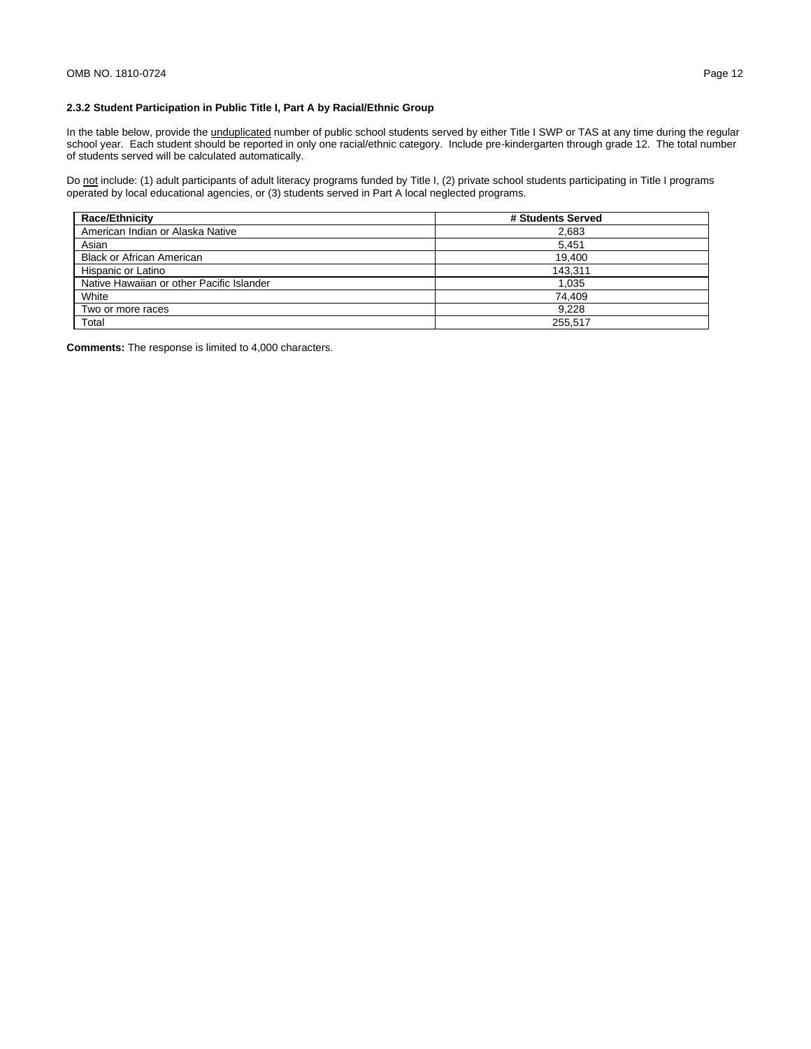# **2.3.2 Student Participation in Public Title I, Part A by Racial/Ethnic Group**

In the table below, provide the *unduplicated* number of public school students served by either Title I SWP or TAS at any time during the regular school year. Each student should be reported in only one racial/ethnic category. Include pre-kindergarten through grade 12. The total number of students served will be calculated automatically.

Do not include: (1) adult participants of adult literacy programs funded by Title I, (2) private school students participating in Title I programs operated by local educational agencies, or (3) students served in Part A local neglected programs.

| <b>Race/Ethnicity</b>                     | # Students Served |
|-------------------------------------------|-------------------|
| American Indian or Alaska Native          | 2,683             |
| Asian                                     | 5.451             |
| <b>Black or African American</b>          | 19.400            |
| Hispanic or Latino                        | 143.311           |
| Native Hawaiian or other Pacific Islander | 1.035             |
| White                                     | 74.409            |
| Two or more races                         | 9.228             |
| Total                                     | 255.517           |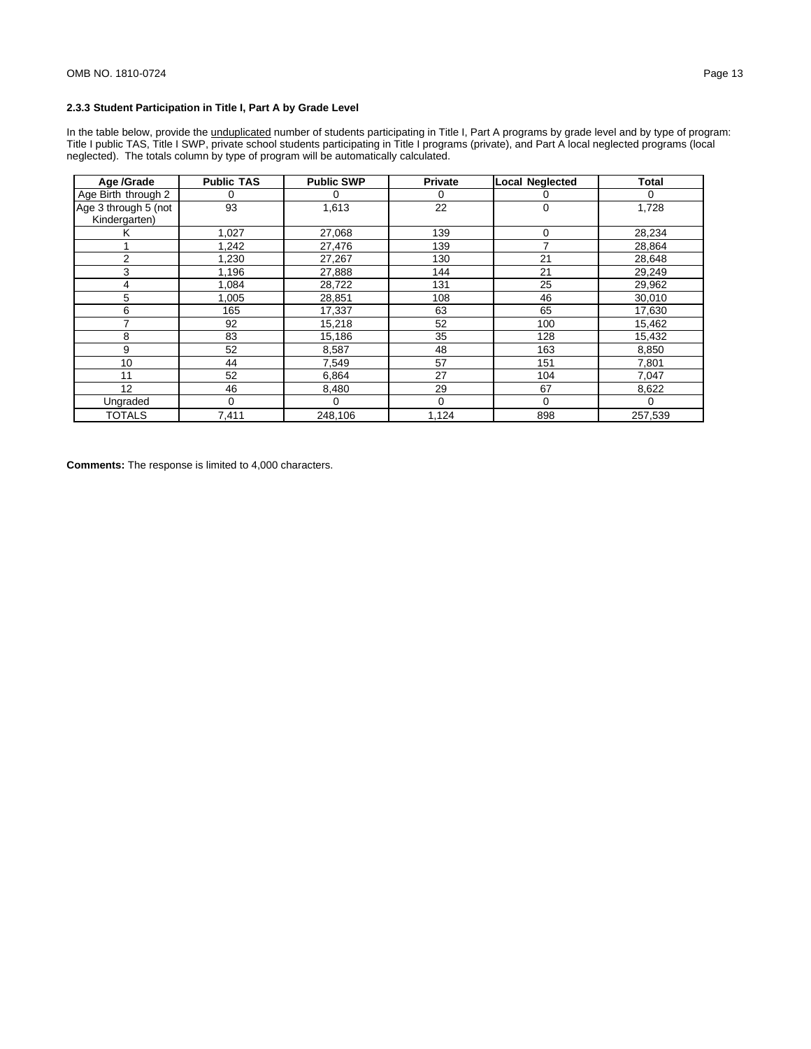# **2.3.3 Student Participation in Title I, Part A by Grade Level**

In the table below, provide the *unduplicated* number of students participating in Title I, Part A programs by grade level and by type of program: Title I public TAS, Title I SWP, private school students participating in Title I programs (private), and Part A local neglected programs (local neglected). The totals column by type of program will be automatically calculated.

| Age /Grade                            | <b>Public TAS</b> | <b>Public SWP</b> | <b>Private</b> | <b>Local Neglected</b> | <b>Total</b> |
|---------------------------------------|-------------------|-------------------|----------------|------------------------|--------------|
| Age Birth through 2                   | 0                 | 0                 | 0              | 0                      | 0            |
| Age 3 through 5 (not<br>Kindergarten) | 93                | 1,613             | 22             | $\mathbf 0$            | 1,728        |
| κ                                     | 1,027             | 27,068            | 139            | $\mathbf 0$            | 28,234       |
|                                       | 1,242             | 27,476            | 139            | 7                      | 28,864       |
| 2                                     | 1,230             | 27,267            | 130            | 21                     | 28,648       |
| 3                                     | 1,196             | 27,888            | 144            | 21                     | 29,249       |
| 4                                     | 1,084             | 28,722            | 131            | 25                     | 29,962       |
| 5                                     | 1,005             | 28,851            | 108            | 46                     | 30,010       |
| 6                                     | 165               | 17,337            | 63             | 65                     | 17,630       |
| 7                                     | 92                | 15,218            | 52             | 100                    | 15,462       |
| 8                                     | 83                | 15,186            | 35             | 128                    | 15,432       |
| 9                                     | 52                | 8,587             | 48             | 163                    | 8,850        |
| 10                                    | 44                | 7,549             | 57             | 151                    | 7,801        |
| 11                                    | 52                | 6,864             | 27             | 104                    | 7,047        |
| 12                                    | 46                | 8,480             | 29             | 67                     | 8,622        |
| Ungraded                              | $\Omega$          | 0                 | $\mathbf 0$    | $\Omega$               | $\Omega$     |
| <b>TOTALS</b>                         | 7,411             | 248,106           | 1,124          | 898                    | 257,539      |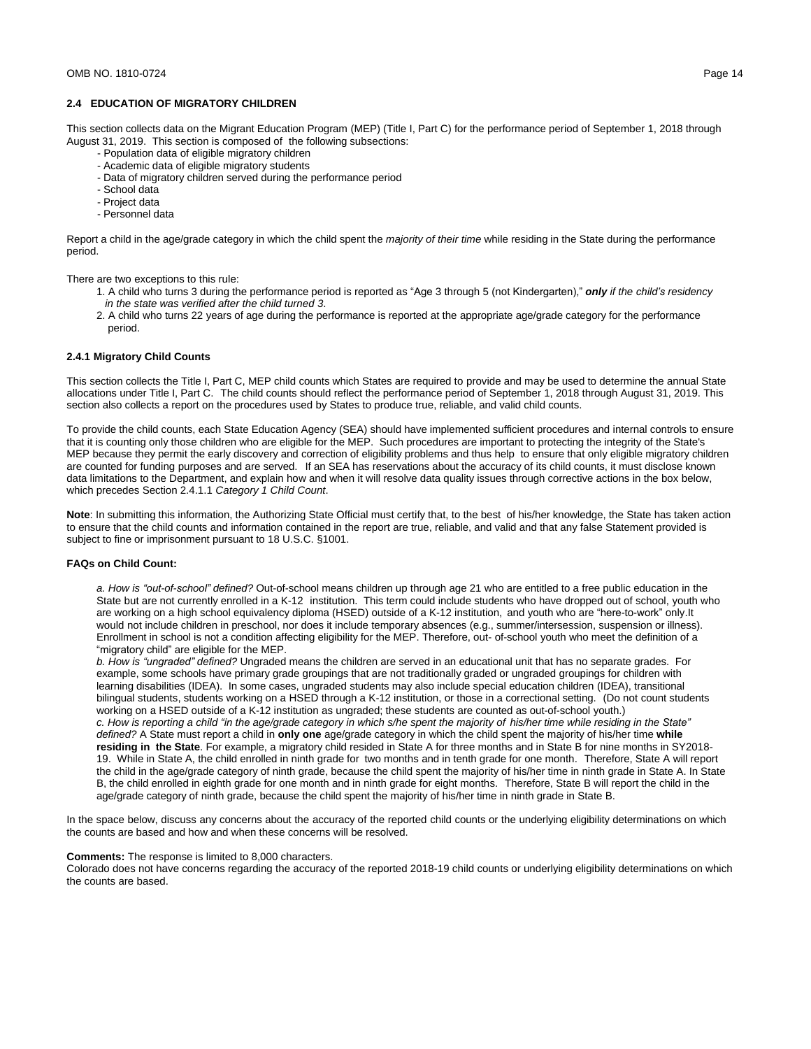# **2.4 EDUCATION OF MIGRATORY CHILDREN**

This section collects data on the Migrant Education Program (MEP) (Title I, Part C) for the performance period of September 1, 2018 through August 31, 2019. This section is composed of the following subsections:

- Population data of eligible migratory children
- Academic data of eligible migratory students
- Data of migratory children served during the performance period
- School data
- Project data
- Personnel data

Report a child in the age/grade category in which the child spent the *majority of their time* while residing in the State during the performance period.

There are two exceptions to this rule:

- 1. A child who turns 3 during the performance period is reported as "Age 3 through 5 (not Kindergarten)," *only if the child's residency in the state was verified after the child turned 3*.
- 2. A child who turns 22 years of age during the performance is reported at the appropriate age/grade category for the performance period.

### **2.4.1 Migratory Child Counts**

This section collects the Title I, Part C, MEP child counts which States are required to provide and may be used to determine the annual State allocations under Title I, Part C. The child counts should reflect the performance period of September 1, 2018 through August 31, 2019. This section also collects a report on the procedures used by States to produce true, reliable, and valid child counts.

To provide the child counts, each State Education Agency (SEA) should have implemented sufficient procedures and internal controls to ensure that it is counting only those children who are eligible for the MEP. Such procedures are important to protecting the integrity of the State's MEP because they permit the early discovery and correction of eligibility problems and thus help to ensure that only eligible migratory children are counted for funding purposes and are served. If an SEA has reservations about the accuracy of its child counts, it must disclose known data limitations to the Department, and explain how and when it will resolve data quality issues through corrective actions in the box below, which precedes Section 2.4.1.1 *Category 1 Child Count*.

**Note**: In submitting this information, the Authorizing State Official must certify that, to the best of his/her knowledge, the State has taken action to ensure that the child counts and information contained in the report are true, reliable, and valid and that any false Statement provided is subject to fine or imprisonment pursuant to 18 U.S.C. §1001.

#### **FAQs on Child Count:**

*a. How is "out-of-school" defined?* Out-of-school means children up through age 21 who are entitled to a free public education in the State but are not currently enrolled in a K-12 institution. This term could include students who have dropped out of school, youth who are working on a high school equivalency diploma (HSED) outside of a K-12 institution, and youth who are "here-to-work" only.It would not include children in preschool, nor does it include temporary absences (e.g., summer/intersession, suspension or illness). Enrollment in school is not a condition affecting eligibility for the MEP. Therefore, out- of-school youth who meet the definition of a "migratory child" are eligible for the MEP.

*b. How is "ungraded" defined?* Ungraded means the children are served in an educational unit that has no separate grades. For example, some schools have primary grade groupings that are not traditionally graded or ungraded groupings for children with learning disabilities (IDEA). In some cases, ungraded students may also include special education children (IDEA), transitional bilingual students, students working on a HSED through a K-12 institution, or those in a correctional setting. (Do not count students working on a HSED outside of a K-12 institution as ungraded; these students are counted as out-of-school youth.) *c. How is reporting a child "in the age/grade category in which s/he spent the majority of his/her time while residing in the State" defined?* A State must report a child in **only one** age/grade category in which the child spent the majority of his/her time **while residing in the State**. For example, a migratory child resided in State A for three months and in State B for nine months in SY2018- 19. While in State A, the child enrolled in ninth grade for two months and in tenth grade for one month. Therefore, State A will report the child in the age/grade category of ninth grade, because the child spent the majority of his/her time in ninth grade in State A. In State B, the child enrolled in eighth grade for one month and in ninth grade for eight months. Therefore, State B will report the child in the age/grade category of ninth grade, because the child spent the majority of his/her time in ninth grade in State B.

In the space below, discuss any concerns about the accuracy of the reported child counts or the underlying eligibility determinations on which the counts are based and how and when these concerns will be resolved.

#### **Comments:** The response is limited to 8,000 characters.

Colorado does not have concerns regarding the accuracy of the reported 2018-19 child counts or underlying eligibility determinations on which the counts are based.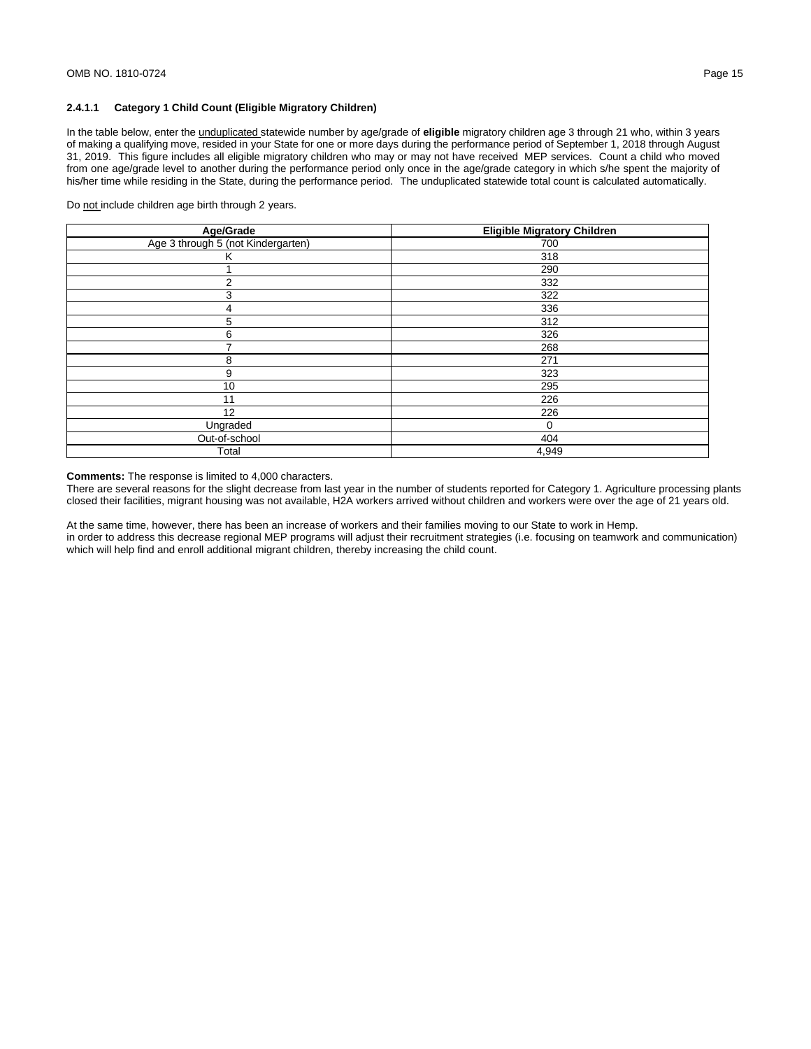# **2.4.1.1 Category 1 Child Count (Eligible Migratory Children)**

In the table below, enter the unduplicated statewide number by age/grade of **eligible** migratory children age 3 through 21 who, within 3 years of making a qualifying move, resided in your State for one or more days during the performance period of September 1, 2018 through August 31, 2019. This figure includes all eligible migratory children who may or may not have received MEP services. Count a child who moved from one age/grade level to another during the performance period only once in the age/grade category in which s/he spent the majority of his/her time while residing in the State, during the performance period. The unduplicated statewide total count is calculated automatically.

Do not include children age birth through 2 years.

| Age/Grade                          | <b>Eligible Migratory Children</b> |
|------------------------------------|------------------------------------|
| Age 3 through 5 (not Kindergarten) | 700                                |
| κ                                  | 318                                |
|                                    | 290                                |
| 2                                  | 332                                |
| 3                                  | 322                                |
| 4                                  | 336                                |
| 5                                  | 312                                |
| 6                                  | 326                                |
|                                    | 268                                |
| 8                                  | 271                                |
| 9                                  | 323                                |
| 10                                 | 295                                |
| 11                                 | 226                                |
| 12                                 | 226                                |
| Ungraded                           | 0                                  |
| Out-of-school                      | 404                                |
| Total                              | 4,949                              |

**Comments:** The response is limited to 4,000 characters.

There are several reasons for the slight decrease from last year in the number of students reported for Category 1. Agriculture processing plants closed their facilities, migrant housing was not available, H2A workers arrived without children and workers were over the age of 21 years old.

At the same time, however, there has been an increase of workers and their families moving to our State to work in Hemp. in order to address this decrease regional MEP programs will adjust their recruitment strategies (i.e. focusing on teamwork and communication) which will help find and enroll additional migrant children, thereby increasing the child count.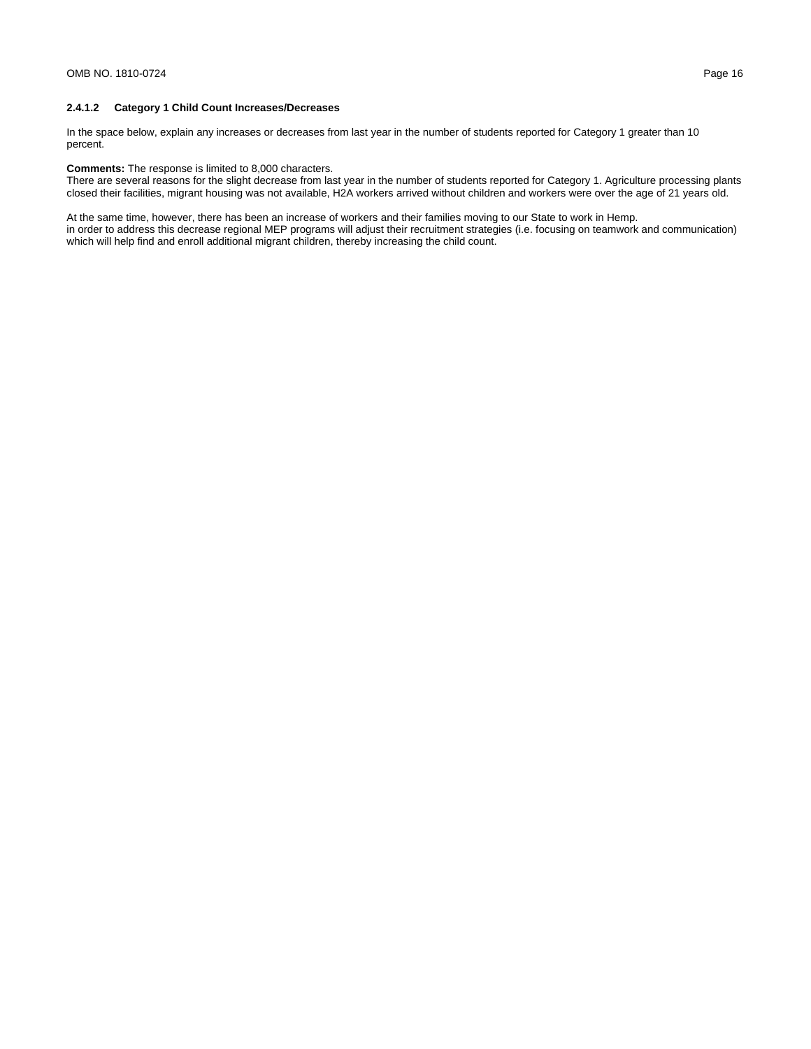# **2.4.1.2 Category 1 Child Count Increases/Decreases**

In the space below, explain any increases or decreases from last year in the number of students reported for Category 1 greater than 10 percent.

### **Comments:** The response is limited to 8,000 characters.

There are several reasons for the slight decrease from last year in the number of students reported for Category 1. Agriculture processing plants closed their facilities, migrant housing was not available, H2A workers arrived without children and workers were over the age of 21 years old.

At the same time, however, there has been an increase of workers and their families moving to our State to work in Hemp. in order to address this decrease regional MEP programs will adjust their recruitment strategies (i.e. focusing on teamwork and communication) which will help find and enroll additional migrant children, thereby increasing the child count.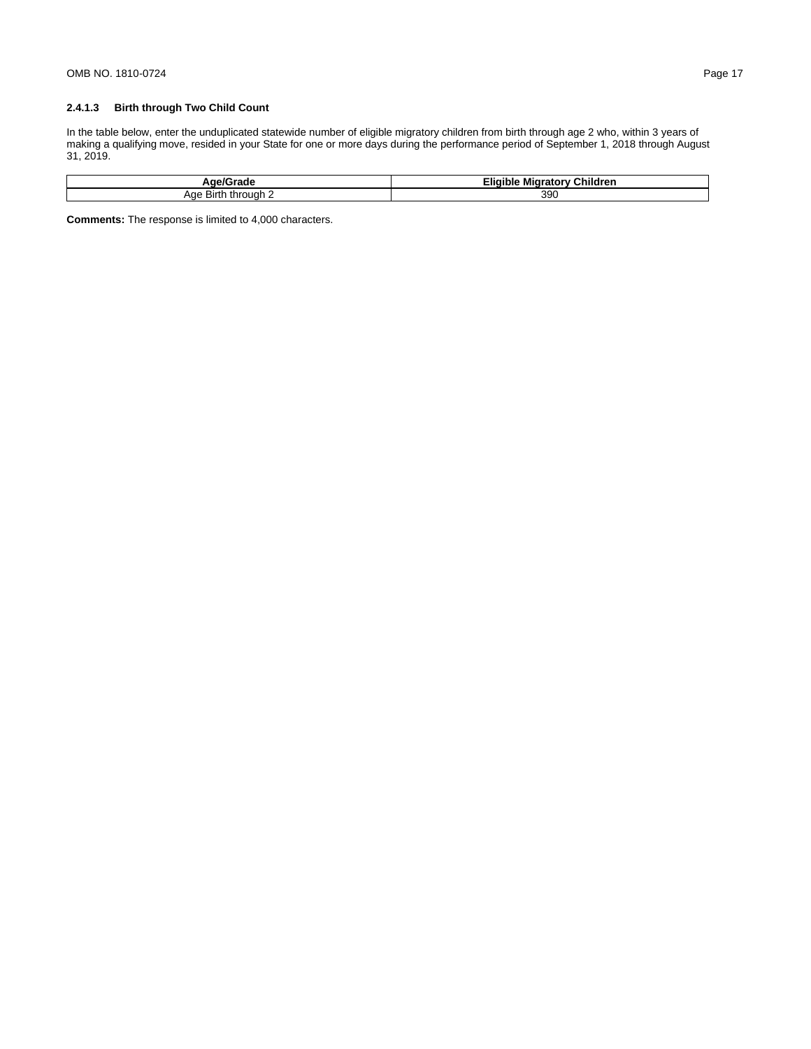In the table below, enter the unduplicated statewide number of eligible migratory children from birth through age 2 who, within 3 years of making a qualifying move, resided in your State for one or more days during the performance period of September 1, 2018 through August 31, 2019.

| r<br>эгаос<br>שר             | $- \cdot$<br>---<br><br>Children<br>∠liqible -<br>Migratory<br>$\sim$ |
|------------------------------|-----------------------------------------------------------------------|
| Aae<br>through<br>Birth<br>. | 39 <sub>C</sub>                                                       |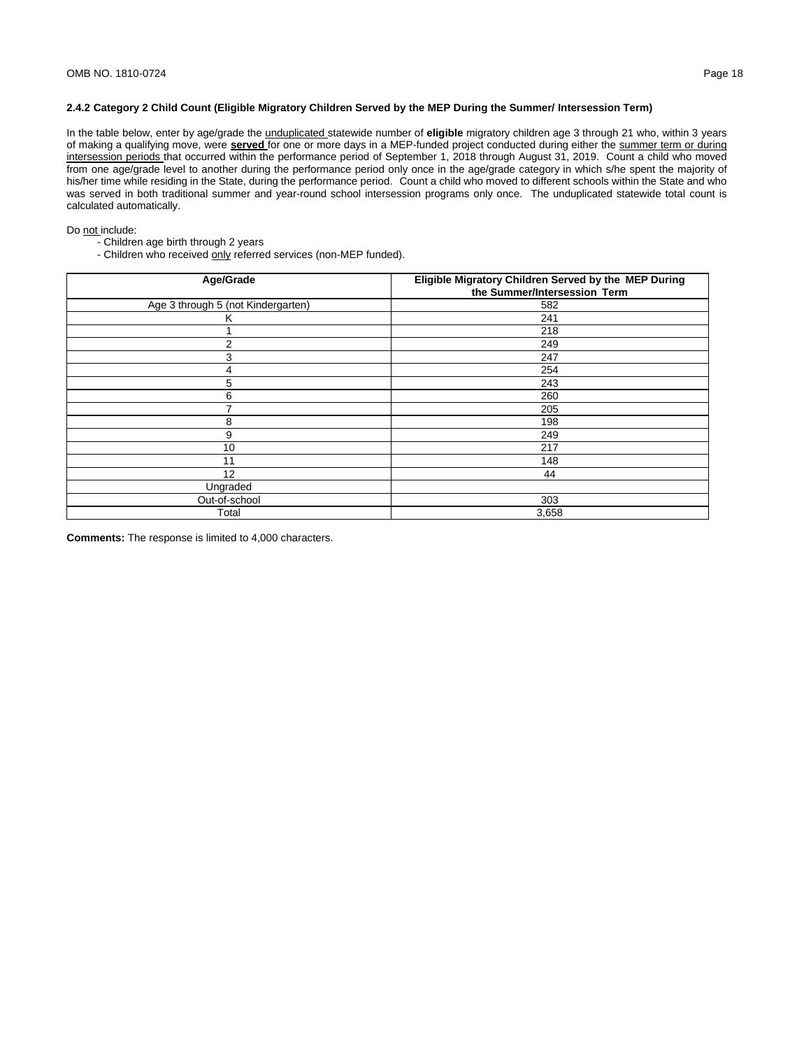# **2.4.2 Category 2 Child Count (Eligible Migratory Children Served by the MEP During the Summer/ Intersession Term)**

In the table below, enter by age/grade the unduplicated statewide number of **eligible** migratory children age 3 through 21 who, within 3 years of making a qualifying move, were **served** for one or more days in a MEP-funded project conducted during either the summer term or during intersession periods that occurred within the performance period of September 1, 2018 through August 31, 2019. Count a child who moved from one age/grade level to another during the performance period only once in the age/grade category in which s/he spent the majority of his/her time while residing in the State, during the performance period. Count a child who moved to different schools within the State and who was served in both traditional summer and year-round school intersession programs only once. The unduplicated statewide total count is calculated automatically.

#### Do not include:

- Children age birth through 2 years
- Children who received only referred services (non-MEP funded).

| Age/Grade                          | Eligible Migratory Children Served by the MEP During<br>the Summer/Intersession Term |
|------------------------------------|--------------------------------------------------------------------------------------|
| Age 3 through 5 (not Kindergarten) | 582                                                                                  |
| ĸ                                  | 241                                                                                  |
|                                    | 218                                                                                  |
| 2                                  | 249                                                                                  |
| 3                                  | 247                                                                                  |
| 4                                  | 254                                                                                  |
| 5                                  | 243                                                                                  |
| 6                                  | 260                                                                                  |
| ⇁                                  | 205                                                                                  |
| 8                                  | 198                                                                                  |
| 9                                  | 249                                                                                  |
| 10                                 | 217                                                                                  |
| 11                                 | 148                                                                                  |
| 12                                 | 44                                                                                   |
| Ungraded                           |                                                                                      |
| Out-of-school                      | 303                                                                                  |
| Total                              | 3,658                                                                                |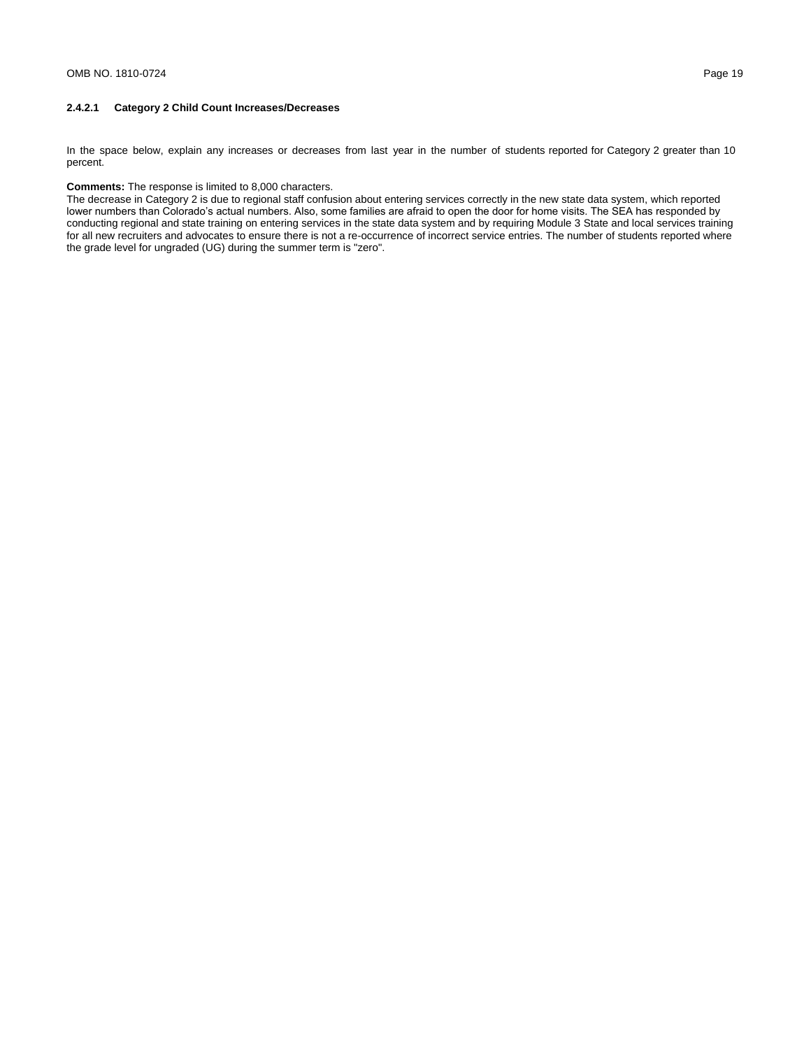# **2.4.2.1 Category 2 Child Count Increases/Decreases**

In the space below, explain any increases or decreases from last year in the number of students reported for Category 2 greater than 10 percent.

# **Comments:** The response is limited to 8,000 characters.

The decrease in Category 2 is due to regional staff confusion about entering services correctly in the new state data system, which reported lower numbers than Colorado's actual numbers. Also, some families are afraid to open the door for home visits. The SEA has responded by conducting regional and state training on entering services in the state data system and by requiring Module 3 State and local services training for all new recruiters and advocates to ensure there is not a re-occurrence of incorrect service entries. The number of students reported where the grade level for ungraded (UG) during the summer term is "zero".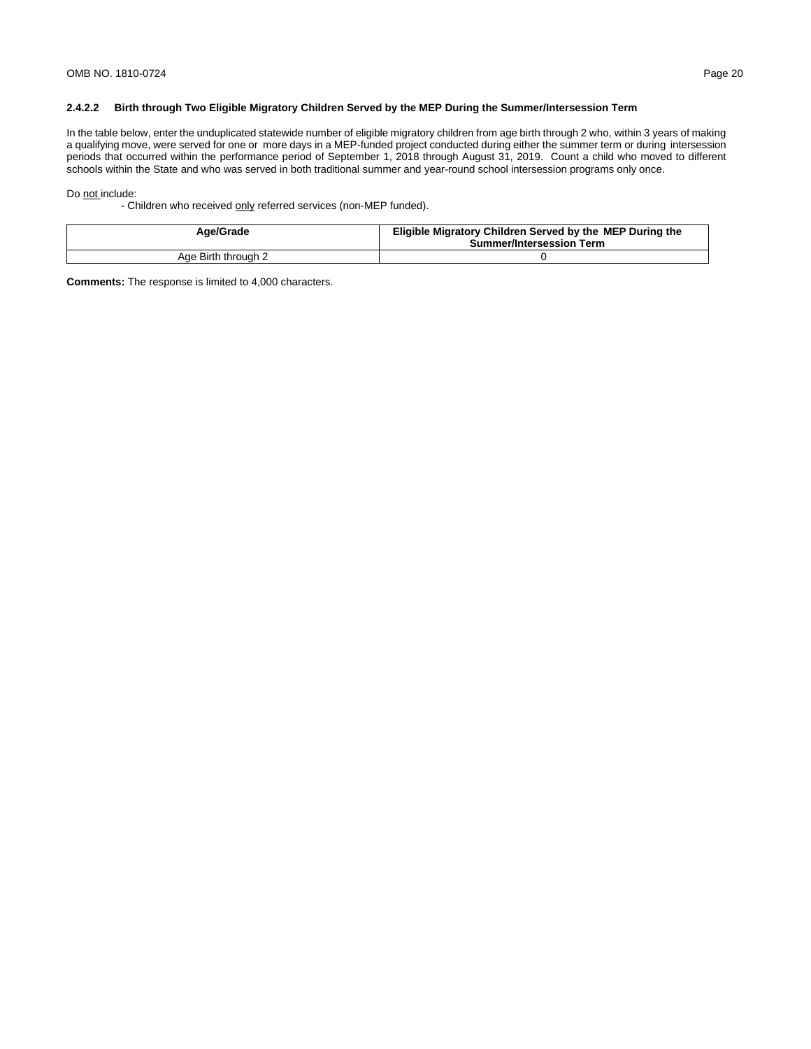## **2.4.2.2 Birth through Two Eligible Migratory Children Served by the MEP During the Summer/Intersession Term**

In the table below, enter the unduplicated statewide number of eligible migratory children from age birth through 2 who, within 3 years of making a qualifying move, were served for one or more days in a MEP-funded project conducted during either the summer term or during intersession periods that occurred within the performance period of September 1, 2018 through August 31, 2019. Count a child who moved to different schools within the State and who was served in both traditional summer and year-round school intersession programs only once.

#### Do not include:

- Children who received only referred services (non-MEP funded).

| Age/Grade           | Eligible Migratory Children Served by the MEP During the<br><b>Summer/Intersession Term</b> |
|---------------------|---------------------------------------------------------------------------------------------|
| Age Birth through 2 |                                                                                             |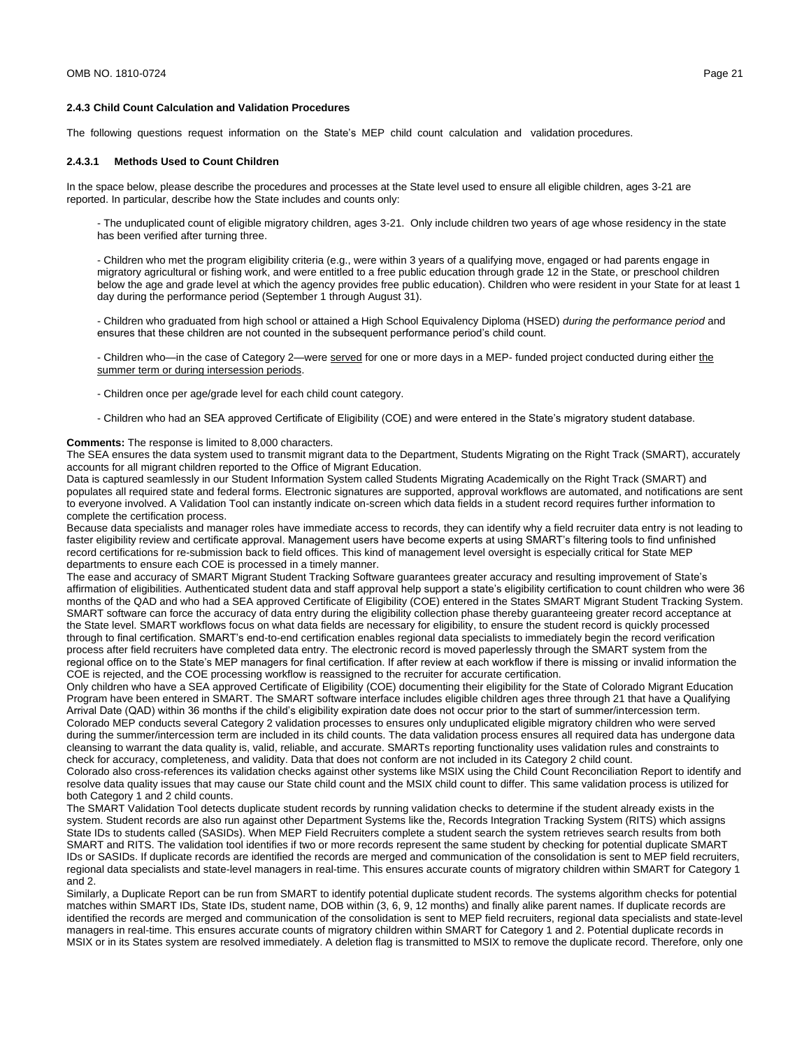#### **2.4.3 Child Count Calculation and Validation Procedures**

The following questions request information on the State's MEP child count calculation and validation procedures.

#### **2.4.3.1 Methods Used to Count Children**

In the space below, please describe the procedures and processes at the State level used to ensure all eligible children, ages 3-21 are reported. In particular, describe how the State includes and counts only:

- The unduplicated count of eligible migratory children, ages 3-21. Only include children two years of age whose residency in the state has been verified after turning three.

- Children who met the program eligibility criteria (e.g., were within 3 years of a qualifying move, engaged or had parents engage in migratory agricultural or fishing work, and were entitled to a free public education through grade 12 in the State, or preschool children below the age and grade level at which the agency provides free public education). Children who were resident in your State for at least 1 day during the performance period (September 1 through August 31).

- Children who graduated from high school or attained a High School Equivalency Diploma (HSED) *during the performance period* and ensures that these children are not counted in the subsequent performance period's child count.

- Children who—in the case of Category 2—were served for one or more days in a MEP- funded project conducted during either the summer term or during intersession periods.

- Children once per age/grade level for each child count category.
- Children who had an SEA approved Certificate of Eligibility (COE) and were entered in the State's migratory student database.

#### **Comments:** The response is limited to 8,000 characters.

The SEA ensures the data system used to transmit migrant data to the Department, Students Migrating on the Right Track (SMART), accurately accounts for all migrant children reported to the Office of Migrant Education.

Data is captured seamlessly in our Student Information System called Students Migrating Academically on the Right Track (SMART) and populates all required state and federal forms. Electronic signatures are supported, approval workflows are automated, and notifications are sent to everyone involved. A Validation Tool can instantly indicate on-screen which data fields in a student record requires further information to complete the certification process.

Because data specialists and manager roles have immediate access to records, they can identify why a field recruiter data entry is not leading to faster eligibility review and certificate approval. Management users have become experts at using SMART's filtering tools to find unfinished record certifications for re-submission back to field offices. This kind of management level oversight is especially critical for State MEP departments to ensure each COE is processed in a timely manner.

The ease and accuracy of SMART Migrant Student Tracking Software guarantees greater accuracy and resulting improvement of State's affirmation of eligibilities. Authenticated student data and staff approval help support a state's eligibility certification to count children who were 36 months of the QAD and who had a SEA approved Certificate of Eligibility (COE) entered in the States SMART Migrant Student Tracking System. SMART software can force the accuracy of data entry during the eligibility collection phase thereby guaranteeing greater record acceptance at the State level. SMART workflows focus on what data fields are necessary for eligibility, to ensure the student record is quickly processed through to final certification. SMART's end-to-end certification enables regional data specialists to immediately begin the record verification process after field recruiters have completed data entry. The electronic record is moved paperlessly through the SMART system from the regional office on to the State's MEP managers for final certification. If after review at each workflow if there is missing or invalid information the COE is rejected, and the COE processing workflow is reassigned to the recruiter for accurate certification.

Only children who have a SEA approved Certificate of Eligibility (COE) documenting their eligibility for the State of Colorado Migrant Education Program have been entered in SMART. The SMART software interface includes eligible children ages three through 21 that have a Qualifying Arrival Date (QAD) within 36 months if the child's eligibility expiration date does not occur prior to the start of summer/intercession term. Colorado MEP conducts several Category 2 validation processes to ensures only unduplicated eligible migratory children who were served during the summer/intercession term are included in its child counts. The data validation process ensures all required data has undergone data cleansing to warrant the data quality is, valid, reliable, and accurate. SMARTs reporting functionality uses validation rules and constraints to check for accuracy, completeness, and validity. Data that does not conform are not included in its Category 2 child count.

Colorado also cross-references its validation checks against other systems like MSIX using the Child Count Reconciliation Report to identify and resolve data quality issues that may cause our State child count and the MSIX child count to differ. This same validation process is utilized for both Category 1 and 2 child counts.

The SMART Validation Tool detects duplicate student records by running validation checks to determine if the student already exists in the system. Student records are also run against other Department Systems like the, Records Integration Tracking System (RITS) which assigns State IDs to students called (SASIDs). When MEP Field Recruiters complete a student search the system retrieves search results from both SMART and RITS. The validation tool identifies if two or more records represent the same student by checking for potential duplicate SMART IDs or SASIDs. If duplicate records are identified the records are merged and communication of the consolidation is sent to MEP field recruiters, regional data specialists and state-level managers in real-time. This ensures accurate counts of migratory children within SMART for Category 1 and 2.

Similarly, a Duplicate Report can be run from SMART to identify potential duplicate student records. The systems algorithm checks for potential matches within SMART IDs, State IDs, student name, DOB within (3, 6, 9, 12 months) and finally alike parent names. If duplicate records are identified the records are merged and communication of the consolidation is sent to MEP field recruiters, regional data specialists and state-level managers in real-time. This ensures accurate counts of migratory children within SMART for Category 1 and 2. Potential duplicate records in MSIX or in its States system are resolved immediately. A deletion flag is transmitted to MSIX to remove the duplicate record. Therefore, only one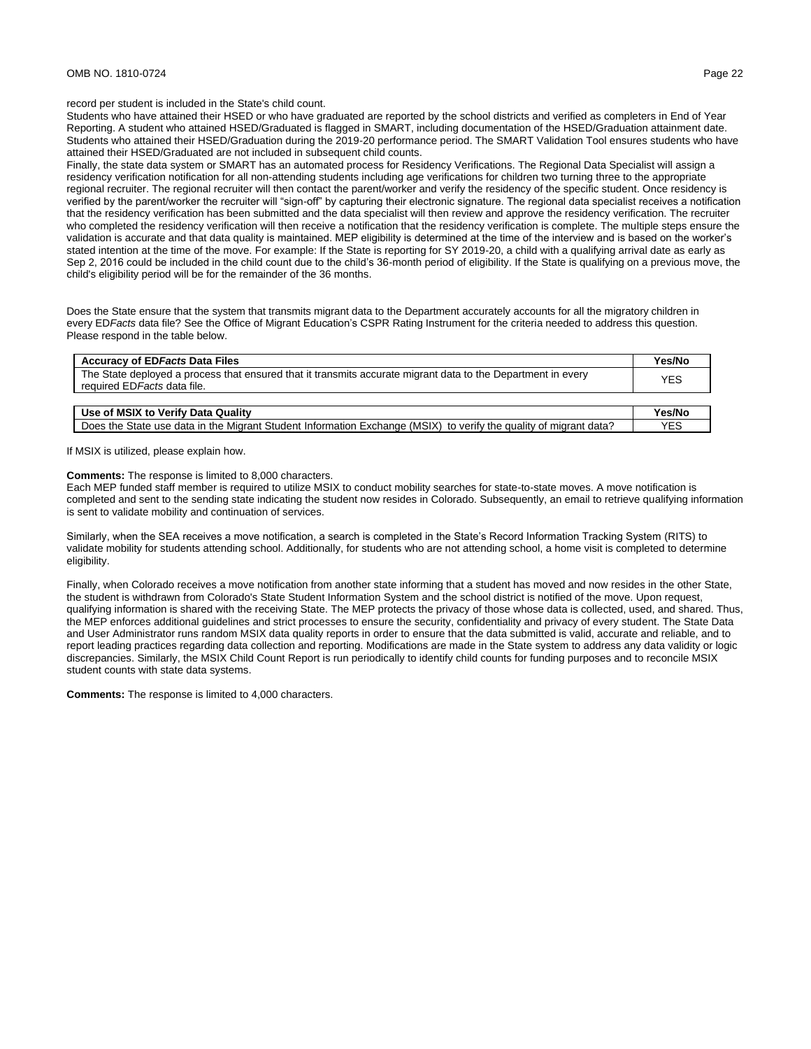## OMB NO. 1810-0724 Page 22

### record per student is included in the State's child count.

Students who have attained their HSED or who have graduated are reported by the school districts and verified as completers in End of Year Reporting. A student who attained HSED/Graduated is flagged in SMART, including documentation of the HSED/Graduation attainment date. Students who attained their HSED/Graduation during the 2019-20 performance period. The SMART Validation Tool ensures students who have attained their HSED/Graduated are not included in subsequent child counts.

Finally, the state data system or SMART has an automated process for Residency Verifications. The Regional Data Specialist will assign a residency verification notification for all non-attending students including age verifications for children two turning three to the appropriate regional recruiter. The regional recruiter will then contact the parent/worker and verify the residency of the specific student. Once residency is verified by the parent/worker the recruiter will "sign-off" by capturing their electronic signature. The regional data specialist receives a notification that the residency verification has been submitted and the data specialist will then review and approve the residency verification. The recruiter who completed the residency verification will then receive a notification that the residency verification is complete. The multiple steps ensure the validation is accurate and that data quality is maintained. MEP eligibility is determined at the time of the interview and is based on the worker's stated intention at the time of the move. For example: If the State is reporting for SY 2019-20, a child with a qualifying arrival date as early as Sep 2, 2016 could be included in the child count due to the child's 36-month period of eligibility. If the State is qualifying on a previous move, the child's eligibility period will be for the remainder of the 36 months.

Does the State ensure that the system that transmits migrant data to the Department accurately accounts for all the migratory children in every ED*Facts* data file? See the Office of Migrant Education's CSPR Rating Instrument for the criteria needed to address this question. Please respond in the table below.

| Yes/No     |
|------------|
| YES        |
|            |
| Yes/No     |
| <b>YES</b> |
|            |

If MSIX is utilized, please explain how.

#### **Comments:** The response is limited to 8,000 characters.

Each MEP funded staff member is required to utilize MSIX to conduct mobility searches for state-to-state moves. A move notification is completed and sent to the sending state indicating the student now resides in Colorado. Subsequently, an email to retrieve qualifying information is sent to validate mobility and continuation of services.

Similarly, when the SEA receives a move notification, a search is completed in the State's Record Information Tracking System (RITS) to validate mobility for students attending school. Additionally, for students who are not attending school, a home visit is completed to determine eligibility.

Finally, when Colorado receives a move notification from another state informing that a student has moved and now resides in the other State, the student is withdrawn from Colorado's State Student Information System and the school district is notified of the move. Upon request, qualifying information is shared with the receiving State. The MEP protects the privacy of those whose data is collected, used, and shared. Thus, the MEP enforces additional guidelines and strict processes to ensure the security, confidentiality and privacy of every student. The State Data and User Administrator runs random MSIX data quality reports in order to ensure that the data submitted is valid, accurate and reliable, and to report leading practices regarding data collection and reporting. Modifications are made in the State system to address any data validity or logic discrepancies. Similarly, the MSIX Child Count Report is run periodically to identify child counts for funding purposes and to reconcile MSIX student counts with state data systems.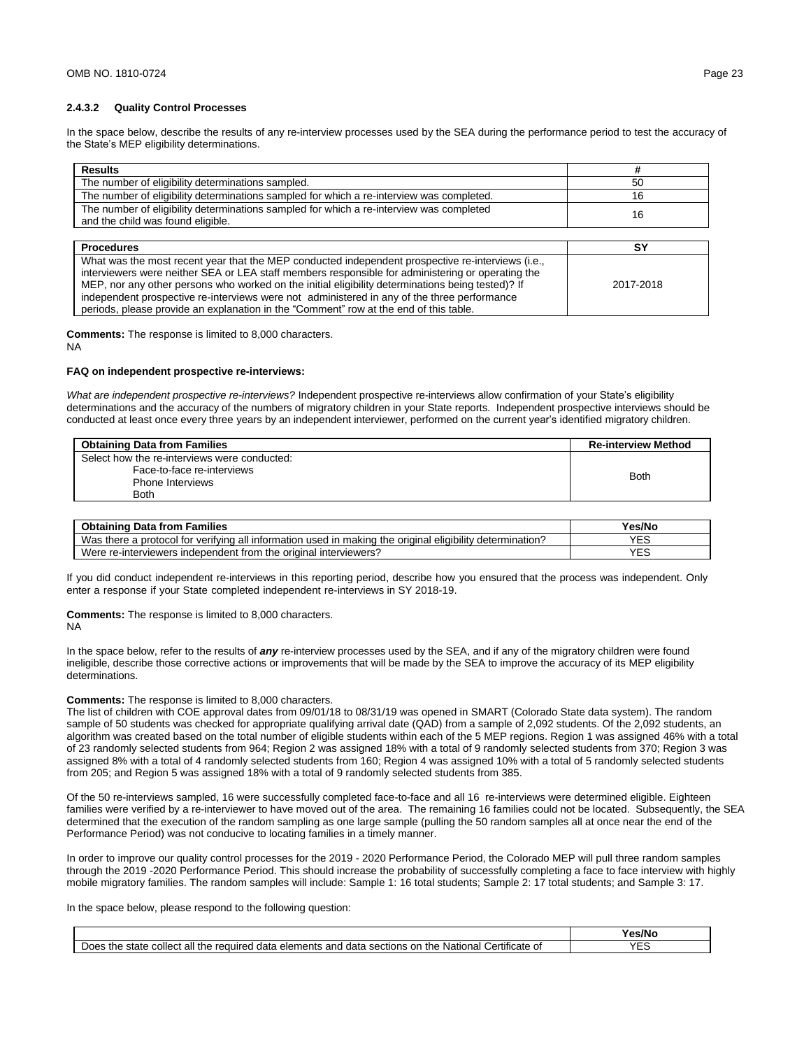#### **2.4.3.2 Quality Control Processes**

In the space below, describe the results of any re-interview processes used by the SEA during the performance period to test the accuracy of the State's MEP eligibility determinations.

| <b>Results</b>                                                                                                                                                                                                                                                                                                                                                                                                                                                                                      | #         |
|-----------------------------------------------------------------------------------------------------------------------------------------------------------------------------------------------------------------------------------------------------------------------------------------------------------------------------------------------------------------------------------------------------------------------------------------------------------------------------------------------------|-----------|
| The number of eligibility determinations sampled.                                                                                                                                                                                                                                                                                                                                                                                                                                                   | 50        |
| The number of eligibility determinations sampled for which a re-interview was completed.                                                                                                                                                                                                                                                                                                                                                                                                            | 16        |
| The number of eligibility determinations sampled for which a re-interview was completed<br>and the child was found eligible.                                                                                                                                                                                                                                                                                                                                                                        | 16        |
|                                                                                                                                                                                                                                                                                                                                                                                                                                                                                                     |           |
| <b>Procedures</b>                                                                                                                                                                                                                                                                                                                                                                                                                                                                                   | SΥ        |
| What was the most recent year that the MEP conducted independent prospective re-interviews (i.e.,<br>interviewers were neither SEA or LEA staff members responsible for administering or operating the<br>MEP, nor any other persons who worked on the initial eligibility determinations being tested)? If<br>independent prospective re-interviews were not administered in any of the three performance<br>periods, please provide an explanation in the "Comment" row at the end of this table. | 2017-2018 |

**Comments:** The response is limited to 8,000 characters.

NA

#### **FAQ on independent prospective re-interviews:**

*What are independent prospective re-interviews?* Independent prospective re-interviews allow confirmation of your State's eligibility determinations and the accuracy of the numbers of migratory children in your State reports. Independent prospective interviews should be conducted at least once every three years by an independent interviewer, performed on the current year's identified migratory children.

| <b>Obtaining Data from Families</b>          | <b>Re-interview Method</b> |
|----------------------------------------------|----------------------------|
| Select how the re-interviews were conducted: |                            |
| Face-to-face re-interviews                   | <b>Both</b>                |
| <b>Phone Interviews</b>                      |                            |
| <b>Both</b>                                  |                            |

| <b>Obtaining Data from Families</b>                                                                       | Yes/No |
|-----------------------------------------------------------------------------------------------------------|--------|
| Was there a protocol for verifying all information used in making the original eligibility determination? |        |
| Were re-interviewers independent from the original interviewers?                                          | VE     |

If you did conduct independent re-interviews in this reporting period, describe how you ensured that the process was independent. Only enter a response if your State completed independent re-interviews in SY 2018-19.

**Comments:** The response is limited to 8,000 characters.

#### NA

In the space below, refer to the results of *any* re-interview processes used by the SEA, and if any of the migratory children were found ineligible, describe those corrective actions or improvements that will be made by the SEA to improve the accuracy of its MEP eligibility determinations.

## **Comments:** The response is limited to 8,000 characters.

The list of children with COE approval dates from 09/01/18 to 08/31/19 was opened in SMART (Colorado State data system). The random sample of 50 students was checked for appropriate qualifying arrival date (QAD) from a sample of 2,092 students. Of the 2,092 students, an algorithm was created based on the total number of eligible students within each of the 5 MEP regions. Region 1 was assigned 46% with a total of 23 randomly selected students from 964; Region 2 was assigned 18% with a total of 9 randomly selected students from 370; Region 3 was assigned 8% with a total of 4 randomly selected students from 160; Region 4 was assigned 10% with a total of 5 randomly selected students from 205; and Region 5 was assigned 18% with a total of 9 randomly selected students from 385.

Of the 50 re-interviews sampled, 16 were successfully completed face-to-face and all 16 re-interviews were determined eligible. Eighteen families were verified by a re-interviewer to have moved out of the area. The remaining 16 families could not be located. Subsequently, the SEA determined that the execution of the random sampling as one large sample (pulling the 50 random samples all at once near the end of the Performance Period) was not conducive to locating families in a timely manner.

In order to improve our quality control processes for the 2019 - 2020 Performance Period, the Colorado MEP will pull three random samples through the 2019 -2020 Performance Period. This should increase the probability of successfully completing a face to face interview with highly mobile migratory families. The random samples will include: Sample 1: 16 total students; Sample 2: 17 total students; and Sample 3: 17.

In the space below, please respond to the following question:

|                                                                                                                                                                            | Yes/No            |
|----------------------------------------------------------------------------------------------------------------------------------------------------------------------------|-------------------|
| $\cdots$<br>all<br>Certificate r<br>National<br>and<br>the<br>∵the<br>elements<br>the<br>collect<br>' data<br>. sections<br>on<br>data<br>∘ot<br>state<br>reauirea<br>Does | $\sqrt{r}$<br>- - |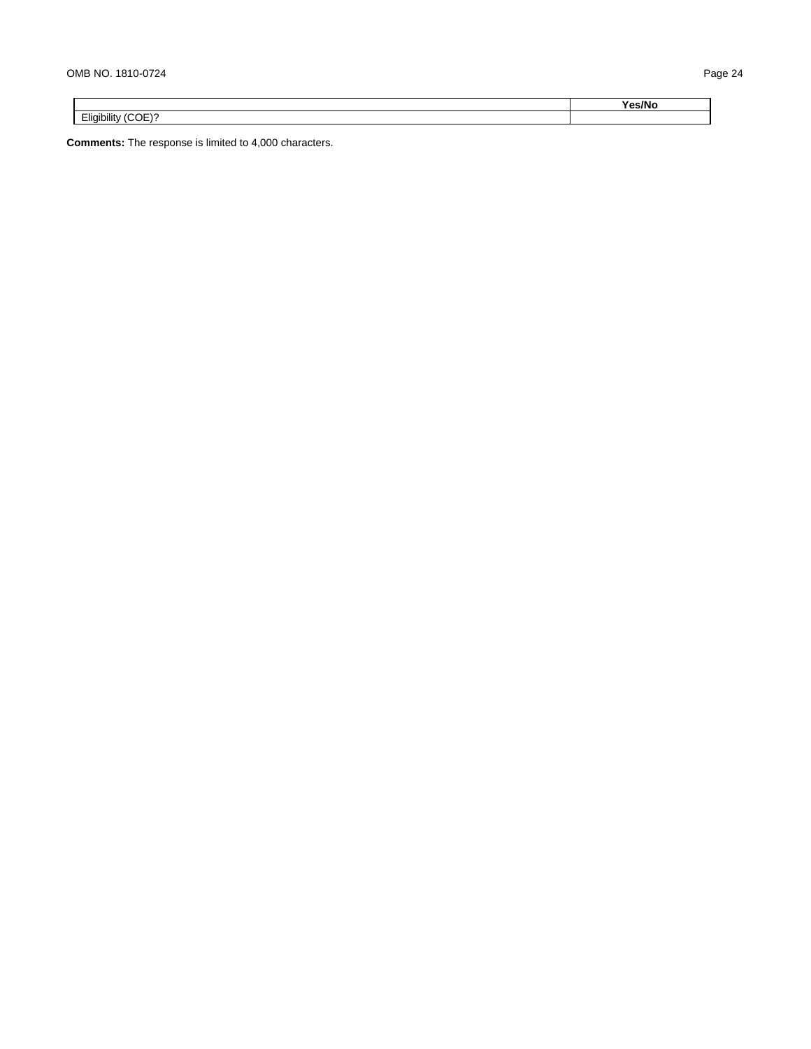|                                  | Yes/No |
|----------------------------------|--------|
| Eligibility (COE)?<br>$-$<br>. . |        |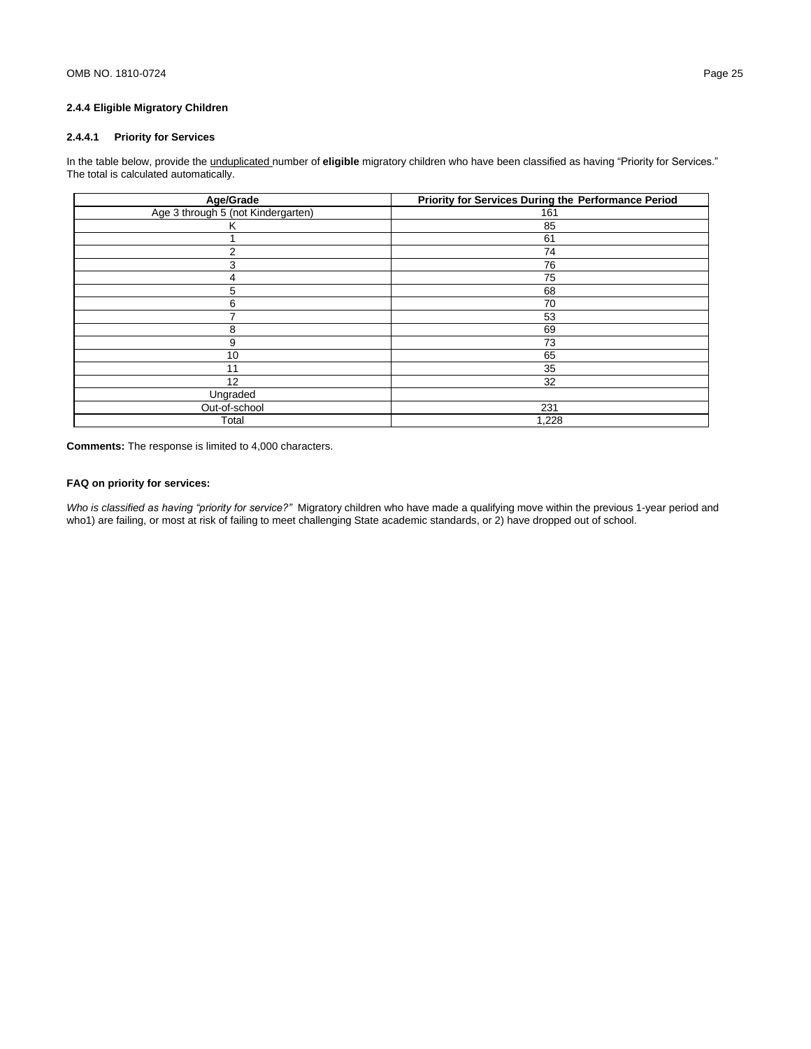# **2.4.4 Eligible Migratory Children**

# **2.4.4.1 Priority for Services**

In the table below, provide the unduplicated number of **eligible** migratory children who have been classified as having "Priority for Services." The total is calculated automatically.

| Age/Grade                          | <b>Priority for Services During the Performance Period</b> |
|------------------------------------|------------------------------------------------------------|
| Age 3 through 5 (not Kindergarten) | 161                                                        |
| K                                  | 85                                                         |
|                                    | 61                                                         |
| $\overline{2}$                     | 74                                                         |
| 3                                  | 76                                                         |
| 4                                  | 75                                                         |
| 5                                  | 68                                                         |
| 6                                  | 70                                                         |
|                                    | 53                                                         |
| 8                                  | 69                                                         |
| 9                                  | 73                                                         |
| 10                                 | 65                                                         |
| 11                                 | 35                                                         |
| 12                                 | 32                                                         |
| Ungraded                           |                                                            |
| Out-of-school                      | 231                                                        |
| Total                              | 1,228                                                      |

**Comments:** The response is limited to 4,000 characters.

# **FAQ on priority for services:**

*Who is classified as having "priority for service?"* Migratory children who have made a qualifying move within the previous 1-year period and who1) are failing, or most at risk of failing to meet challenging State academic standards, or 2) have dropped out of school.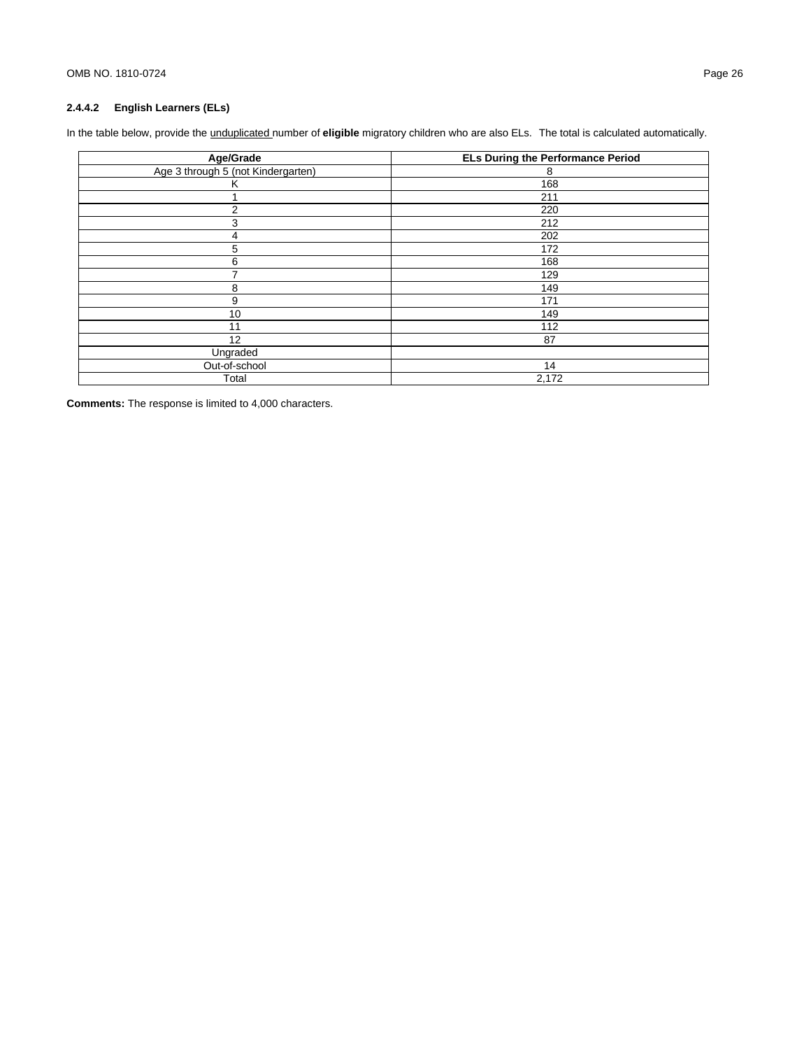# **2.4.4.2 English Learners (ELs)**

In the table below, provide the unduplicated number of **eligible** migratory children who are also ELs. The total is calculated automatically.

| Age/Grade                          | <b>ELs During the Performance Period</b> |
|------------------------------------|------------------------------------------|
| Age 3 through 5 (not Kindergarten) | 8                                        |
| Κ                                  | 168                                      |
|                                    | 211                                      |
| $\overline{2}$                     | 220                                      |
| 3                                  | 212                                      |
| 4                                  | 202                                      |
| 5                                  | 172                                      |
| 6                                  | 168                                      |
|                                    | 129                                      |
| 8                                  | 149                                      |
| 9                                  | 171                                      |
| 10                                 | 149                                      |
| 11                                 | 112                                      |
| 12                                 | 87                                       |
| Ungraded                           |                                          |
| Out-of-school                      | 14                                       |
| Total                              | 2,172                                    |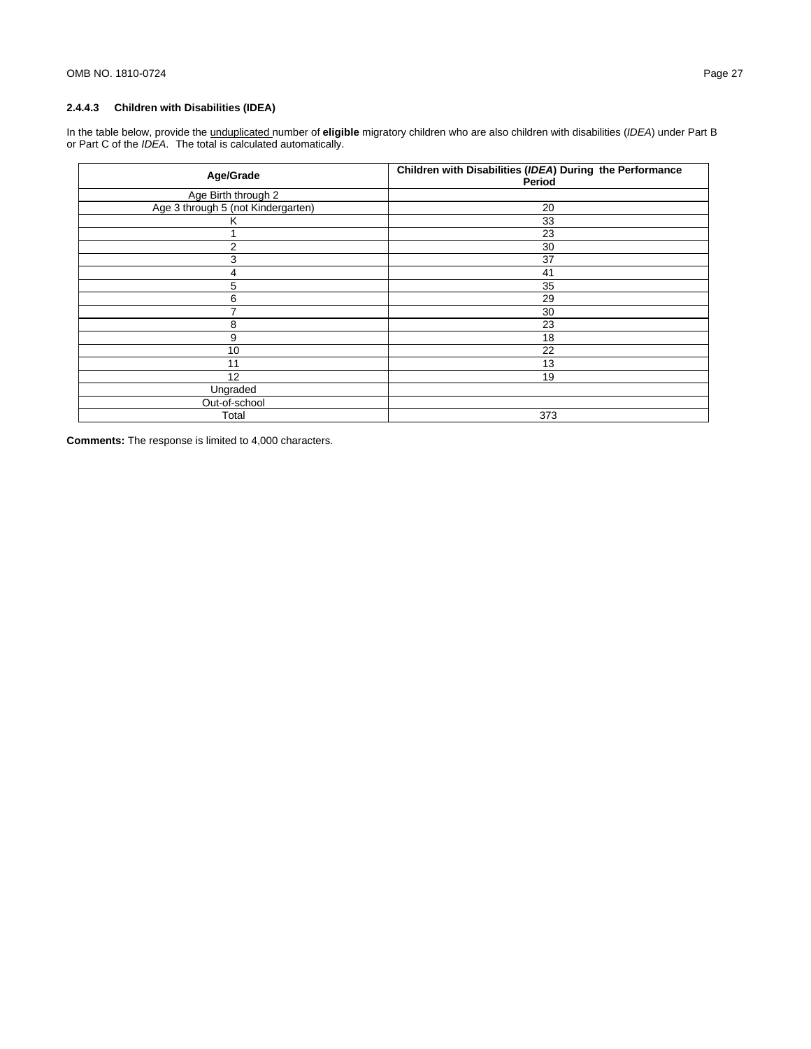# **2.4.4.3 Children with Disabilities (IDEA)**

In the table below, provide the unduplicated number of **eligible** migratory children who are also children with disabilities (*IDEA*) under Part B or Part C of the *IDEA*. The total is calculated automatically.

| Age/Grade                          | Children with Disabilities (IDEA) During the Performance<br>Period |
|------------------------------------|--------------------------------------------------------------------|
| Age Birth through 2                |                                                                    |
| Age 3 through 5 (not Kindergarten) | 20                                                                 |
| K                                  | 33                                                                 |
|                                    | 23                                                                 |
| 2                                  | 30                                                                 |
| 3                                  | 37                                                                 |
| 4                                  | 41                                                                 |
| 5                                  | 35                                                                 |
| 6                                  | 29                                                                 |
| 7                                  | 30                                                                 |
| 8                                  | 23                                                                 |
| 9                                  | 18                                                                 |
| 10                                 | 22                                                                 |
| 11                                 | 13                                                                 |
| 12                                 | 19                                                                 |
| Ungraded                           |                                                                    |
| Out-of-school                      |                                                                    |
| Total                              | 373                                                                |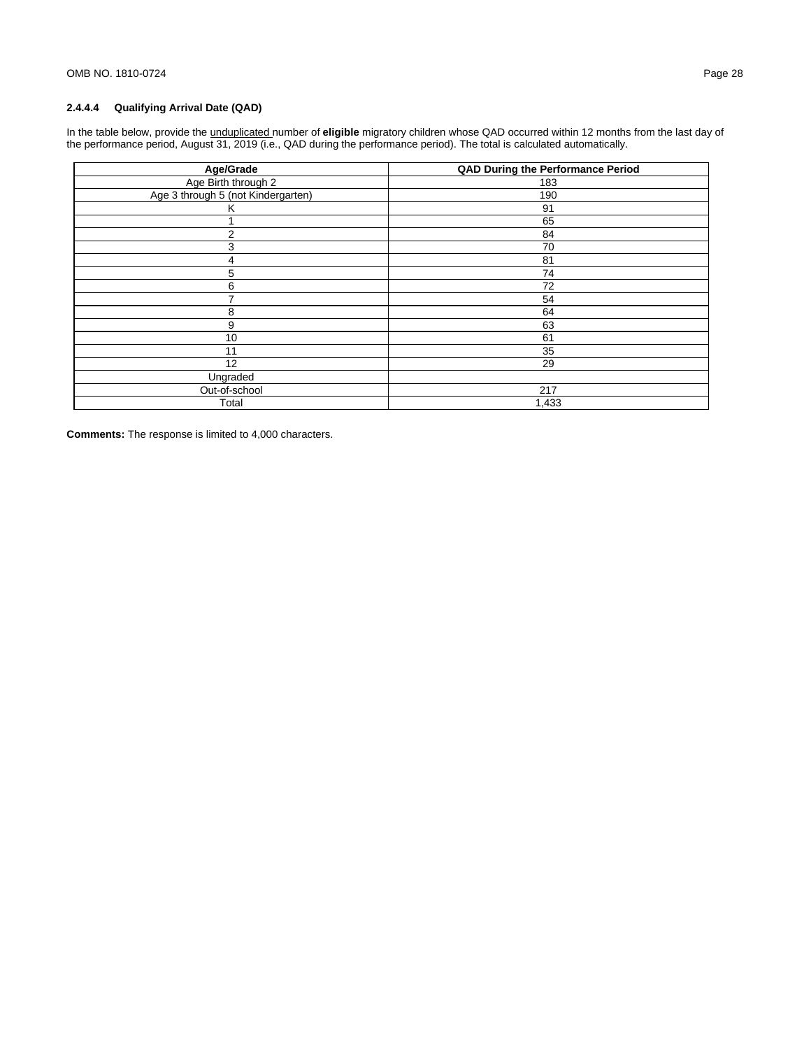# **2.4.4.4 Qualifying Arrival Date (QAD)**

In the table below, provide the unduplicated number of **eligible** migratory children whose QAD occurred within 12 months from the last day of the performance period, August 31, 2019 (i.e., QAD during the performance period). The total is calculated automatically.

| Age/Grade                          | <b>QAD During the Performance Period</b> |
|------------------------------------|------------------------------------------|
| Age Birth through 2                | 183                                      |
| Age 3 through 5 (not Kindergarten) | 190                                      |
| κ                                  | 91                                       |
|                                    | 65                                       |
| $\overline{2}$                     | 84                                       |
| 3                                  | 70                                       |
| 4                                  | 81                                       |
| 5                                  | 74                                       |
| 6                                  | 72                                       |
| 7                                  | 54                                       |
| 8                                  | 64                                       |
| 9                                  | 63                                       |
| 10                                 | 61                                       |
| 11                                 | 35                                       |
| 12                                 | 29                                       |
| Ungraded                           |                                          |
| Out-of-school                      | 217                                      |
| Total                              | 1,433                                    |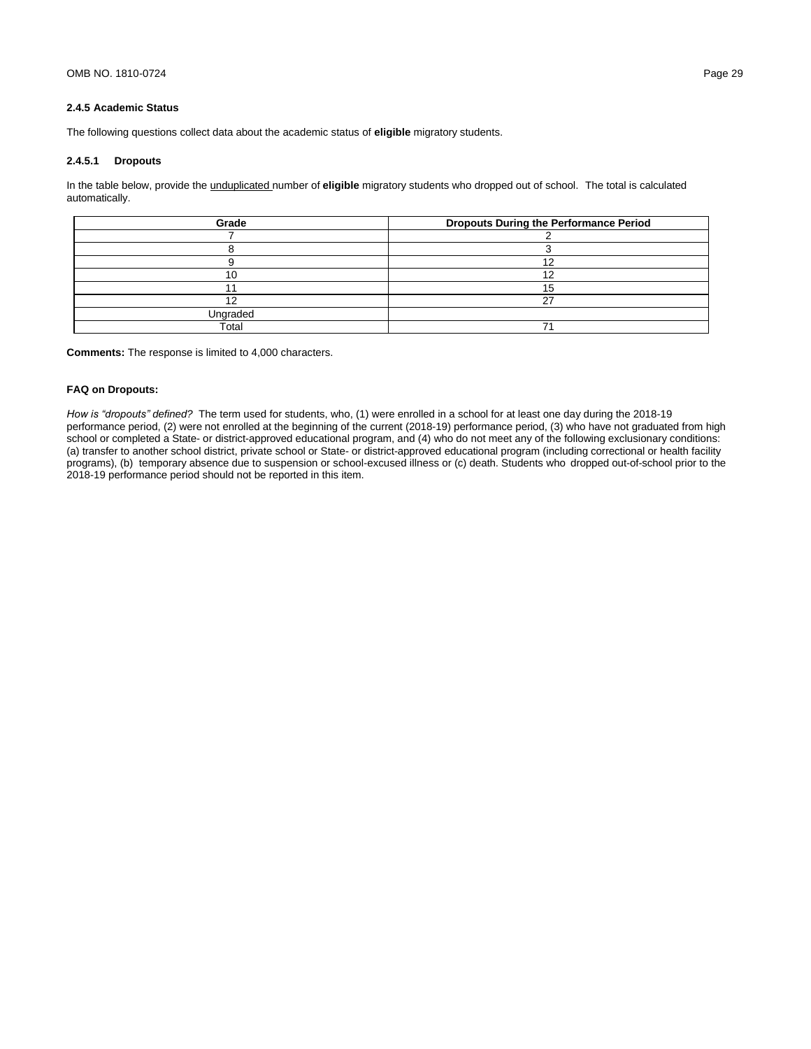## **2.4.5 Academic Status**

The following questions collect data about the academic status of **eligible** migratory students.

## **2.4.5.1 Dropouts**

In the table below, provide the unduplicated number of **eligible** migratory students who dropped out of school. The total is calculated automatically.

| Grade    | <b>Dropouts During the Performance Period</b> |
|----------|-----------------------------------------------|
|          |                                               |
|          |                                               |
|          | 10                                            |
|          |                                               |
|          |                                               |
|          |                                               |
| Ungraded |                                               |
| Total    |                                               |

**Comments:** The response is limited to 4,000 characters.

## **FAQ on Dropouts:**

*How is "dropouts" defined?* The term used for students, who, (1) were enrolled in a school for at least one day during the 2018-19 performance period, (2) were not enrolled at the beginning of the current (2018-19) performance period, (3) who have not graduated from high school or completed a State- or district-approved educational program, and (4) who do not meet any of the following exclusionary conditions: (a) transfer to another school district, private school or State- or district-approved educational program (including correctional or health facility programs), (b) temporary absence due to suspension or school-excused illness or (c) death. Students who dropped out-of-school prior to the 2018-19 performance period should not be reported in this item.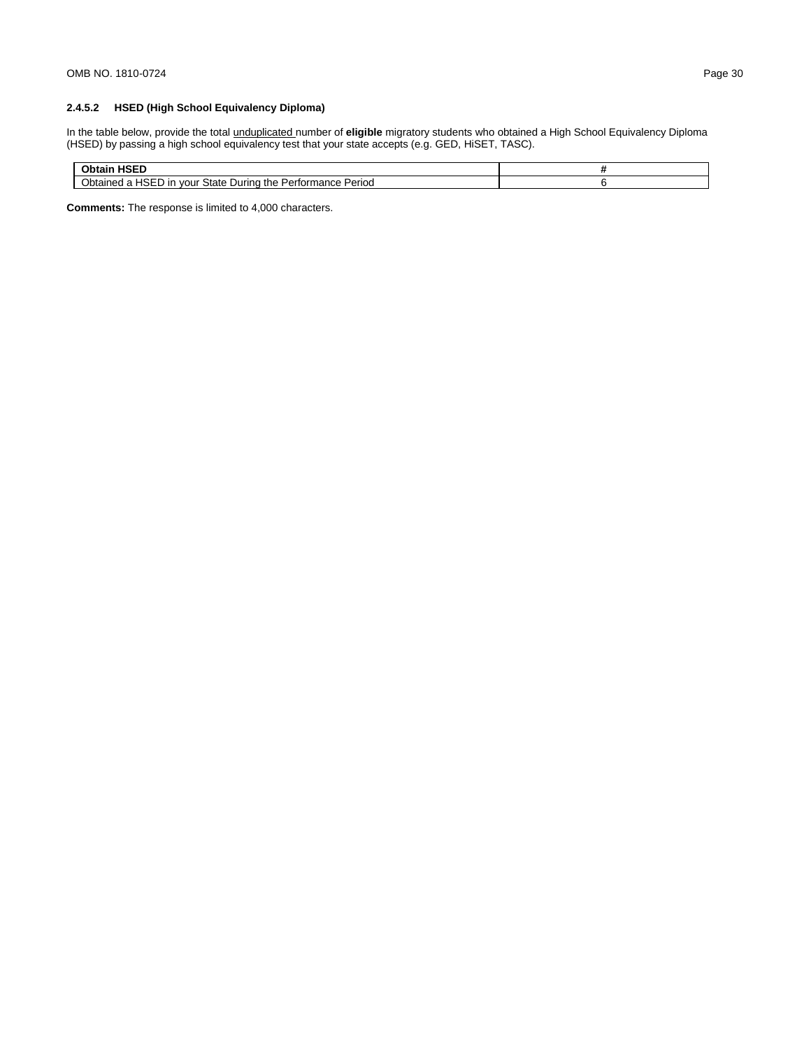# **2.4.5.2 HSED (High School Equivalency Diploma)**

In the table below, provide the total unduplicated number of **eligible** migratory students who obtained a High School Equivalency Diploma (HSED) by passing a high school equivalency test that your state accepts (e.g. GED, HiSET, TASC).

| 1.0000<br>пэсь                                                                                          |  |
|---------------------------------------------------------------------------------------------------------|--|
| 10F<br>State During<br>Period<br>the<br>tormance,<br><b>Jotained</b><br>vour<br>Perforn.<br>חו י<br>שאר |  |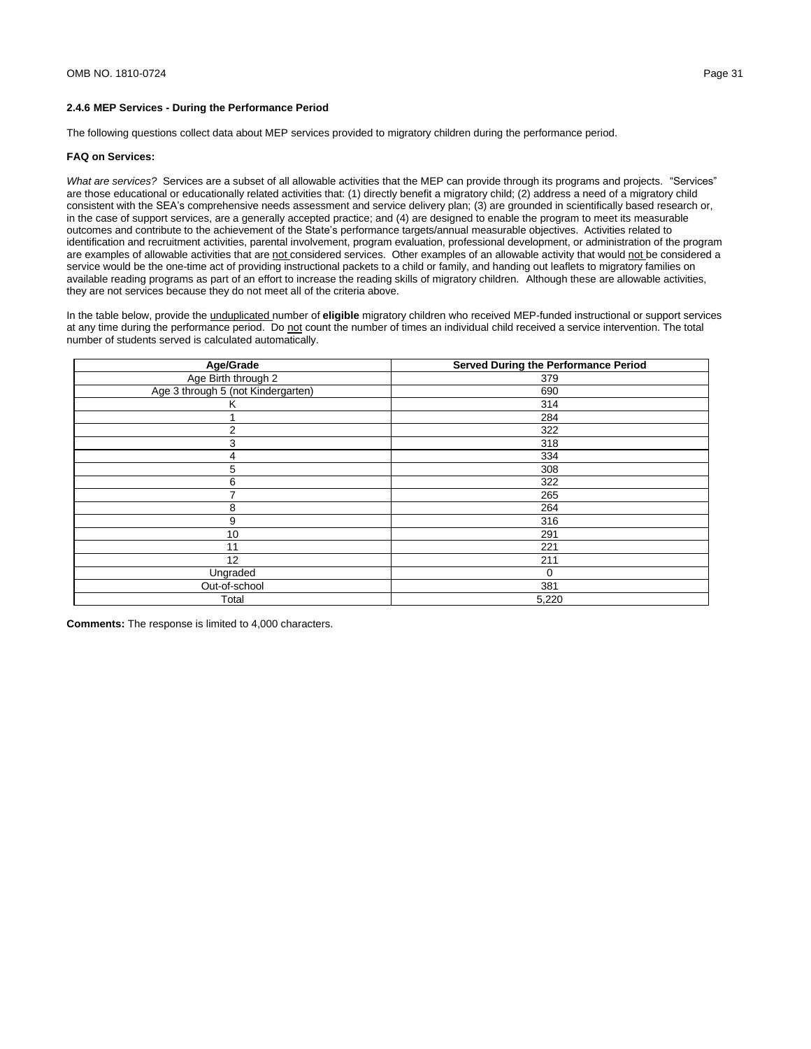The following questions collect data about MEP services provided to migratory children during the performance period.

### **FAQ on Services:**

*What are services?* Services are a subset of all allowable activities that the MEP can provide through its programs and projects. "Services" are those educational or educationally related activities that: (1) directly benefit a migratory child; (2) address a need of a migratory child consistent with the SEA's comprehensive needs assessment and service delivery plan; (3) are grounded in scientifically based research or, in the case of support services, are a generally accepted practice; and (4) are designed to enable the program to meet its measurable outcomes and contribute to the achievement of the State's performance targets/annual measurable objectives. Activities related to identification and recruitment activities, parental involvement, program evaluation, professional development, or administration of the program are examples of allowable activities that are not considered services. Other examples of an allowable activity that would not be considered a service would be the one-time act of providing instructional packets to a child or family, and handing out leaflets to migratory families on available reading programs as part of an effort to increase the reading skills of migratory children. Although these are allowable activities, they are not services because they do not meet all of the criteria above.

In the table below, provide the unduplicated number of **eligible** migratory children who received MEP-funded instructional or support services at any time during the performance period. Do not count the number of times an individual child received a service intervention. The total number of students served is calculated automatically.

| Age/Grade                          | <b>Served During the Performance Period</b> |
|------------------------------------|---------------------------------------------|
| Age Birth through 2                | 379                                         |
| Age 3 through 5 (not Kindergarten) | 690                                         |
| Κ                                  | 314                                         |
|                                    | 284                                         |
| $\overline{2}$                     | 322                                         |
| 3                                  | 318                                         |
| 4                                  | 334                                         |
| 5                                  | 308                                         |
| 6                                  | 322                                         |
|                                    | 265                                         |
| 8                                  | 264                                         |
| 9                                  | 316                                         |
| 10                                 | 291                                         |
| 11                                 | 221                                         |
| 12                                 | 211                                         |
| Ungraded                           | $\Omega$                                    |
| Out-of-school                      | 381                                         |
| Total                              | 5,220                                       |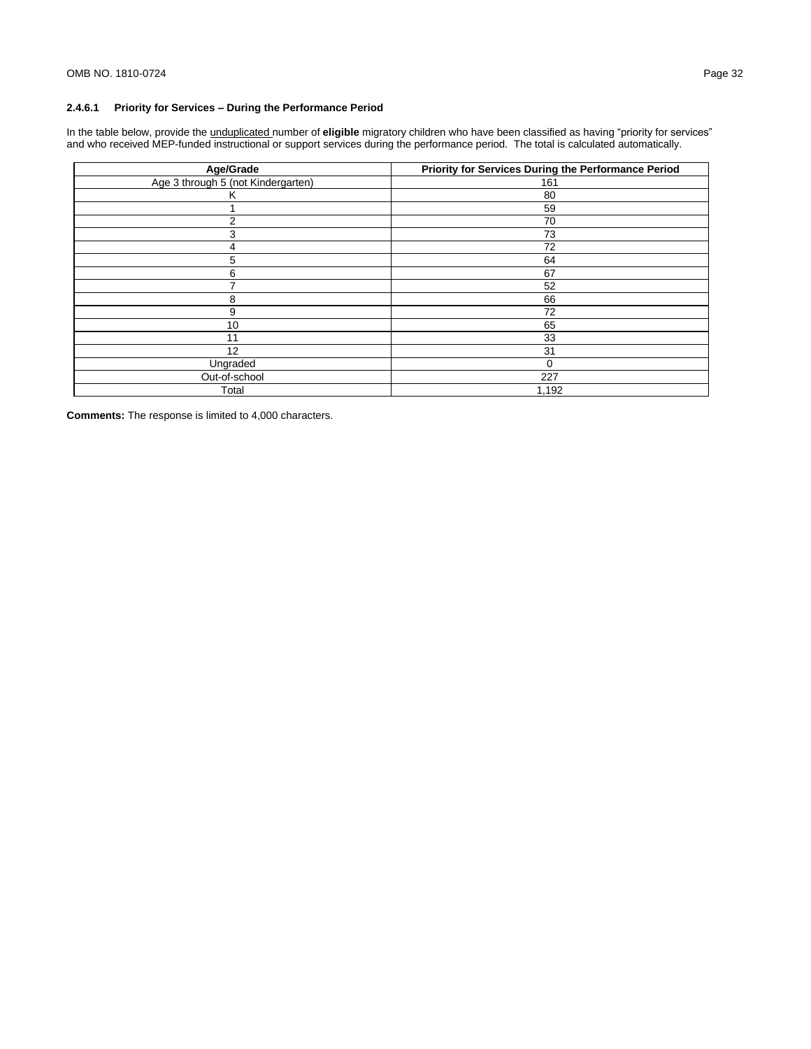# **2.4.6.1 Priority for Services – During the Performance Period**

In the table below, provide the unduplicated number of **eligible** migratory children who have been classified as having "priority for services" and who received MEP-funded instructional or support services during the performance period. The total is calculated automatically.

| Age/Grade                          | Priority for Services During the Performance Period |
|------------------------------------|-----------------------------------------------------|
| Age 3 through 5 (not Kindergarten) | 161                                                 |
| κ                                  | 80                                                  |
|                                    | 59                                                  |
| 2                                  | 70                                                  |
| 3                                  | 73                                                  |
| 4                                  | 72                                                  |
| 5                                  | 64                                                  |
| 6                                  | 67                                                  |
|                                    | 52                                                  |
| 8                                  | 66                                                  |
| 9                                  | 72                                                  |
| 10                                 | 65                                                  |
| 11                                 | 33                                                  |
| 12                                 | 31                                                  |
| Ungraded                           | 0                                                   |
| Out-of-school                      | 227                                                 |
| Total                              | 1,192                                               |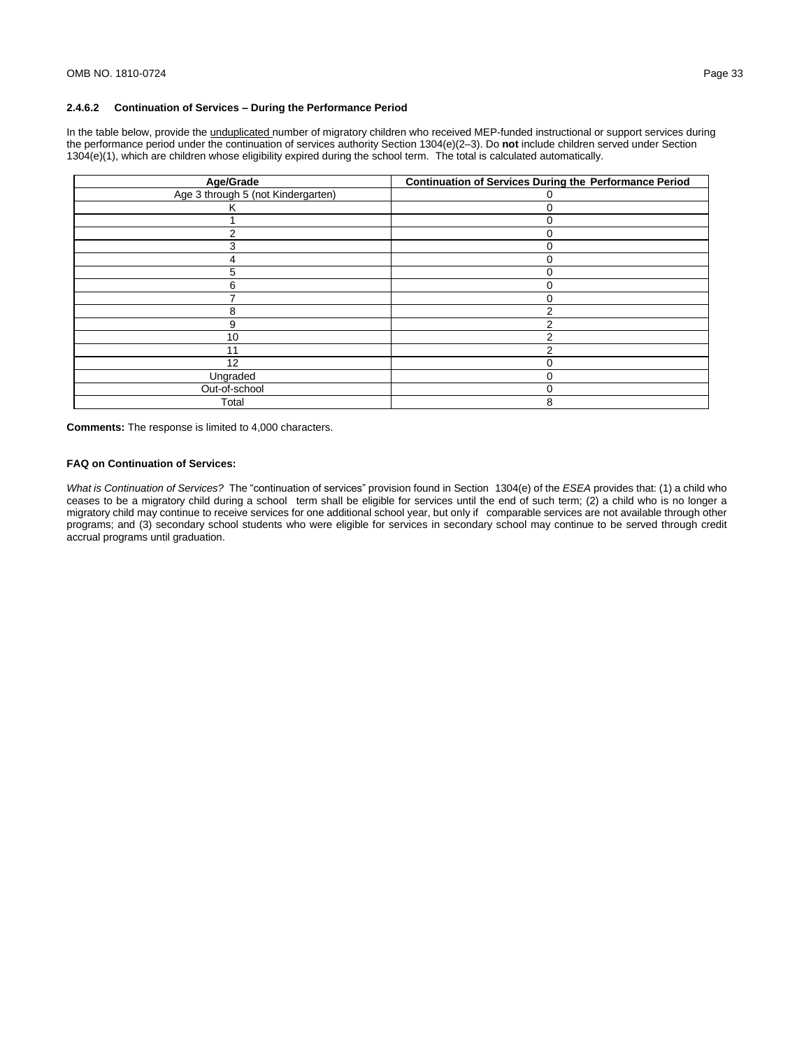In the table below, provide the *unduplicated* number of migratory children who received MEP-funded instructional or support services during the performance period under the continuation of services authority Section 1304(e)(2–3). Do **not** include children served under Section 1304(e)(1), which are children whose eligibility expired during the school term. The total is calculated automatically.

| Age/Grade                          | <b>Continuation of Services During the Performance Period</b> |  |  |
|------------------------------------|---------------------------------------------------------------|--|--|
| Age 3 through 5 (not Kindergarten) | $\lceil$                                                      |  |  |
| ĸ                                  | $\Omega$                                                      |  |  |
|                                    | ∩                                                             |  |  |
|                                    | ۲                                                             |  |  |
|                                    | $\Omega$                                                      |  |  |
|                                    | 0                                                             |  |  |
| 5.                                 | 0                                                             |  |  |
| 6                                  | $\Omega$                                                      |  |  |
|                                    | $\Omega$                                                      |  |  |
| 8                                  | っ                                                             |  |  |
| 9                                  |                                                               |  |  |
| 10                                 |                                                               |  |  |
| 11                                 |                                                               |  |  |
| 12                                 |                                                               |  |  |
| Ungraded                           | C                                                             |  |  |
| Out-of-school                      | 0                                                             |  |  |
| Total                              | 8                                                             |  |  |

**Comments:** The response is limited to 4,000 characters.

#### **FAQ on Continuation of Services:**

*What is Continuation of Services?* The "continuation of services" provision found in Section 1304(e) of the *ESEA* provides that: (1) a child who ceases to be a migratory child during a school term shall be eligible for services until the end of such term; (2) a child who is no longer a migratory child may continue to receive services for one additional school year, but only if comparable services are not available through other programs; and (3) secondary school students who were eligible for services in secondary school may continue to be served through credit accrual programs until graduation.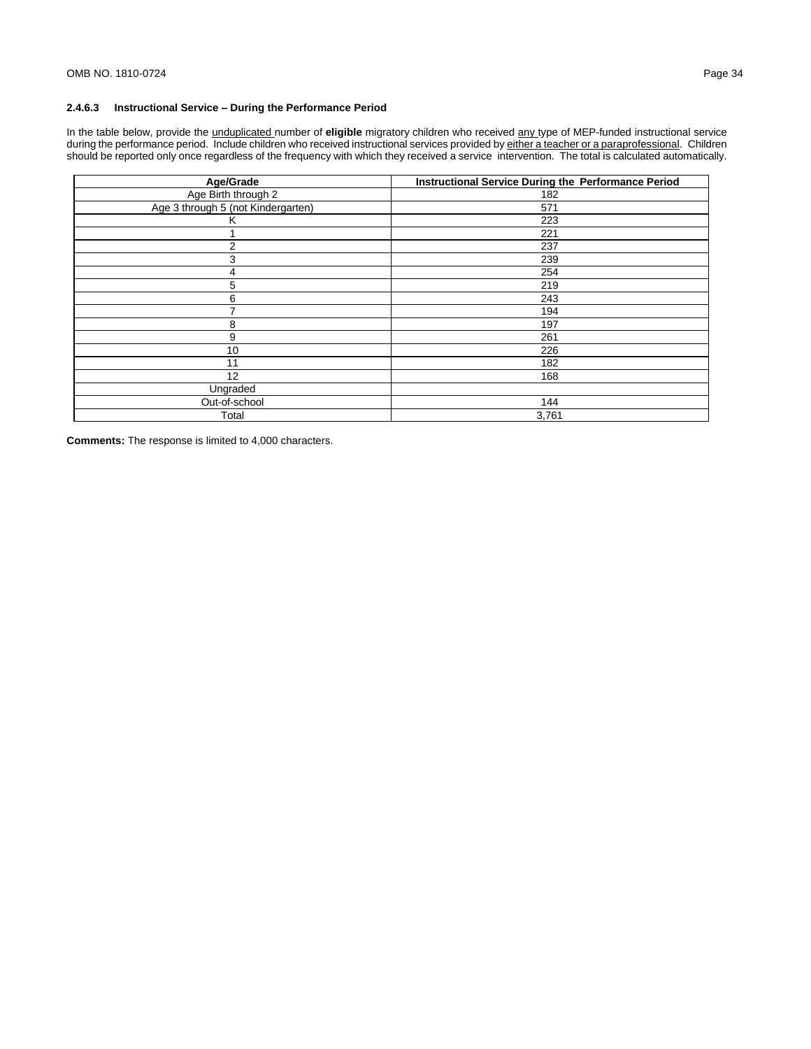## **2.4.6.3 Instructional Service – During the Performance Period**

In the table below, provide the unduplicated number of **eligible** migratory children who received any type of MEP-funded instructional service during the performance period. Include children who received instructional services provided by either a teacher or a paraprofessional. Children should be reported only once regardless of the frequency with which they received a service intervention. The total is calculated automatically.

| Age/Grade                          | <b>Instructional Service During the Performance Period</b> |
|------------------------------------|------------------------------------------------------------|
| Age Birth through 2                | 182                                                        |
| Age 3 through 5 (not Kindergarten) | 571                                                        |
| κ                                  | 223                                                        |
|                                    | 221                                                        |
| 2                                  | 237                                                        |
| 3                                  | 239                                                        |
| 4                                  | 254                                                        |
| 5                                  | 219                                                        |
| 6                                  | 243                                                        |
|                                    | 194                                                        |
| 8                                  | 197                                                        |
| 9                                  | 261                                                        |
| 10                                 | 226                                                        |
| 11                                 | 182                                                        |
| 12                                 | 168                                                        |
| Ungraded                           |                                                            |
| Out-of-school                      | 144                                                        |
| Total                              | 3,761                                                      |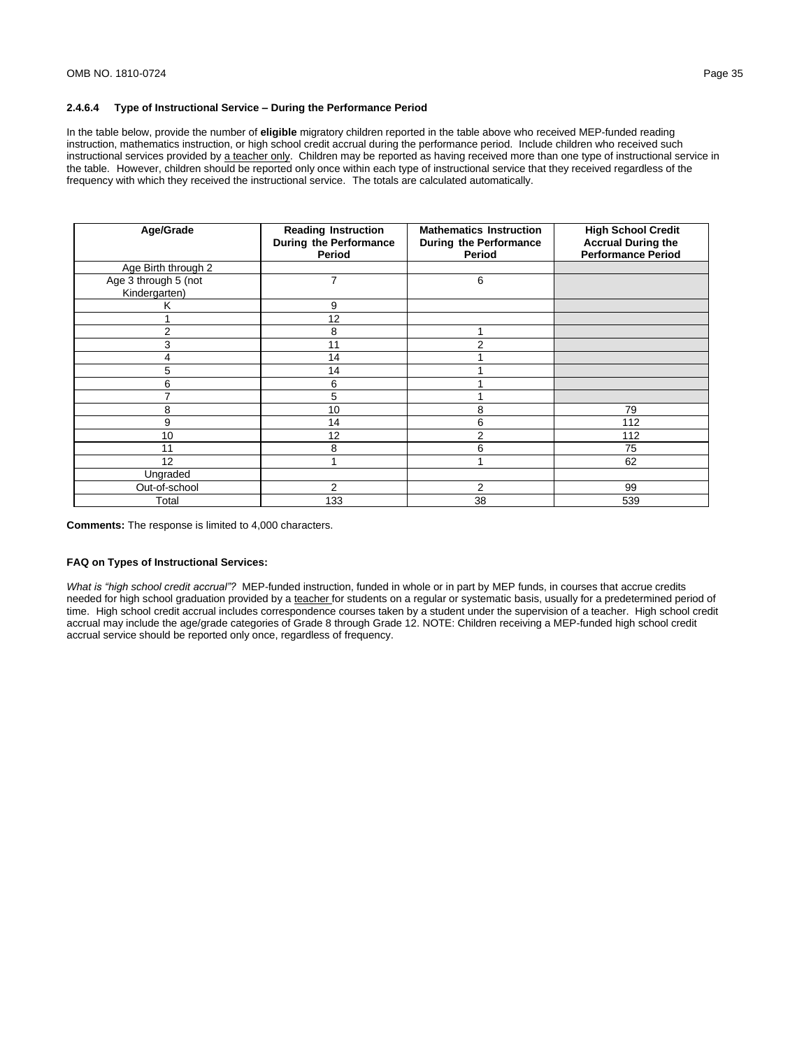# **2.4.6.4 Type of Instructional Service – During the Performance Period**

In the table below, provide the number of **eligible** migratory children reported in the table above who received MEP-funded reading instruction, mathematics instruction, or high school credit accrual during the performance period. Include children who received such instructional services provided by a teacher only. Children may be reported as having received more than one type of instructional service in the table. However, children should be reported only once within each type of instructional service that they received regardless of the frequency with which they received the instructional service. The totals are calculated automatically.

| Age/Grade                             | <b>Reading Instruction</b><br>During the Performance<br>Period | <b>Mathematics Instruction</b><br><b>During the Performance</b><br><b>Period</b> | <b>High School Credit</b><br><b>Accrual During the</b><br><b>Performance Period</b> |
|---------------------------------------|----------------------------------------------------------------|----------------------------------------------------------------------------------|-------------------------------------------------------------------------------------|
| Age Birth through 2                   |                                                                |                                                                                  |                                                                                     |
| Age 3 through 5 (not<br>Kindergarten) | 7                                                              | 6                                                                                |                                                                                     |
| ĸ                                     | 9                                                              |                                                                                  |                                                                                     |
|                                       | 12                                                             |                                                                                  |                                                                                     |
| 2                                     | 8                                                              |                                                                                  |                                                                                     |
| 3                                     | 11                                                             | 2                                                                                |                                                                                     |
|                                       | 14                                                             |                                                                                  |                                                                                     |
| 5                                     | 14                                                             |                                                                                  |                                                                                     |
| 6                                     | 6                                                              |                                                                                  |                                                                                     |
|                                       | 5                                                              |                                                                                  |                                                                                     |
| 8                                     | 10                                                             | 8                                                                                | 79                                                                                  |
| 9                                     | 14                                                             | 6                                                                                | 112                                                                                 |
| 10                                    | 12                                                             | 2                                                                                | 112                                                                                 |
| 11                                    | 8                                                              | 6                                                                                | 75                                                                                  |
| 12                                    |                                                                |                                                                                  | 62                                                                                  |
| Ungraded                              |                                                                |                                                                                  |                                                                                     |
| Out-of-school                         | 2                                                              | 2                                                                                | 99                                                                                  |
| Total                                 | 133                                                            | 38                                                                               | 539                                                                                 |

**Comments:** The response is limited to 4,000 characters.

#### **FAQ on Types of Instructional Services:**

*What is "high school credit accrual"?* MEP-funded instruction, funded in whole or in part by MEP funds, in courses that accrue credits needed for high school graduation provided by a teacher for students on a regular or systematic basis, usually for a predetermined period of time. High school credit accrual includes correspondence courses taken by a student under the supervision of a teacher. High school credit accrual may include the age/grade categories of Grade 8 through Grade 12. NOTE: Children receiving a MEP-funded high school credit accrual service should be reported only once, regardless of frequency.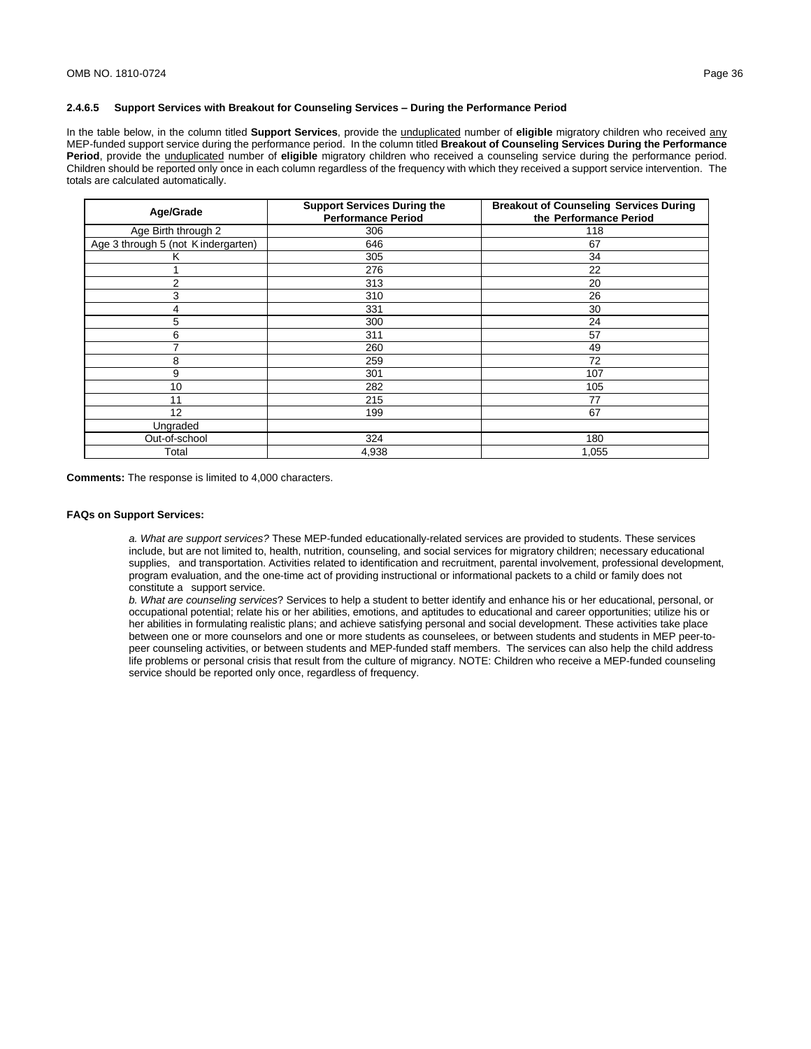#### **2.4.6.5 Support Services with Breakout for Counseling Services – During the Performance Period**

In the table below, in the column titled **Support Services**, provide the unduplicated number of **eligible** migratory children who received any MEP-funded support service during the performance period. In the column titled **Breakout of Counseling Services During the Performance Period**, provide the unduplicated number of **eligible** migratory children who received a counseling service during the performance period. Children should be reported only once in each column regardless of the frequency with which they received a support service intervention. The totals are calculated automatically.

| Age/Grade                          | <b>Support Services During the</b><br><b>Performance Period</b> | <b>Breakout of Counseling Services During</b><br>the Performance Period |
|------------------------------------|-----------------------------------------------------------------|-------------------------------------------------------------------------|
| Age Birth through 2                | 306                                                             | 118                                                                     |
| Age 3 through 5 (not Kindergarten) | 646                                                             | 67                                                                      |
| κ                                  | 305                                                             | 34                                                                      |
|                                    | 276                                                             | 22                                                                      |
| $\overline{2}$                     | 313                                                             | 20                                                                      |
| 3                                  | 310                                                             | 26                                                                      |
| 4                                  | 331                                                             | 30                                                                      |
| 5                                  | 300                                                             | 24                                                                      |
| 6                                  | 311                                                             | 57                                                                      |
|                                    | 260                                                             | 49                                                                      |
| 8                                  | 259                                                             | 72                                                                      |
| 9                                  | 301                                                             | 107                                                                     |
| 10                                 | 282                                                             | 105                                                                     |
| 11                                 | 215                                                             | 77                                                                      |
| 12                                 | 199                                                             | 67                                                                      |
| Ungraded                           |                                                                 |                                                                         |
| Out-of-school                      | 324                                                             | 180                                                                     |
| Total                              | 4,938                                                           | 1,055                                                                   |

**Comments:** The response is limited to 4,000 characters.

#### **FAQs on Support Services:**

*a. What are support services?* These MEP-funded educationally-related services are provided to students. These services include, but are not limited to, health, nutrition, counseling, and social services for migratory children; necessary educational supplies, and transportation. Activities related to identification and recruitment, parental involvement, professional development, program evaluation, and the one-time act of providing instructional or informational packets to a child or family does not constitute a support service.

*b. What are counseling services*? Services to help a student to better identify and enhance his or her educational, personal, or occupational potential; relate his or her abilities, emotions, and aptitudes to educational and career opportunities; utilize his or her abilities in formulating realistic plans; and achieve satisfying personal and social development. These activities take place between one or more counselors and one or more students as counselees, or between students and students in MEP peer-topeer counseling activities, or between students and MEP-funded staff members. The services can also help the child address life problems or personal crisis that result from the culture of migrancy. NOTE: Children who receive a MEP-funded counseling service should be reported only once, regardless of frequency.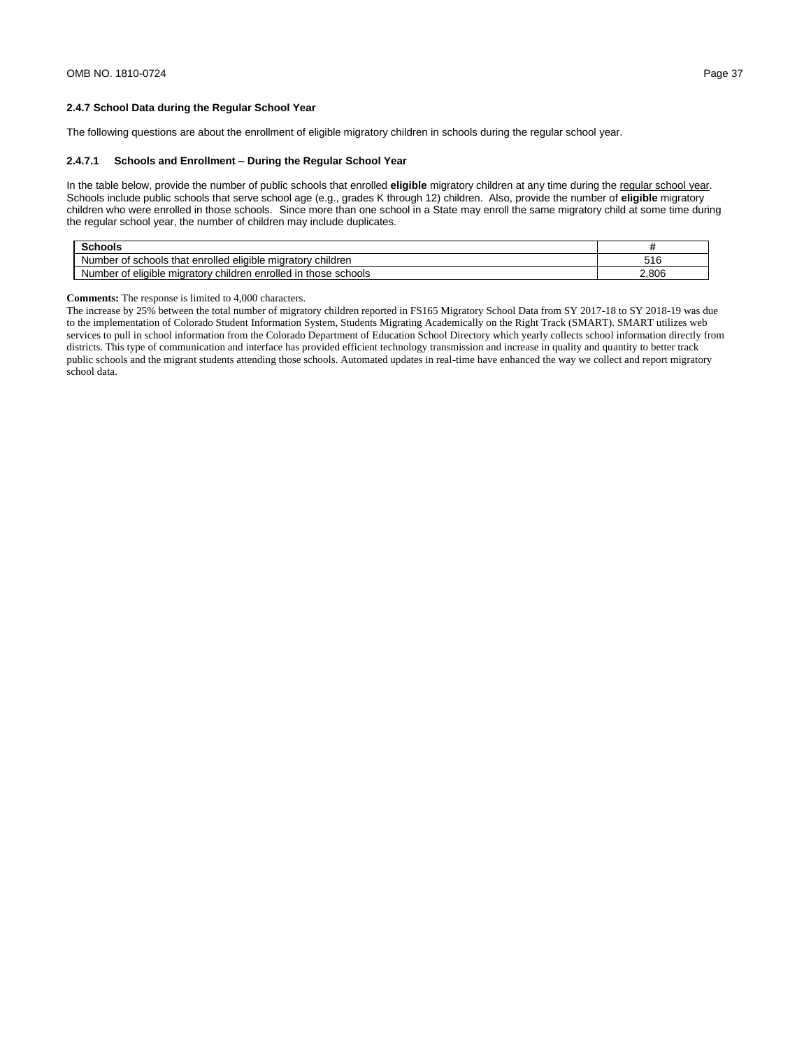The following questions are about the enrollment of eligible migratory children in schools during the regular school year.

### **2.4.7.1 Schools and Enrollment – During the Regular School Year**

In the table below, provide the number of public schools that enrolled **eligible** migratory children at any time during the regular school year. Schools include public schools that serve school age (e.g., grades K through 12) children. Also, provide the number of **eligible** migratory children who were enrolled in those schools. Since more than one school in a State may enroll the same migratory child at some time during the regular school year, the number of children may include duplicates.

| Schools                                                                             |       |
|-------------------------------------------------------------------------------------|-------|
| <br>enrolled<br>children<br>that<br>schools<br>eligible migratory<br>umber<br>Ωt    | 516   |
| enrolled<br>schools<br>those<br>eligible migratory<br>umber<br>children<br>Οt<br>Nı | 2,806 |

#### **Comments:** The response is limited to 4,000 characters.

The increase by 25% between the total number of migratory children reported in FS165 Migratory School Data from SY 2017-18 to SY 2018-19 was due to the implementation of Colorado Student Information System, Students Migrating Academically on the Right Track (SMART). SMART utilizes web services to pull in school information from the Colorado Department of Education School Directory which yearly collects school information directly from districts. This type of communication and interface has provided efficient technology transmission and increase in quality and quantity to better track public schools and the migrant students attending those schools. Automated updates in real-time have enhanced the way we collect and report migratory school data.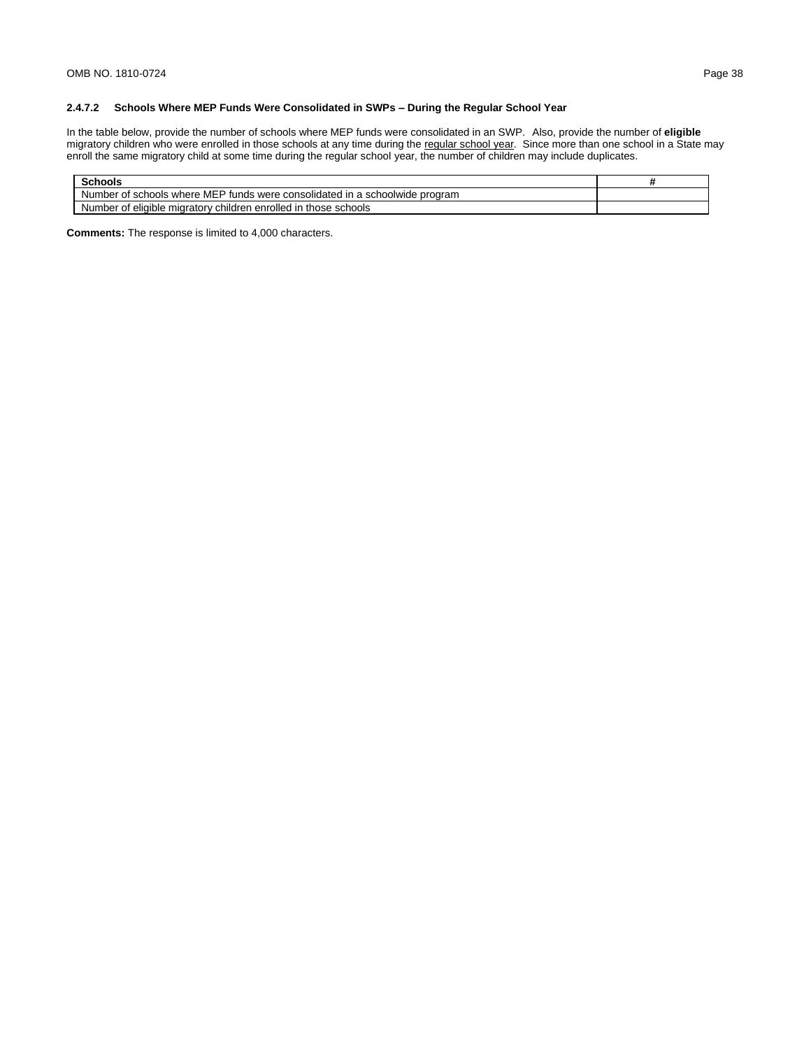## **2.4.7.2 Schools Where MEP Funds Were Consolidated in SWPs – During the Regular School Year**

In the table below, provide the number of schools where MEP funds were consolidated in an SWP. Also, provide the number of **eligible**  migratory children who were enrolled in those schools at any time during the regular school year. Since more than one school in a State may enroll the same migratory child at some time during the regular school year, the number of children may include duplicates.

| Schools                                                                            |  |
|------------------------------------------------------------------------------------|--|
| Number of schools where MEP funds were consolidated in a schoolwide program        |  |
| i enrolled in<br>eligible migratory children<br>Number<br>: schools<br>those<br>0t |  |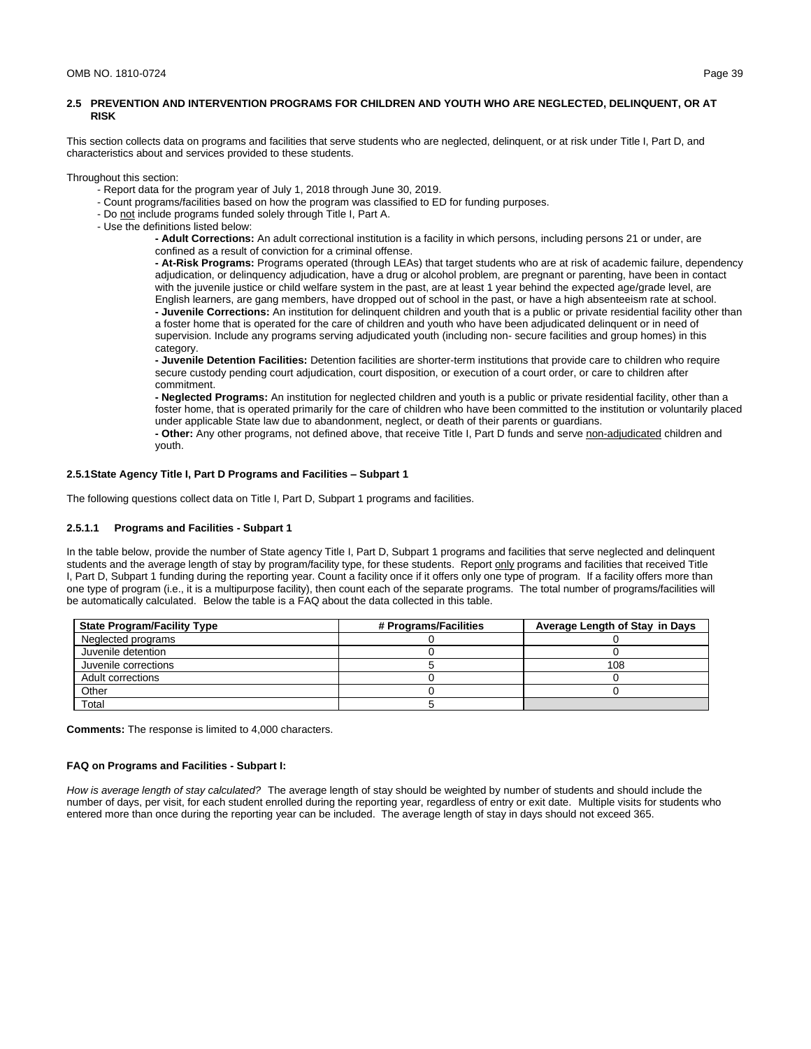# **2.5 PREVENTION AND INTERVENTION PROGRAMS FOR CHILDREN AND YOUTH WHO ARE NEGLECTED, DELINQUENT, OR AT RISK**

This section collects data on programs and facilities that serve students who are neglected, delinquent, or at risk under Title I, Part D, and characteristics about and services provided to these students.

Throughout this section:

- Report data for the program year of July 1, 2018 through June 30, 2019.
- Count programs/facilities based on how the program was classified to ED for funding purposes.
- Do not include programs funded solely through Title I, Part A.
- Use the definitions listed below:

**- Adult Corrections:** An adult correctional institution is a facility in which persons, including persons 21 or under, are confined as a result of conviction for a criminal offense.

**- At-Risk Programs:** Programs operated (through LEAs) that target students who are at risk of academic failure, dependency adjudication, or delinquency adjudication, have a drug or alcohol problem, are pregnant or parenting, have been in contact with the juvenile justice or child welfare system in the past, are at least 1 year behind the expected age/grade level, are English learners, are gang members, have dropped out of school in the past, or have a high absenteeism rate at school. **- Juvenile Corrections:** An institution for delinquent children and youth that is a public or private residential facility other than a foster home that is operated for the care of children and youth who have been adjudicated delinquent or in need of

supervision. Include any programs serving adjudicated youth (including non- secure facilities and group homes) in this category.

**- Juvenile Detention Facilities:** Detention facilities are shorter-term institutions that provide care to children who require secure custody pending court adjudication, court disposition, or execution of a court order, or care to children after commitment.

**- Neglected Programs:** An institution for neglected children and youth is a public or private residential facility, other than a foster home, that is operated primarily for the care of children who have been committed to the institution or voluntarily placed under applicable State law due to abandonment, neglect, or death of their parents or guardians.

**- Other:** Any other programs, not defined above, that receive Title I, Part D funds and serve non-adjudicated children and youth.

#### **2.5.1State Agency Title I, Part D Programs and Facilities – Subpart 1**

The following questions collect data on Title I, Part D, Subpart 1 programs and facilities.

#### **2.5.1.1 Programs and Facilities - Subpart 1**

In the table below, provide the number of State agency Title I, Part D, Subpart 1 programs and facilities that serve neglected and delinquent students and the average length of stay by program/facility type, for these students. Report only programs and facilities that received Title I, Part D, Subpart 1 funding during the reporting year. Count a facility once if it offers only one type of program. If a facility offers more than one type of program (i.e., it is a multipurpose facility), then count each of the separate programs. The total number of programs/facilities will be automatically calculated. Below the table is a FAQ about the data collected in this table.

| <b>State Program/Facility Type</b> | # Programs/Facilities | Average Length of Stay in Days |
|------------------------------------|-----------------------|--------------------------------|
| Neglected programs                 |                       |                                |
| Juvenile detention                 |                       |                                |
| Juvenile corrections               |                       | 108                            |
| Adult corrections                  |                       |                                |
| Other                              |                       |                                |
| Total                              |                       |                                |

**Comments:** The response is limited to 4,000 characters.

### **FAQ on Programs and Facilities - Subpart I:**

*How is average length of stay calculated?* The average length of stay should be weighted by number of students and should include the number of days, per visit, for each student enrolled during the reporting year, regardless of entry or exit date. Multiple visits for students who entered more than once during the reporting year can be included. The average length of stay in days should not exceed 365.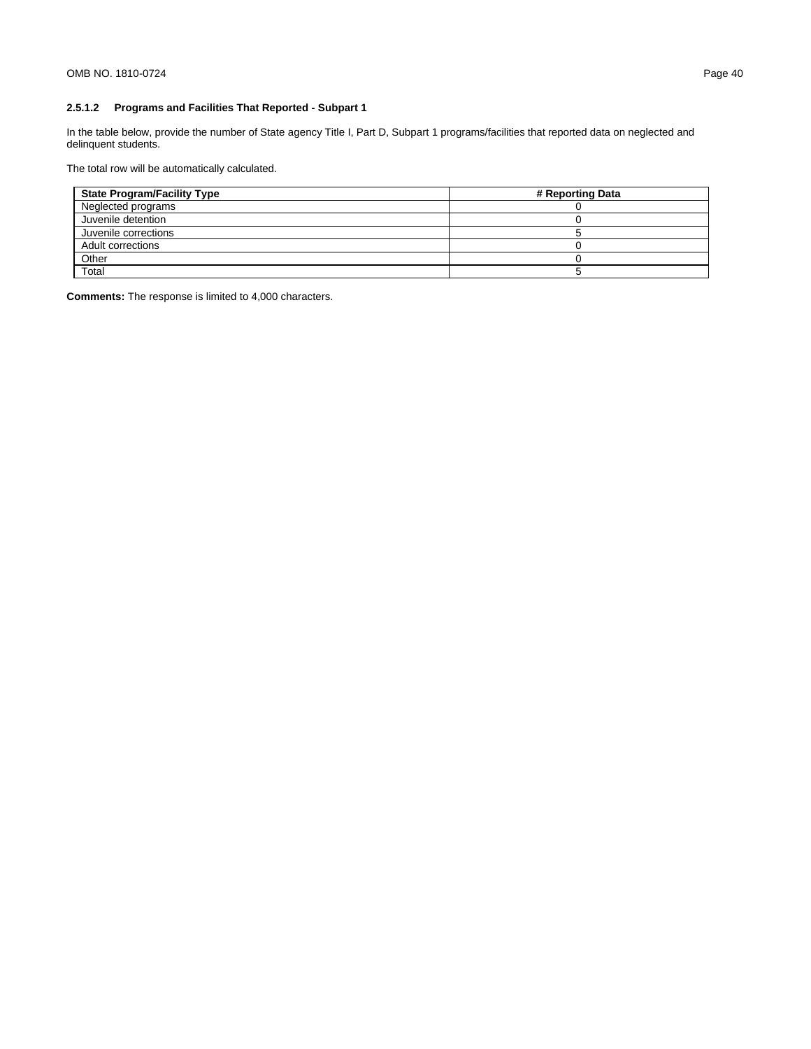# **2.5.1.2 Programs and Facilities That Reported - Subpart 1**

In the table below, provide the number of State agency Title I, Part D, Subpart 1 programs/facilities that reported data on neglected and delinquent students.

The total row will be automatically calculated.

| <b>State Program/Facility Type</b> | # Reporting Data |
|------------------------------------|------------------|
| Neglected programs                 |                  |
| Juvenile detention                 |                  |
| Juvenile corrections               |                  |
| Adult corrections                  |                  |
| Other                              |                  |
| Total                              |                  |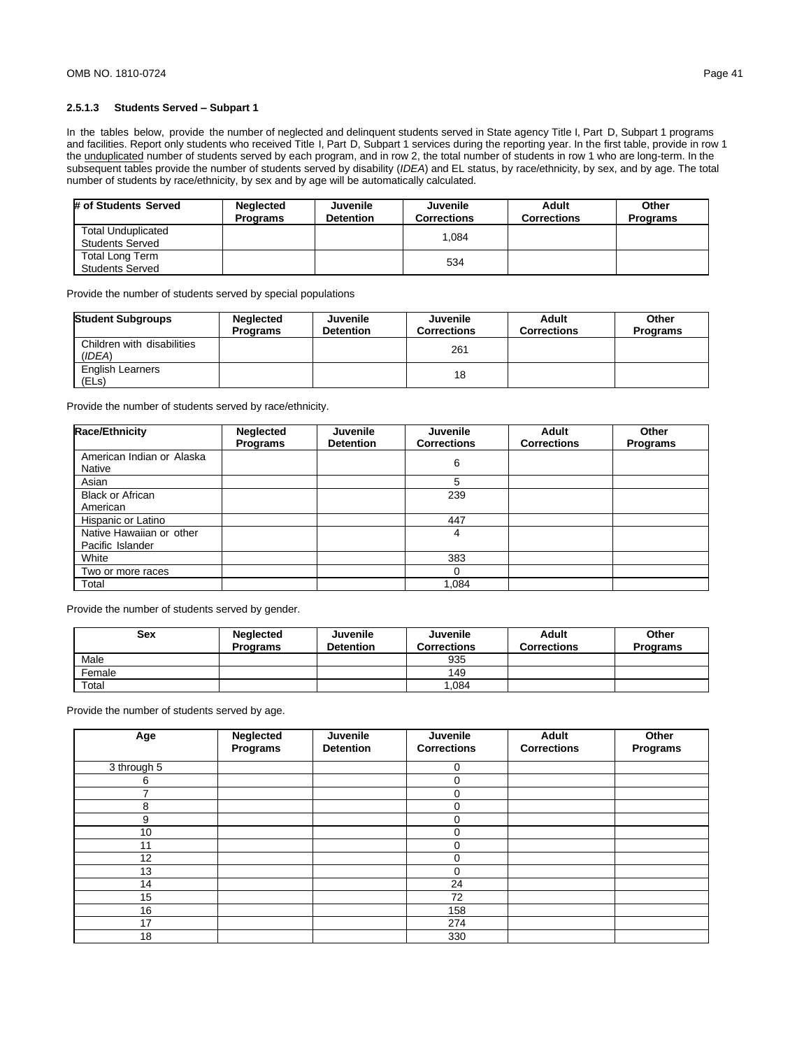## **2.5.1.3 Students Served – Subpart 1**

In the tables below, provide the number of neglected and delinquent students served in State agency Title I, Part D, Subpart 1 programs and facilities. Report only students who received Title I, Part D, Subpart 1 services during the reporting year. In the first table, provide in row 1 the unduplicated number of students served by each program, and in row 2, the total number of students in row 1 who are long-term. In the subsequent tables provide the number of students served by disability (*IDEA*) and EL status, by race/ethnicity, by sex, and by age. The total number of students by race/ethnicity, by sex and by age will be automatically calculated.

| # of Students Served                                | <b>Neglected</b><br><b>Programs</b> | <b>Juvenile</b><br><b>Detention</b> | Juvenile<br><b>Corrections</b> | Adult<br><b>Corrections</b> | Other<br><b>Programs</b> |
|-----------------------------------------------------|-------------------------------------|-------------------------------------|--------------------------------|-----------------------------|--------------------------|
| <b>Total Unduplicated</b><br><b>Students Served</b> |                                     |                                     | .084                           |                             |                          |
| <b>Total Long Term</b><br><b>Students Served</b>    |                                     |                                     | 534                            |                             |                          |

Provide the number of students served by special populations

| <b>Student Subgroups</b>             | <b>Neglected</b><br><b>Programs</b> | Juvenile<br><b>Detention</b> | Juvenile<br><b>Corrections</b> | Adult<br><b>Corrections</b> | Other<br><b>Programs</b> |
|--------------------------------------|-------------------------------------|------------------------------|--------------------------------|-----------------------------|--------------------------|
| Children with disabilities<br>(IDEA) |                                     |                              | 261                            |                             |                          |
| <b>English Learners</b><br>(ELs)     |                                     |                              | 18                             |                             |                          |

Provide the number of students served by race/ethnicity.

| <b>Race/Ethnicity</b>     | <b>Neglected</b><br><b>Programs</b> | <b>Juvenile</b><br><b>Detention</b> | <b>Juvenile</b><br><b>Corrections</b> | Adult<br><b>Corrections</b> | Other<br><b>Programs</b> |
|---------------------------|-------------------------------------|-------------------------------------|---------------------------------------|-----------------------------|--------------------------|
| American Indian or Alaska |                                     |                                     | 6                                     |                             |                          |
| Native                    |                                     |                                     |                                       |                             |                          |
| Asian                     |                                     |                                     | 5                                     |                             |                          |
| <b>Black or African</b>   |                                     |                                     | 239                                   |                             |                          |
| American                  |                                     |                                     |                                       |                             |                          |
| Hispanic or Latino        |                                     |                                     | 447                                   |                             |                          |
| Native Hawaiian or other  |                                     |                                     | 4                                     |                             |                          |
| Pacific Islander          |                                     |                                     |                                       |                             |                          |
| White                     |                                     |                                     | 383                                   |                             |                          |
| Two or more races         |                                     |                                     | $\Omega$                              |                             |                          |
| Total                     |                                     |                                     | 1.084                                 |                             |                          |

Provide the number of students served by gender.

| <b>Sex</b> | <b>Neglected</b> | Juvenile         | <b>Juvenile</b>    | Adult              | Other           |
|------------|------------------|------------------|--------------------|--------------------|-----------------|
|            | <b>Programs</b>  | <b>Detention</b> | <b>Corrections</b> | <b>Corrections</b> | <b>Programs</b> |
| Male       |                  |                  | 935                |                    |                 |
| Female     |                  |                  | 149                |                    |                 |
| Total      |                  |                  | .084               |                    |                 |

Provide the number of students served by age.

| Age            | <b>Neglected</b><br>Programs | Juvenile<br><b>Detention</b> | Juvenile<br><b>Corrections</b> | Adult<br><b>Corrections</b> | Other<br>Programs |
|----------------|------------------------------|------------------------------|--------------------------------|-----------------------------|-------------------|
| 3 through 5    |                              |                              | $\Omega$                       |                             |                   |
| 6              |                              |                              | $\Omega$                       |                             |                   |
| $\overline{ }$ |                              |                              | $\Omega$                       |                             |                   |
| 8              |                              |                              | O                              |                             |                   |
| 9              |                              |                              | $\Omega$                       |                             |                   |
| 10             |                              |                              | $\Omega$                       |                             |                   |
| 11             |                              |                              | $\Omega$                       |                             |                   |
| 12             |                              |                              | $\Omega$                       |                             |                   |
| 13             |                              |                              | $\Omega$                       |                             |                   |
| 14             |                              |                              | 24                             |                             |                   |
| 15             |                              |                              | 72                             |                             |                   |
| 16             |                              |                              | 158                            |                             |                   |
| 17             |                              |                              | 274                            |                             |                   |
| 18             |                              |                              | 330                            |                             |                   |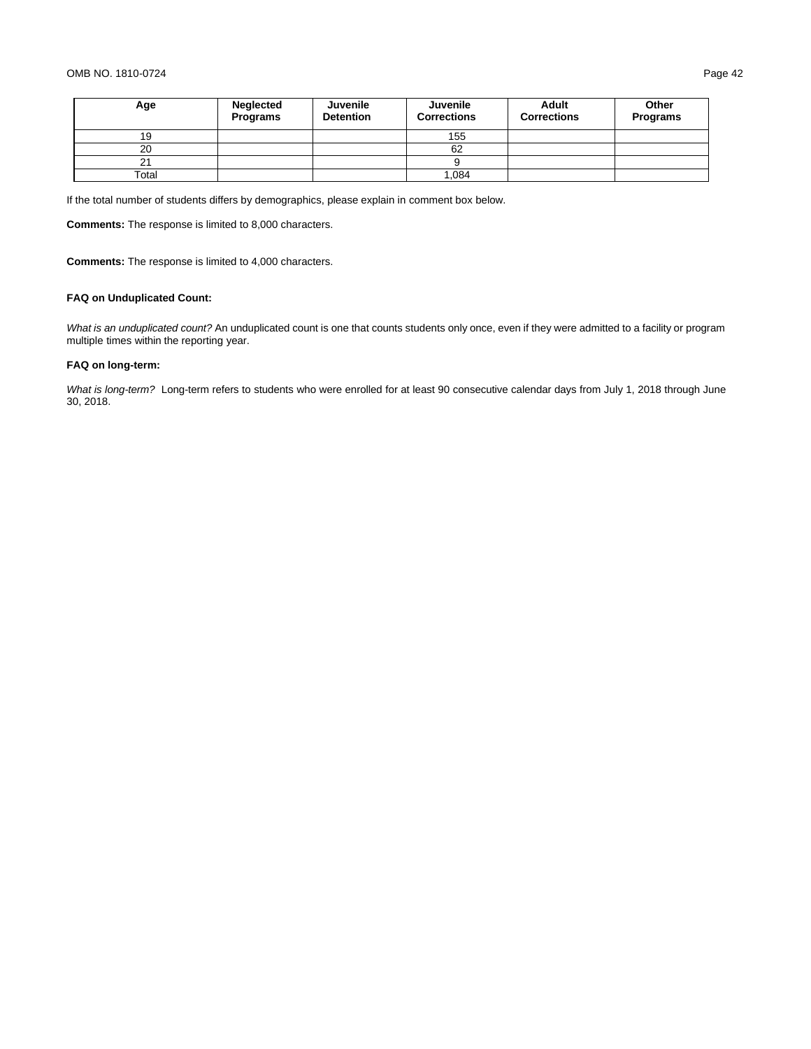### OMB NO. 1810-0724 Page 42

| Age   | Neglected<br>Programs | Juvenile<br><b>Detention</b> | Juvenile<br><b>Corrections</b> | Adult<br><b>Corrections</b> | Other<br>Programs |
|-------|-----------------------|------------------------------|--------------------------------|-----------------------------|-------------------|
| 19    |                       |                              | 155                            |                             |                   |
| 20    |                       |                              | 62                             |                             |                   |
| 21    |                       |                              |                                |                             |                   |
| Total |                       |                              | .084                           |                             |                   |

If the total number of students differs by demographics, please explain in comment box below.

**Comments:** The response is limited to 8,000 characters.

**Comments:** The response is limited to 4,000 characters.

# **FAQ on Unduplicated Count:**

*What is an unduplicated count?* An unduplicated count is one that counts students only once, even if they were admitted to a facility or program multiple times within the reporting year.

# **FAQ on long-term:**

*What is long-term?* Long-term refers to students who were enrolled for at least 90 consecutive calendar days from July 1, 2018 through June 30, 2018.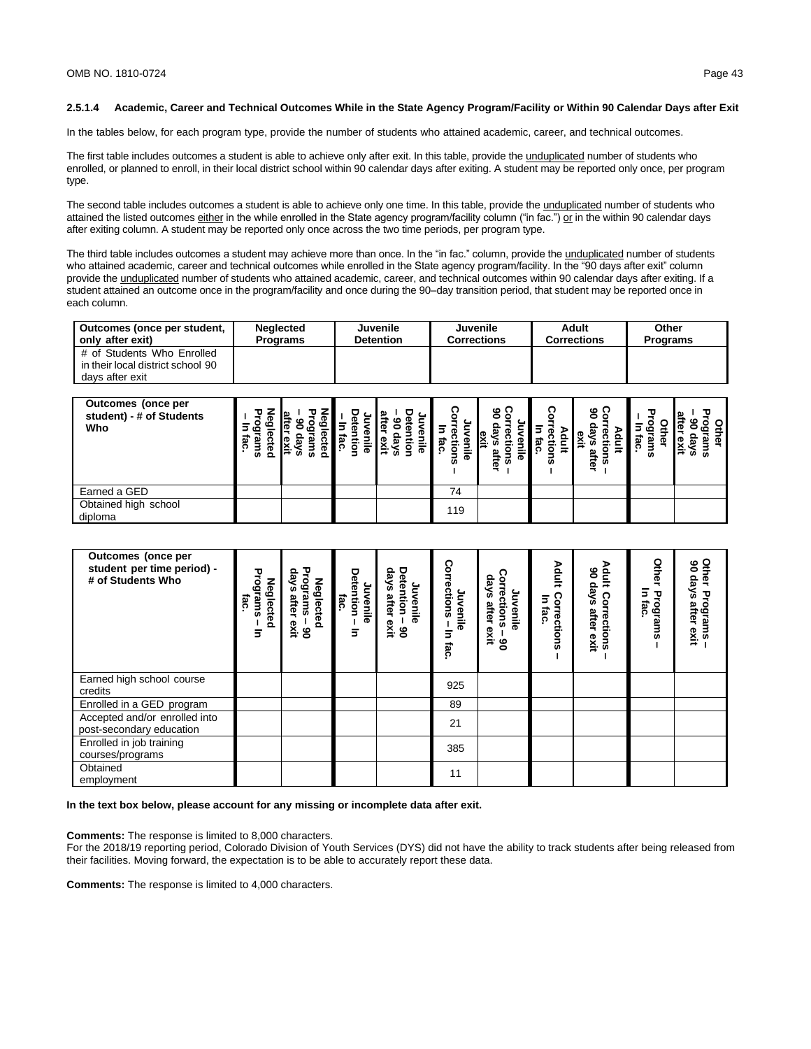#### **2.5.1.4 Academic, Career and Technical Outcomes While in the State Agency Program/Facility or Within 90 Calendar Days after Exit**

In the tables below, for each program type, provide the number of students who attained academic, career, and technical outcomes.

The first table includes outcomes a student is able to achieve only after exit. In this table, provide the unduplicated number of students who enrolled, or planned to enroll, in their local district school within 90 calendar days after exiting. A student may be reported only once, per program type.

The second table includes outcomes a student is able to achieve only one time. In this table, provide the unduplicated number of students who attained the listed outcomes either in the while enrolled in the State agency program/facility column ("in fac.") or in the within 90 calendar days after exiting column. A student may be reported only once across the two time periods, per program type.

The third table includes outcomes a student may achieve more than once. In the "in fac." column, provide the unduplicated number of students who attained academic, career and technical outcomes while enrolled in the State agency program/facility. In the "90 days after exit" column provide the unduplicated number of students who attained academic, career, and technical outcomes within 90 calendar days after exiting. If a student attained an outcome once in the program/facility and once during the 90–day transition period, that student may be reported once in each column.

| Outcomes (once per student,       | <b>Neglected</b> | <b>Juvenile</b>  | Juvenile           | Adult              | Other           |
|-----------------------------------|------------------|------------------|--------------------|--------------------|-----------------|
| only after exit)                  | Programs         | <b>Detention</b> | <b>Corrections</b> | <b>Corrections</b> | <b>Programs</b> |
| # of Students Who Enrolled        |                  |                  |                    |                    |                 |
| in their local district school 90 |                  |                  |                    |                    |                 |
| davs after exit                   |                  |                  |                    |                    |                 |

| Outcomes (once per<br>student) - # of Students<br>Who | w<br>∍<br>S<br>$\Omega$ | co<br>m<br>o. | ≂<br>m | Φ<br>ದ | ဖ<br>ភ<br>ត្ | ດ<br>ഗ | ७ ೧<br>m<br>ត្ | נם<br>œ<br>w | ®<br>œ<br>œ<br>$\equiv$<br>úñ.<br>m |
|-------------------------------------------------------|-------------------------|---------------|--------|--------|--------------|--------|----------------|--------------|-------------------------------------|
| Earned a GED                                          |                         |               |        | 74     |              |        |                |              |                                     |
| Obtained high school<br>diploma                       |                         |               |        | 119    |              |        |                |              |                                     |

| <b>Outcomes</b> (once per<br>student per time period) -<br># of Students Who | Programs<br>Neglected<br>iac<br>₹ | Programs<br>skep<br><b>Neglected</b><br>after<br>exit<br>ဧ | Detention<br>Juvenile<br>iac<br>⋾ | eys<br>Detention<br>Juvenil<br>after<br>ወ<br>exit<br>ိ | Corrections<br>Juvenile<br>5<br>fac. | skep<br>orrections<br>Juvenile<br>after<br>exit<br>ိ | Adult<br>Corrections<br>Б<br>fac. | Adult<br>క<br>days<br>ິດ<br>orrections<br>after<br>exit | Other<br>5<br>Programs<br>fac | Other<br>ఠ<br>skep<br>Programs<br>ys after exi<br>exit |
|------------------------------------------------------------------------------|-----------------------------------|------------------------------------------------------------|-----------------------------------|--------------------------------------------------------|--------------------------------------|------------------------------------------------------|-----------------------------------|---------------------------------------------------------|-------------------------------|--------------------------------------------------------|
| Earned high school course<br>credits                                         |                                   |                                                            |                                   |                                                        | 925                                  |                                                      |                                   |                                                         |                               |                                                        |
| Enrolled in a GED program                                                    |                                   |                                                            |                                   |                                                        | 89                                   |                                                      |                                   |                                                         |                               |                                                        |
| Accepted and/or enrolled into<br>post-secondary education                    |                                   |                                                            |                                   |                                                        | 21                                   |                                                      |                                   |                                                         |                               |                                                        |
| Enrolled in job training<br>courses/programs                                 |                                   |                                                            |                                   |                                                        | 385                                  |                                                      |                                   |                                                         |                               |                                                        |
| Obtained<br>employment                                                       |                                   |                                                            |                                   |                                                        | 11                                   |                                                      |                                   |                                                         |                               |                                                        |

**In the text box below, please account for any missing or incomplete data after exit.**

**Comments:** The response is limited to 8,000 characters.

For the 2018/19 reporting period, Colorado Division of Youth Services (DYS) did not have the ability to track students after being released from their facilities. Moving forward, the expectation is to be able to accurately report these data.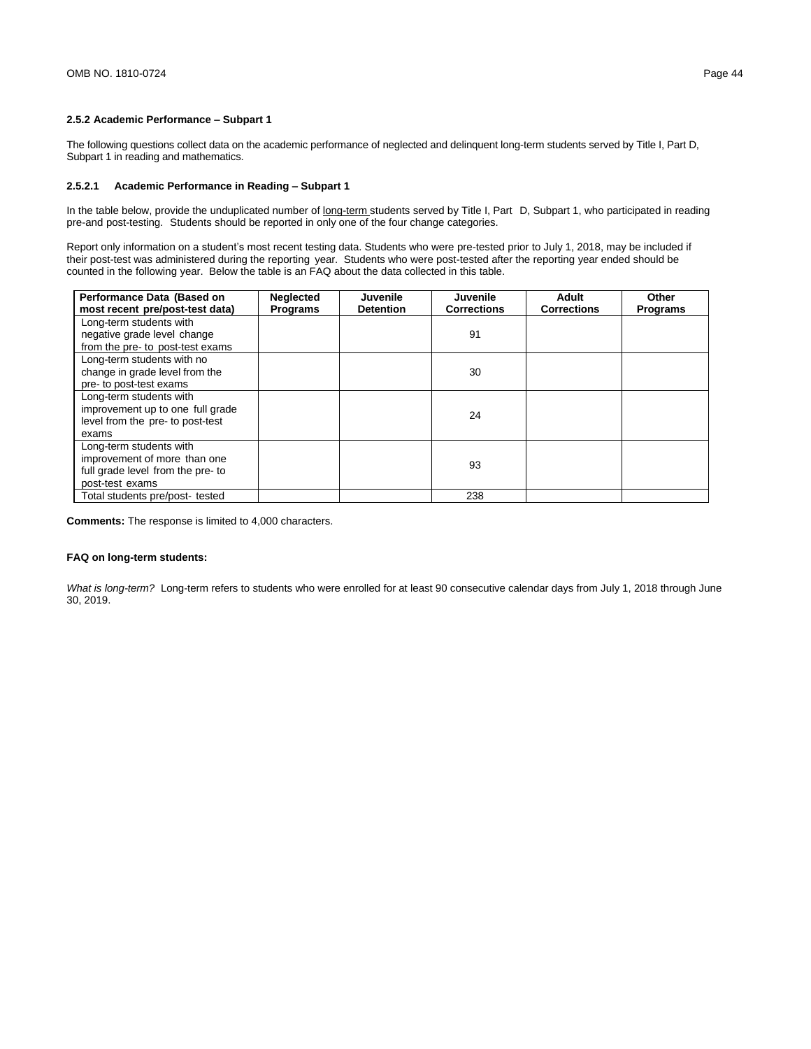### **2.5.2 Academic Performance – Subpart 1**

The following questions collect data on the academic performance of neglected and delinquent long-term students served by Title I, Part D, Subpart 1 in reading and mathematics.

### **2.5.2.1 Academic Performance in Reading – Subpart 1**

In the table below, provide the unduplicated number of long-term students served by Title I, Part D, Subpart 1, who participated in reading pre-and post-testing. Students should be reported in only one of the four change categories.

Report only information on a student's most recent testing data. Students who were pre-tested prior to July 1, 2018, may be included if their post-test was administered during the reporting year. Students who were post-tested after the reporting year ended should be counted in the following year. Below the table is an FAQ about the data collected in this table.

| Performance Data (Based on<br>most recent pre/post-test data)                                                   | <b>Neglected</b><br><b>Programs</b> | Juvenile<br><b>Detention</b> | Juvenile<br><b>Corrections</b> | Adult<br><b>Corrections</b> | Other<br><b>Programs</b> |
|-----------------------------------------------------------------------------------------------------------------|-------------------------------------|------------------------------|--------------------------------|-----------------------------|--------------------------|
| Long-term students with<br>negative grade level change<br>from the pre- to post-test exams                      |                                     |                              | 91                             |                             |                          |
| Long-term students with no<br>change in grade level from the<br>pre- to post-test exams                         |                                     |                              | 30                             |                             |                          |
| Long-term students with<br>improvement up to one full grade<br>level from the pre- to post-test<br>exams        |                                     |                              | 24                             |                             |                          |
| Long-term students with<br>improvement of more than one<br>full grade level from the pre- to<br>post-test exams |                                     |                              | 93                             |                             |                          |
| Total students pre/post- tested                                                                                 |                                     |                              | 238                            |                             |                          |

**Comments:** The response is limited to 4,000 characters.

### **FAQ on long-term students:**

*What is long-term?* Long-term refers to students who were enrolled for at least 90 consecutive calendar days from July 1, 2018 through June 30, 2019.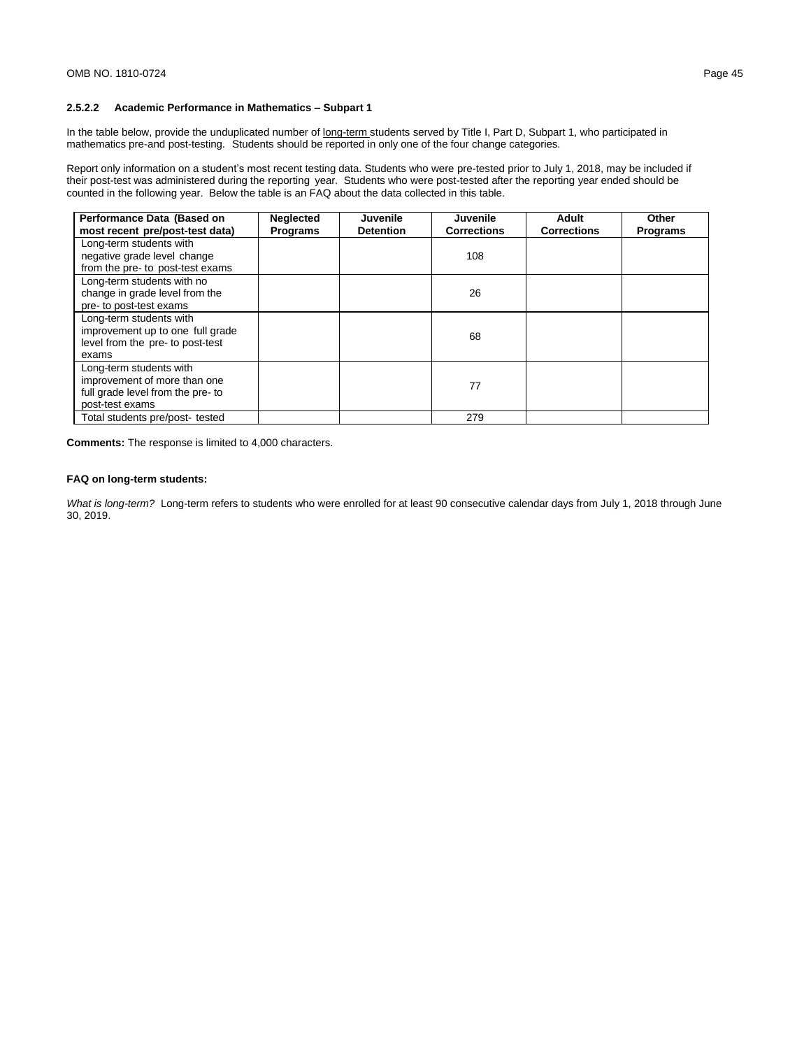# **2.5.2.2 Academic Performance in Mathematics – Subpart 1**

In the table below, provide the unduplicated number of long-term students served by Title I, Part D, Subpart 1, who participated in mathematics pre-and post-testing. Students should be reported in only one of the four change categories.

Report only information on a student's most recent testing data. Students who were pre-tested prior to July 1, 2018, may be included if their post-test was administered during the reporting year. Students who were post-tested after the reporting year ended should be counted in the following year. Below the table is an FAQ about the data collected in this table.

| Performance Data (Based on<br>most recent pre/post-test data)                                                   | <b>Neglected</b><br><b>Programs</b> | Juvenile<br><b>Detention</b> | Juvenile<br><b>Corrections</b> | Adult<br><b>Corrections</b> | Other<br><b>Programs</b> |
|-----------------------------------------------------------------------------------------------------------------|-------------------------------------|------------------------------|--------------------------------|-----------------------------|--------------------------|
| Long-term students with<br>negative grade level change<br>from the pre- to post-test exams                      |                                     |                              | 108                            |                             |                          |
| Long-term students with no<br>change in grade level from the<br>pre- to post-test exams                         |                                     |                              | 26                             |                             |                          |
| Long-term students with<br>improvement up to one full grade<br>level from the pre- to post-test<br>exams        |                                     |                              | 68                             |                             |                          |
| Long-term students with<br>improvement of more than one<br>full grade level from the pre- to<br>post-test exams |                                     |                              | 77                             |                             |                          |
| Total students pre/post- tested                                                                                 |                                     |                              | 279                            |                             |                          |

**Comments:** The response is limited to 4,000 characters.

### **FAQ on long-term students:**

*What is long-term?* Long-term refers to students who were enrolled for at least 90 consecutive calendar days from July 1, 2018 through June 30, 2019.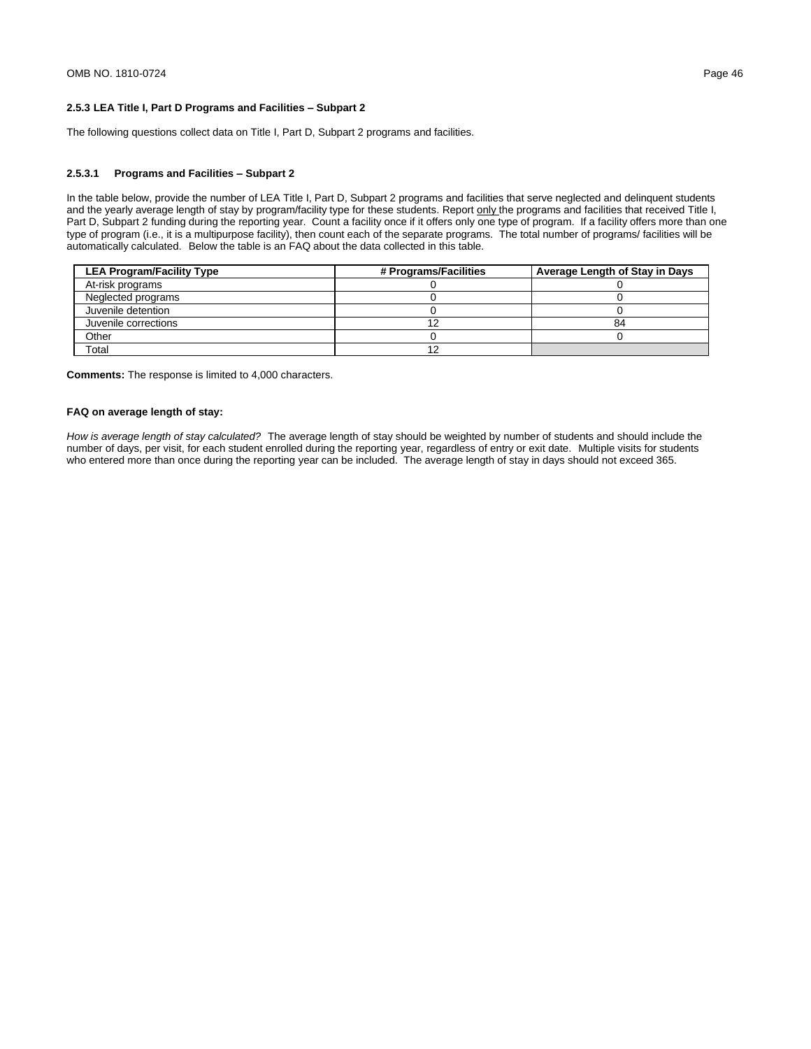# **2.5.3 LEA Title I, Part D Programs and Facilities – Subpart 2**

The following questions collect data on Title I, Part D, Subpart 2 programs and facilities.

## **2.5.3.1 Programs and Facilities – Subpart 2**

In the table below, provide the number of LEA Title I, Part D, Subpart 2 programs and facilities that serve neglected and delinquent students and the yearly average length of stay by program/facility type for these students. Report only the programs and facilities that received Title I, Part D, Subpart 2 funding during the reporting year. Count a facility once if it offers only one type of program. If a facility offers more than one type of program (i.e., it is a multipurpose facility), then count each of the separate programs. The total number of programs/ facilities will be automatically calculated. Below the table is an FAQ about the data collected in this table.

| <b>LEA Program/Facility Type</b> | # Programs/Facilities | Average Length of Stay in Days |
|----------------------------------|-----------------------|--------------------------------|
| At-risk programs                 |                       |                                |
| Neglected programs               |                       |                                |
| Juvenile detention               |                       |                                |
| Juvenile corrections             | 12                    | 84                             |
| Other                            |                       |                                |
| Total                            | 12                    |                                |

**Comments:** The response is limited to 4,000 characters.

### **FAQ on average length of stay:**

*How is average length of stay calculated?* The average length of stay should be weighted by number of students and should include the number of days, per visit, for each student enrolled during the reporting year, regardless of entry or exit date. Multiple visits for students who entered more than once during the reporting year can be included. The average length of stay in days should not exceed 365.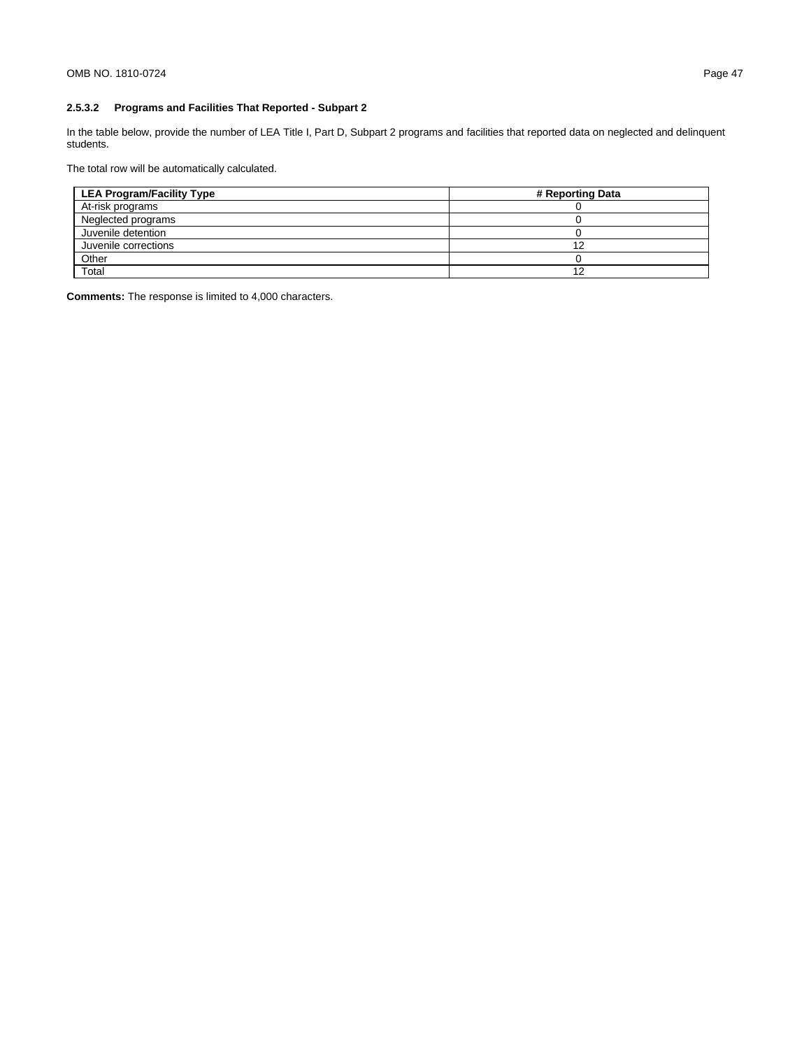# **2.5.3.2 Programs and Facilities That Reported - Subpart 2**

In the table below, provide the number of LEA Title I, Part D, Subpart 2 programs and facilities that reported data on neglected and delinquent students.

The total row will be automatically calculated.

| <b>LEA Program/Facility Type</b> | # Reporting Data |
|----------------------------------|------------------|
| At-risk programs                 |                  |
| Neglected programs               |                  |
| Juvenile detention               |                  |
| Juvenile corrections             |                  |
| Other                            |                  |
| Total                            |                  |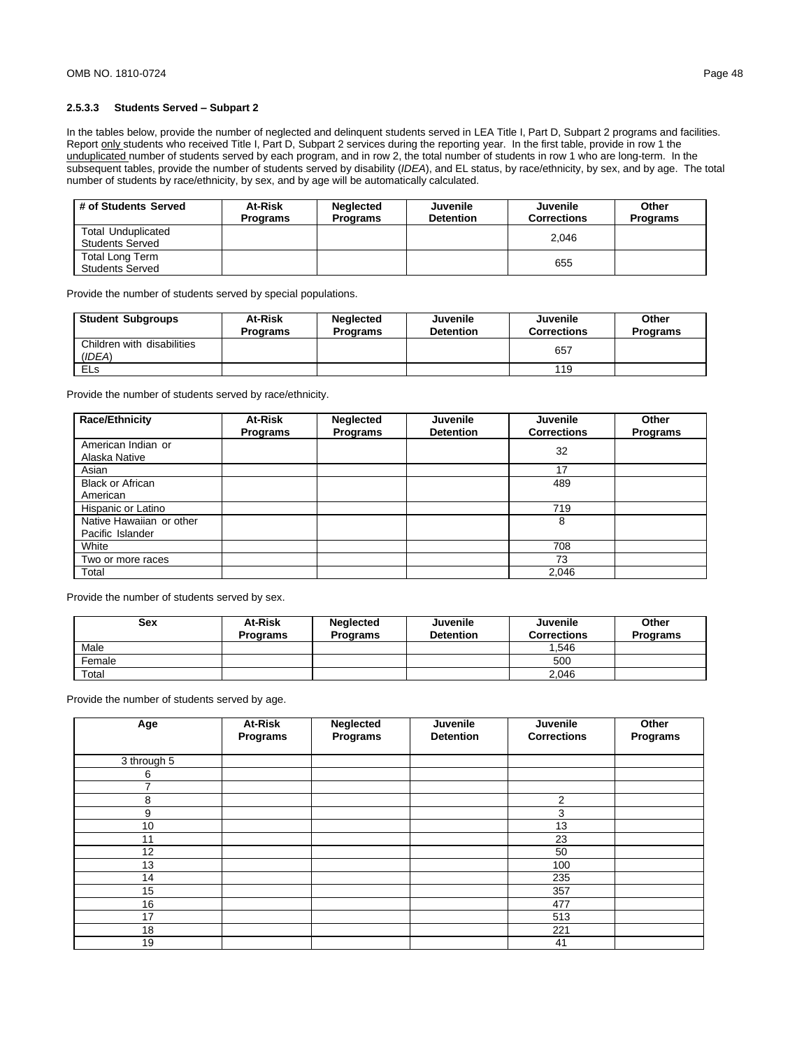## **2.5.3.3 Students Served – Subpart 2**

In the tables below, provide the number of neglected and delinquent students served in LEA Title I, Part D, Subpart 2 programs and facilities. Report only students who received Title I, Part D, Subpart 2 services during the reporting year. In the first table, provide in row 1 the unduplicated number of students served by each program, and in row 2, the total number of students in row 1 who are long-term. In the subsequent tables, provide the number of students served by disability (*IDEA*), and EL status, by race/ethnicity, by sex, and by age. The total number of students by race/ethnicity, by sex, and by age will be automatically calculated.

| # of Students Served                                | At-Risk<br><b>Programs</b> | <b>Neglected</b><br><b>Programs</b> | Juvenile<br><b>Detention</b> | Juvenile<br><b>Corrections</b> | Other<br><b>Programs</b> |
|-----------------------------------------------------|----------------------------|-------------------------------------|------------------------------|--------------------------------|--------------------------|
| <b>Total Unduplicated</b><br><b>Students Served</b> |                            |                                     |                              | 2.046                          |                          |
| Total Long Term<br><b>Students Served</b>           |                            |                                     |                              | 655                            |                          |

Provide the number of students served by special populations.

| <b>Student Subgroups</b>             | At-Risk<br><b>Programs</b> | <b>Neglected</b><br><b>Programs</b> | Juvenile<br><b>Detention</b> | Juvenile<br><b>Corrections</b> | Other<br><b>Programs</b> |
|--------------------------------------|----------------------------|-------------------------------------|------------------------------|--------------------------------|--------------------------|
| Children with disabilities<br>(IDEA) |                            |                                     |                              | 657                            |                          |
| <b>ELs</b>                           |                            |                                     |                              | 119                            |                          |

Provide the number of students served by race/ethnicity.

| Race/Ethnicity                      | At-Risk<br><b>Programs</b> | <b>Neglected</b><br><b>Programs</b> | <b>Juvenile</b><br><b>Detention</b> | <b>Juvenile</b><br><b>Corrections</b> | Other<br>Programs |
|-------------------------------------|----------------------------|-------------------------------------|-------------------------------------|---------------------------------------|-------------------|
| American Indian or<br>Alaska Native |                            |                                     |                                     | 32                                    |                   |
| Asian                               |                            |                                     |                                     | 17                                    |                   |
| <b>Black or African</b>             |                            |                                     |                                     | 489                                   |                   |
| American                            |                            |                                     |                                     |                                       |                   |
| Hispanic or Latino                  |                            |                                     |                                     | 719                                   |                   |
| Native Hawaiian or other            |                            |                                     |                                     | 8                                     |                   |
| Pacific Islander                    |                            |                                     |                                     |                                       |                   |
| White                               |                            |                                     |                                     | 708                                   |                   |
| Two or more races                   |                            |                                     |                                     | 73                                    |                   |
| Total                               |                            |                                     |                                     | 2,046                                 |                   |

Provide the number of students served by sex.

| <b>Sex</b> | <b>At-Risk</b><br><b>Programs</b> | <b>Neglected</b><br><b>Programs</b> | Juvenile<br><b>Detention</b> | Juvenile<br><b>Corrections</b> | Other<br><b>Programs</b> |
|------------|-----------------------------------|-------------------------------------|------------------------------|--------------------------------|--------------------------|
| Male       |                                   |                                     |                              | .546                           |                          |
| Female     |                                   |                                     |                              | 500                            |                          |
| Total      |                                   |                                     |                              | 2.046                          |                          |

Provide the number of students served by age.

| Age           | At-Risk  | Neglected | Juvenile         | Juvenile           | Other    |
|---------------|----------|-----------|------------------|--------------------|----------|
|               | Programs | Programs  | <b>Detention</b> | <b>Corrections</b> | Programs |
| 3 through $5$ |          |           |                  |                    |          |
| 6             |          |           |                  |                    |          |
| ⇁             |          |           |                  |                    |          |
| 8             |          |           |                  | 2                  |          |
| 9             |          |           |                  | 3                  |          |
| 10            |          |           |                  | 13                 |          |
| 11            |          |           |                  | 23                 |          |
| 12            |          |           |                  | 50                 |          |
| 13            |          |           |                  | 100                |          |
| 14            |          |           |                  | 235                |          |
| 15            |          |           |                  | 357                |          |
| 16            |          |           |                  | 477                |          |
| 17            |          |           |                  | 513                |          |
| 18            |          |           |                  | 221                |          |
| 19            |          |           |                  | 41                 |          |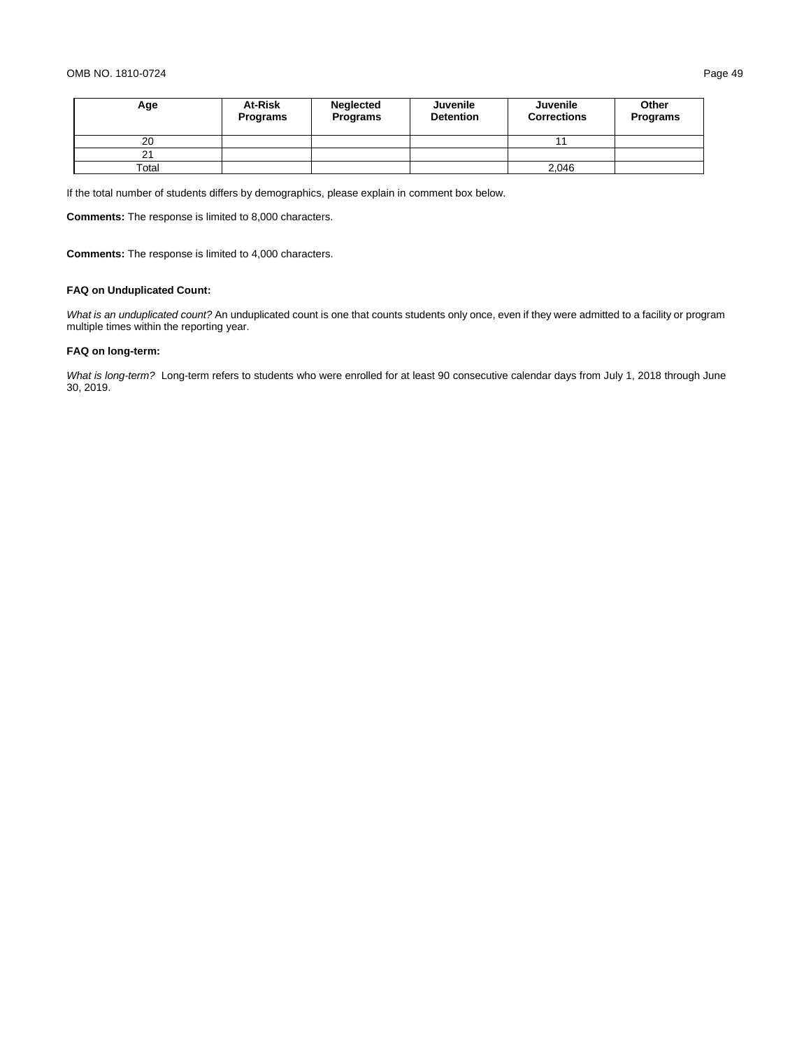| Age   | At-Risk<br><b>Programs</b> | Neglected<br><b>Programs</b> | Juvenile<br><b>Detention</b> | Juvenile<br><b>Corrections</b> | Other<br>Programs |
|-------|----------------------------|------------------------------|------------------------------|--------------------------------|-------------------|
| 20    |                            |                              |                              | 44                             |                   |
| 21    |                            |                              |                              |                                |                   |
| Total |                            |                              |                              | 2,046                          |                   |

If the total number of students differs by demographics, please explain in comment box below.

**Comments:** The response is limited to 8,000 characters.

**Comments:** The response is limited to 4,000 characters.

# **FAQ on Unduplicated Count:**

*What is an unduplicated count?* An unduplicated count is one that counts students only once, even if they were admitted to a facility or program multiple times within the reporting year.

# **FAQ on long-term:**

*What is long-term?* Long-term refers to students who were enrolled for at least 90 consecutive calendar days from July 1, 2018 through June 30, 2019.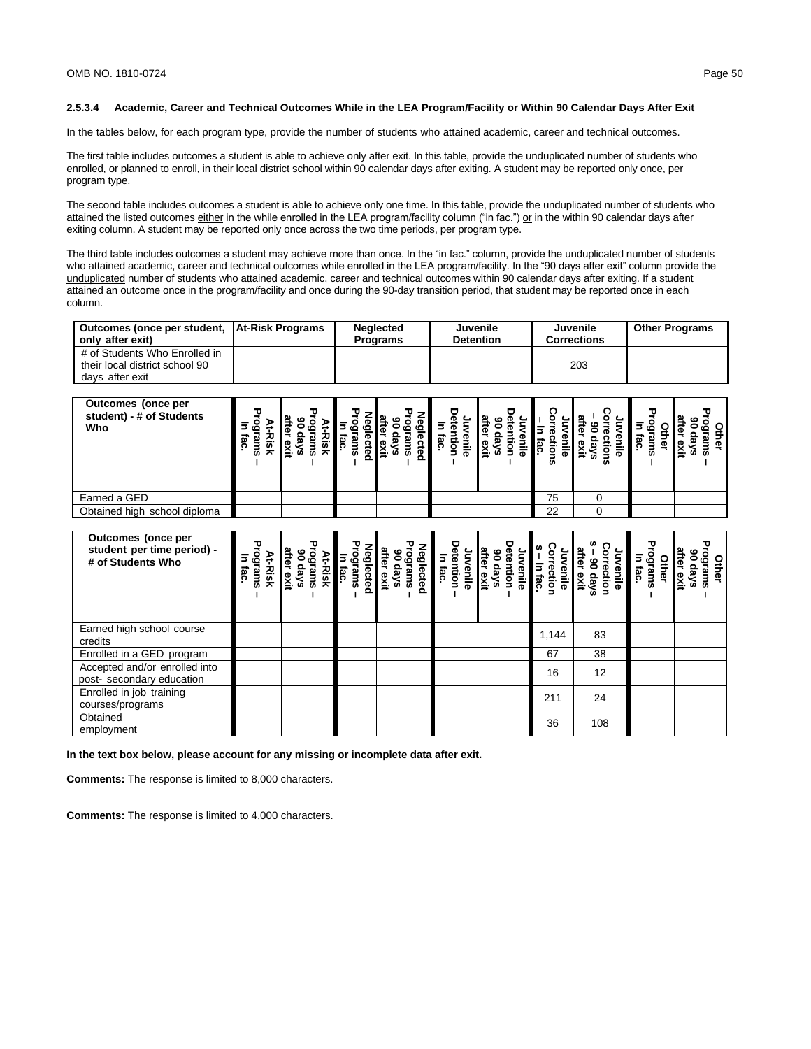### **2.5.3.4 Academic, Career and Technical Outcomes While in the LEA Program/Facility or Within 90 Calendar Days After Exit**

In the tables below, for each program type, provide the number of students who attained academic, career and technical outcomes.

The first table includes outcomes a student is able to achieve only after exit. In this table, provide the unduplicated number of students who enrolled, or planned to enroll, in their local district school within 90 calendar days after exiting. A student may be reported only once, per program type.

The second table includes outcomes a student is able to achieve only one time. In this table, provide the unduplicated number of students who attained the listed outcomes either in the while enrolled in the LEA program/facility column ("in fac.") or in the within 90 calendar days after exiting column. A student may be reported only once across the two time periods, per program type.

The third table includes outcomes a student may achieve more than once. In the "in fac." column, provide the unduplicated number of students who attained academic, career and technical outcomes while enrolled in the LEA program/facility. In the "90 days after exit" column provide the unduplicated number of students who attained academic, career and technical outcomes within 90 calendar days after exiting. If a student attained an outcome once in the program/facility and once during the 90-day transition period, that student may be reported once in each column.

| Outcomes (once per student, At-Risk Programs | <b>Nealected</b> | <b>Juvenile</b>  | Juvenile    | <b>Other Programs</b> |
|----------------------------------------------|------------------|------------------|-------------|-----------------------|
| only after exit)                             | <b>Programs</b>  | <b>Detention</b> | Corrections |                       |
| # of Students Who Enrolled in                |                  |                  |             |                       |
| their local district school 90               |                  |                  | 203         |                       |
| days after exit                              |                  |                  |             |                       |

| Outcomes (once per<br>student) - # of Students<br>Who | w<br>w | ≂ |  |  | m  | w | P<br>. 음<br>m<br>m |
|-------------------------------------------------------|--------|---|--|--|----|---|--------------------|
| Earned a GED                                          |        |   |  |  | 75 |   |                    |
| Obtained high school diploma                          |        |   |  |  | 22 |   |                    |

| Outcomes (once per<br>student per time period) -<br># of Students Who | ograms<br>At-Risk<br>5<br>iac | after<br>နွင့်<br>Irams<br>days<br>Risk<br>exit | යි<br>යි<br>rams<br>lected<br>fac | g<br>යී<br>iter<br>ஃ<br>rams<br>lected<br>skep<br>exit | tention<br>In fac.<br>enile | g<br>enile<br>eys<br>exit | ğ<br>ខ្ល | anile<br>ction<br>Фу | Othel<br>ιŏ<br>llau<br>iac<br>m | ஃ<br>Other<br>lrams<br>days<br>exit |
|-----------------------------------------------------------------------|-------------------------------|-------------------------------------------------|-----------------------------------|--------------------------------------------------------|-----------------------------|---------------------------|----------|----------------------|---------------------------------|-------------------------------------|
| Earned high school course<br>credits                                  |                               |                                                 |                                   |                                                        |                             |                           | 1,144    | 83                   |                                 |                                     |
| Enrolled in a GED program                                             |                               |                                                 |                                   |                                                        |                             |                           | 67       | 38                   |                                 |                                     |
| Accepted and/or enrolled into<br>post- secondary education            |                               |                                                 |                                   |                                                        |                             |                           | 16       | 12                   |                                 |                                     |
| Enrolled in job training<br>courses/programs                          |                               |                                                 |                                   |                                                        |                             |                           | 211      | 24                   |                                 |                                     |
| Obtained<br>employment                                                |                               |                                                 |                                   |                                                        |                             |                           | 36       | 108                  |                                 |                                     |

**In the text box below, please account for any missing or incomplete data after exit.**

**Comments:** The response is limited to 8,000 characters.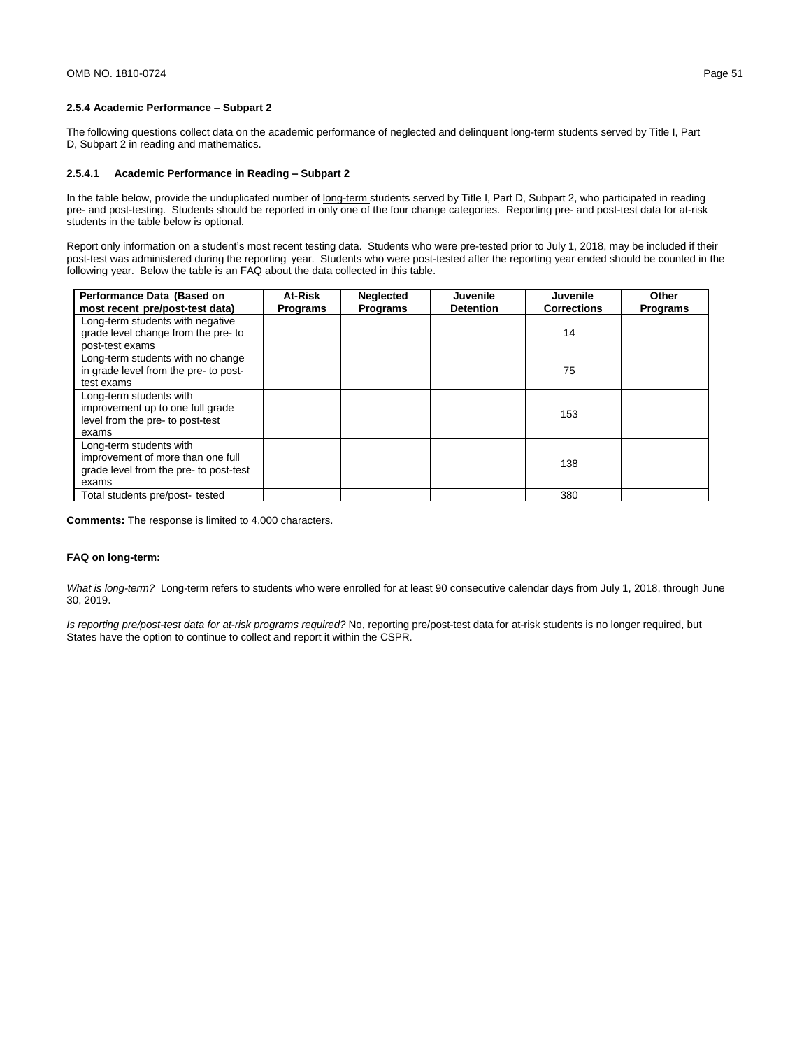## **2.5.4 Academic Performance – Subpart 2**

The following questions collect data on the academic performance of neglected and delinquent long-term students served by Title I, Part D, Subpart 2 in reading and mathematics.

## **2.5.4.1 Academic Performance in Reading – Subpart 2**

In the table below, provide the unduplicated number of long-term students served by Title I, Part D, Subpart 2, who participated in reading pre- and post-testing. Students should be reported in only one of the four change categories. Reporting pre- and post-test data for at-risk students in the table below is optional.

Report only information on a student's most recent testing data. Students who were pre-tested prior to July 1, 2018, may be included if their post-test was administered during the reporting year. Students who were post-tested after the reporting year ended should be counted in the following year. Below the table is an FAQ about the data collected in this table.

| Performance Data (Based on             | At-Risk         | <b>Neglected</b> | <b>Juvenile</b>  | Juvenile           | Other           |
|----------------------------------------|-----------------|------------------|------------------|--------------------|-----------------|
| most recent pre/post-test data)        | <b>Programs</b> | <b>Programs</b>  | <b>Detention</b> | <b>Corrections</b> | <b>Programs</b> |
| Long-term students with negative       |                 |                  |                  |                    |                 |
| grade level change from the pre- to    |                 |                  |                  | 14                 |                 |
| post-test exams                        |                 |                  |                  |                    |                 |
| Long-term students with no change      |                 |                  |                  |                    |                 |
| in grade level from the pre- to post-  |                 |                  |                  | 75                 |                 |
| test exams                             |                 |                  |                  |                    |                 |
| Long-term students with                |                 |                  |                  |                    |                 |
| improvement up to one full grade       |                 |                  |                  | 153                |                 |
| level from the pre- to post-test       |                 |                  |                  |                    |                 |
| exams                                  |                 |                  |                  |                    |                 |
| Long-term students with                |                 |                  |                  |                    |                 |
| improvement of more than one full      |                 |                  |                  | 138                |                 |
| grade level from the pre- to post-test |                 |                  |                  |                    |                 |
| exams                                  |                 |                  |                  |                    |                 |
| Total students pre/post- tested        |                 |                  |                  | 380                |                 |

**Comments:** The response is limited to 4,000 characters.

#### **FAQ on long-term:**

*What is long-term?* Long-term refers to students who were enrolled for at least 90 consecutive calendar days from July 1, 2018, through June 30, 2019.

*Is reporting pre/post-test data for at-risk programs required?* No, reporting pre/post-test data for at-risk students is no longer required, but States have the option to continue to collect and report it within the CSPR.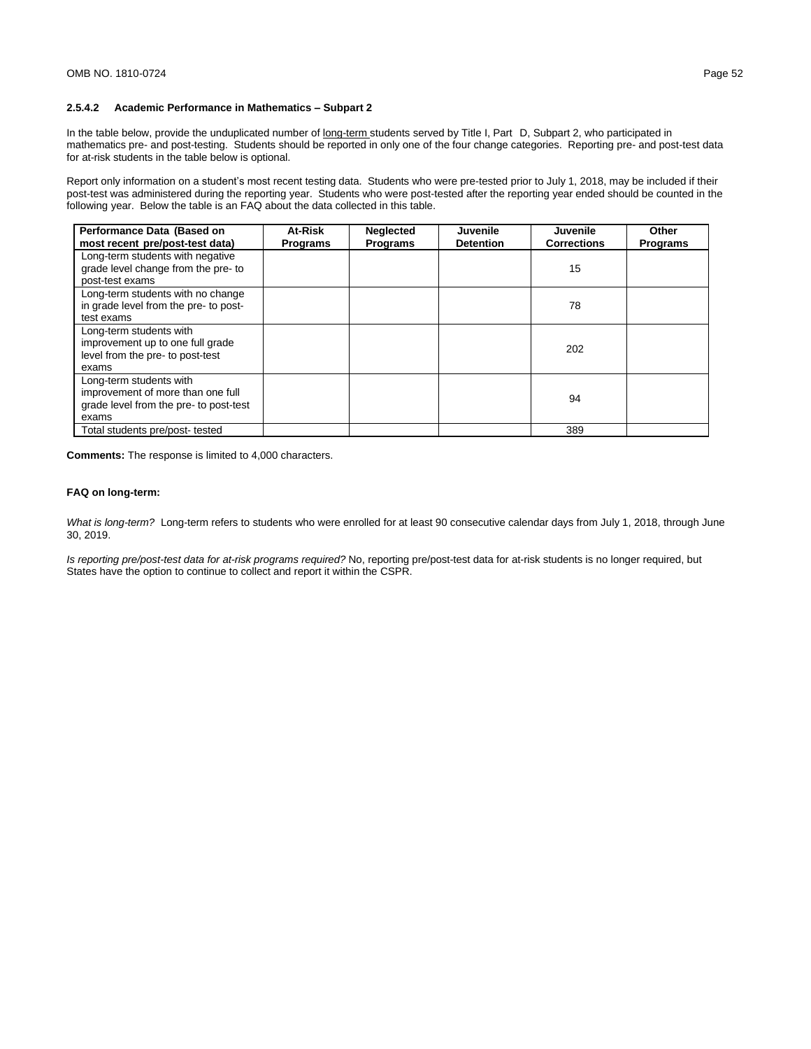# **2.5.4.2 Academic Performance in Mathematics – Subpart 2**

In the table below, provide the unduplicated number of long-term students served by Title I, Part D, Subpart 2, who participated in mathematics pre- and post-testing. Students should be reported in only one of the four change categories. Reporting pre- and post-test data for at-risk students in the table below is optional.

Report only information on a student's most recent testing data. Students who were pre-tested prior to July 1, 2018, may be included if their post-test was administered during the reporting year. Students who were post-tested after the reporting year ended should be counted in the following year. Below the table is an FAQ about the data collected in this table.

| Performance Data (Based on<br>most recent pre/post-test data)                                                   | At-Risk<br><b>Programs</b> | <b>Neglected</b><br><b>Programs</b> | <b>Juvenile</b><br><b>Detention</b> | Juvenile<br><b>Corrections</b> | Other<br><b>Programs</b> |
|-----------------------------------------------------------------------------------------------------------------|----------------------------|-------------------------------------|-------------------------------------|--------------------------------|--------------------------|
| Long-term students with negative<br>grade level change from the pre- to<br>post-test exams                      |                            |                                     |                                     | 15                             |                          |
| Long-term students with no change<br>in grade level from the pre- to post-<br>test exams                        |                            |                                     |                                     | 78                             |                          |
| Long-term students with<br>improvement up to one full grade<br>level from the pre- to post-test<br>exams        |                            |                                     |                                     | 202                            |                          |
| Long-term students with<br>improvement of more than one full<br>grade level from the pre- to post-test<br>exams |                            |                                     |                                     | 94                             |                          |
| Total students pre/post- tested                                                                                 |                            |                                     |                                     | 389                            |                          |

**Comments:** The response is limited to 4,000 characters.

#### **FAQ on long-term:**

*What is long-term?* Long-term refers to students who were enrolled for at least 90 consecutive calendar days from July 1, 2018, through June 30, 2019.

*Is reporting pre/post-test data for at-risk programs required?* No, reporting pre/post-test data for at-risk students is no longer required, but States have the option to continue to collect and report it within the CSPR.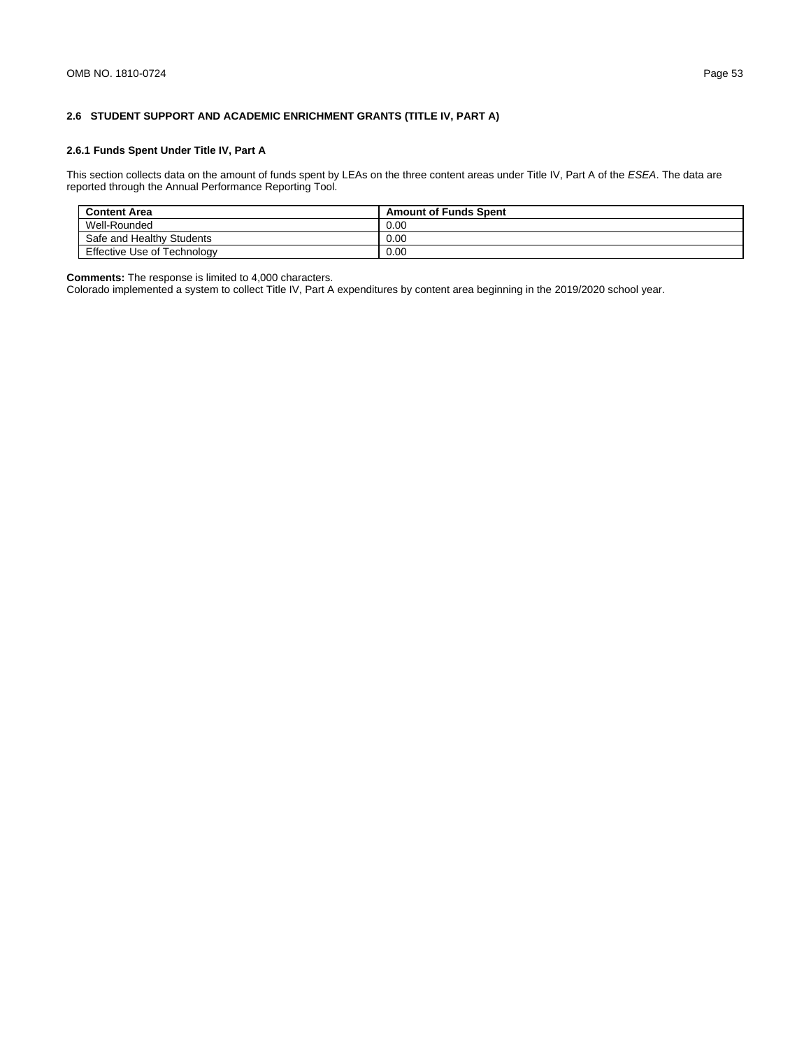# **2.6 STUDENT SUPPORT AND ACADEMIC ENRICHMENT GRANTS (TITLE IV, PART A)**

# **2.6.1 Funds Spent Under Title IV, Part A**

This section collects data on the amount of funds spent by LEAs on the three content areas under Title IV, Part A of the *ESEA*. The data are reported through the Annual Performance Reporting Tool.

| <b>Content Area</b>         | <b>Amount of Funds Spent</b> |
|-----------------------------|------------------------------|
| Well-Rounded                | 0.00                         |
| Safe and Healthy Students   | 0.00                         |
| Effective Use of Technology | 0.00                         |

**Comments:** The response is limited to 4,000 characters.

Colorado implemented a system to collect Title IV, Part A expenditures by content area beginning in the 2019/2020 school year.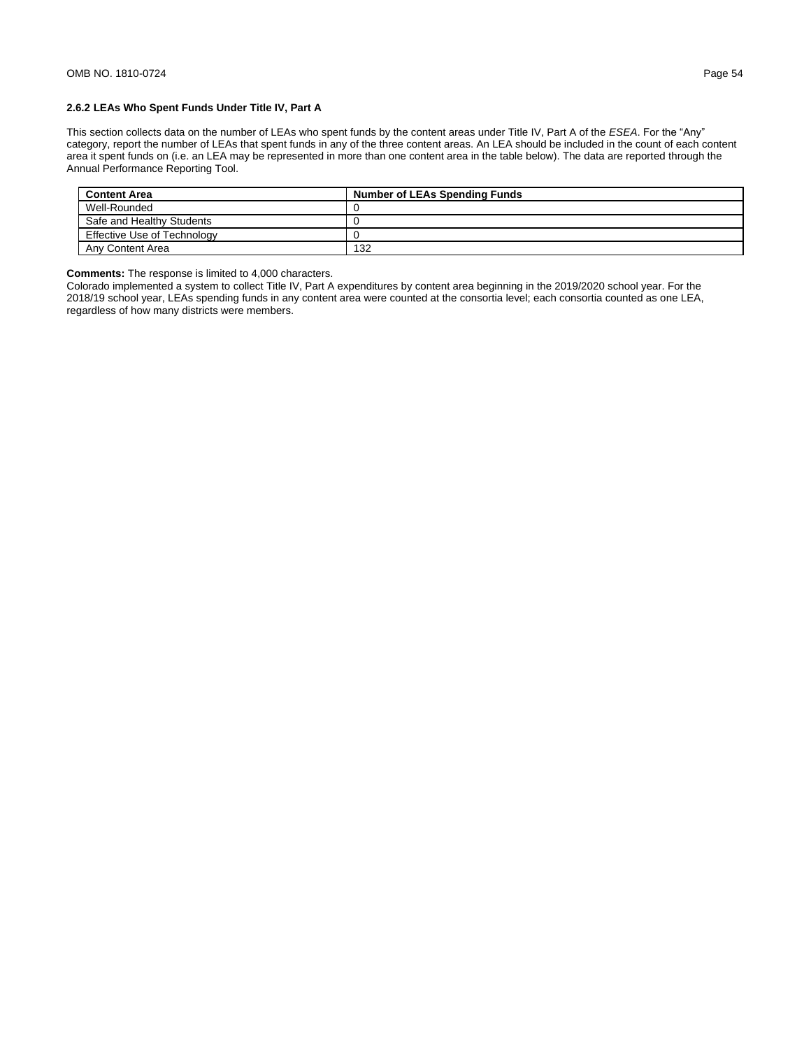This section collects data on the number of LEAs who spent funds by the content areas under Title IV, Part A of the *ESEA*. For the "Any" category, report the number of LEAs that spent funds in any of the three content areas. An LEA should be included in the count of each content area it spent funds on (i.e. an LEA may be represented in more than one content area in the table below). The data are reported through the Annual Performance Reporting Tool.

| <b>Content Area</b>         | <b>Number of LEAs Spending Funds</b> |
|-----------------------------|--------------------------------------|
| Well-Rounded                |                                      |
| Safe and Healthy Students   |                                      |
| Effective Use of Technology |                                      |
| Any Content Area            | 132                                  |

**Comments:** The response is limited to 4,000 characters.

Colorado implemented a system to collect Title IV, Part A expenditures by content area beginning in the 2019/2020 school year. For the 2018/19 school year, LEAs spending funds in any content area were counted at the consortia level; each consortia counted as one LEA, regardless of how many districts were members.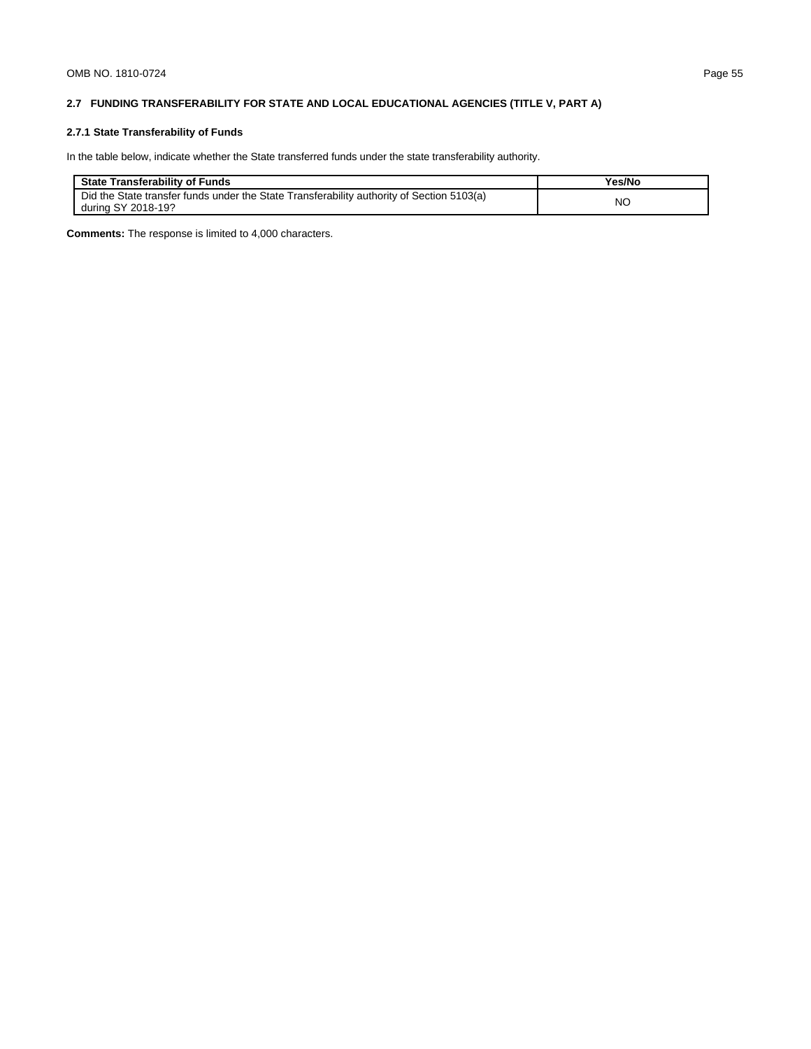# **2.7 FUNDING TRANSFERABILITY FOR STATE AND LOCAL EDUCATIONAL AGENCIES (TITLE V, PART A)**

# **2.7.1 State Transferability of Funds**

In the table below, indicate whether the State transferred funds under the state transferability authority.

| <b>State Transferability of Funds</b>                                                                           | <sup>v</sup> es/No |
|-----------------------------------------------------------------------------------------------------------------|--------------------|
| Did the State transfer funds under the State Transferability authority of Section 5103(a)<br>during SY 2018-19? | <b>NC</b>          |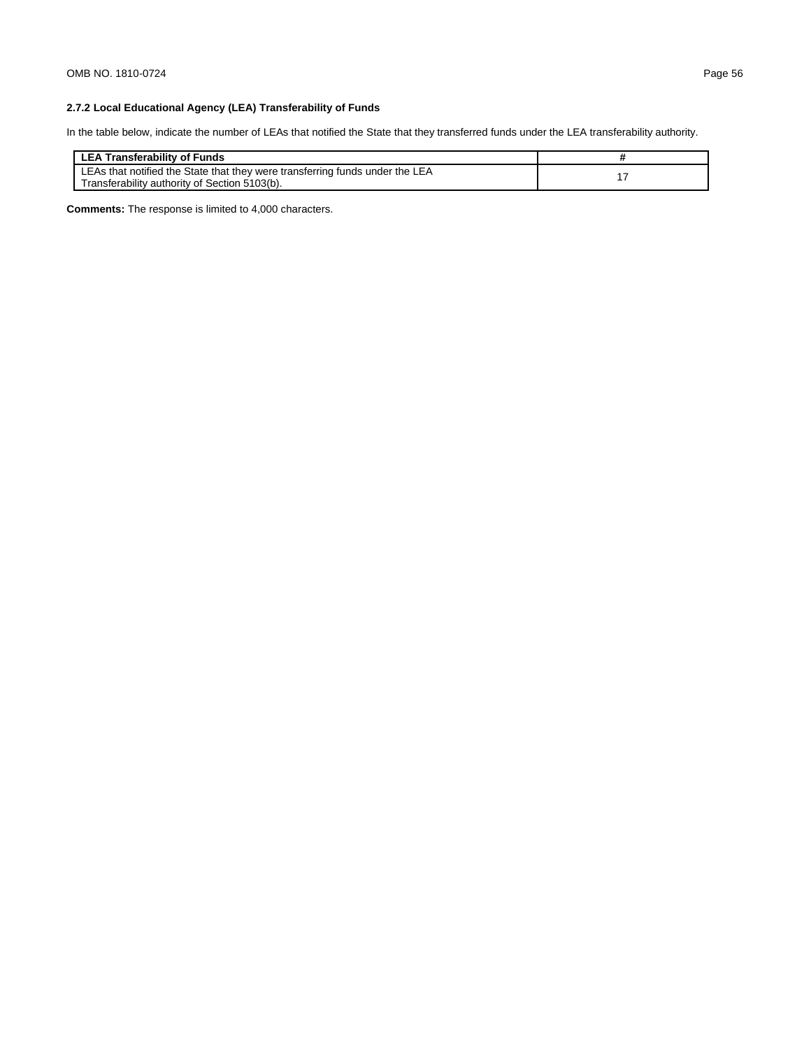# **2.7.2 Local Educational Agency (LEA) Transferability of Funds**

In the table below, indicate the number of LEAs that notified the State that they transferred funds under the LEA transferability authority.

| LEA Transferability of Funds                                                                                                  |  |
|-------------------------------------------------------------------------------------------------------------------------------|--|
| LEAs that notified the State that they were transferring funds under the LEA<br>Transferability authority of Section 5103(b). |  |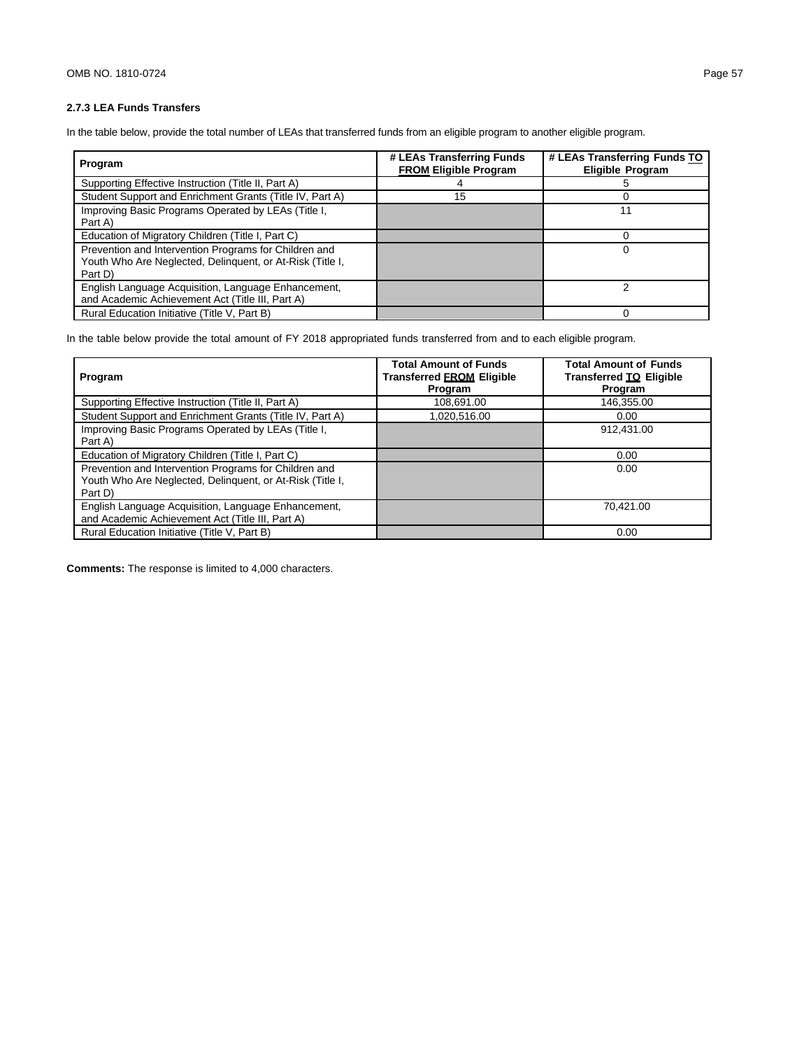# **2.7.3 LEA Funds Transfers**

In the table below, provide the total number of LEAs that transferred funds from an eligible program to another eligible program.

| Program                                                                                                                       | # LEAs Transferring Funds<br><b>FROM Eligible Program</b> | # LEAs Transferring Funds TO<br><b>Eligible Program</b> |
|-------------------------------------------------------------------------------------------------------------------------------|-----------------------------------------------------------|---------------------------------------------------------|
| Supporting Effective Instruction (Title II, Part A)                                                                           |                                                           |                                                         |
| Student Support and Enrichment Grants (Title IV, Part A)                                                                      | 15                                                        |                                                         |
| Improving Basic Programs Operated by LEAs (Title I,<br>Part A)                                                                |                                                           |                                                         |
| Education of Migratory Children (Title I, Part C)                                                                             |                                                           |                                                         |
| Prevention and Intervention Programs for Children and<br>Youth Who Are Neglected, Delinguent, or At-Risk (Title I,<br>Part D) |                                                           |                                                         |
| English Language Acquisition, Language Enhancement,<br>and Academic Achievement Act (Title III, Part A)                       |                                                           |                                                         |
| Rural Education Initiative (Title V, Part B)                                                                                  |                                                           |                                                         |

In the table below provide the total amount of FY 2018 appropriated funds transferred from and to each eligible program.

| Program                                                                                                                       | <b>Total Amount of Funds</b><br><b>Transferred FROM Eligible</b><br>Program | <b>Total Amount of Funds</b><br>Transferred TO Eligible<br>Program |
|-------------------------------------------------------------------------------------------------------------------------------|-----------------------------------------------------------------------------|--------------------------------------------------------------------|
| Supporting Effective Instruction (Title II, Part A)                                                                           | 108.691.00                                                                  | 146.355.00                                                         |
| Student Support and Enrichment Grants (Title IV, Part A)                                                                      | 1,020,516.00                                                                | 0.00                                                               |
| Improving Basic Programs Operated by LEAs (Title I,<br>Part A)                                                                |                                                                             | 912.431.00                                                         |
| Education of Migratory Children (Title I, Part C)                                                                             |                                                                             | 0.00                                                               |
| Prevention and Intervention Programs for Children and<br>Youth Who Are Neglected, Delinguent, or At-Risk (Title I,<br>Part D) |                                                                             | 0.00                                                               |
| English Language Acquisition, Language Enhancement,<br>and Academic Achievement Act (Title III, Part A)                       |                                                                             | 70.421.00                                                          |
| Rural Education Initiative (Title V, Part B)                                                                                  |                                                                             | 0.00                                                               |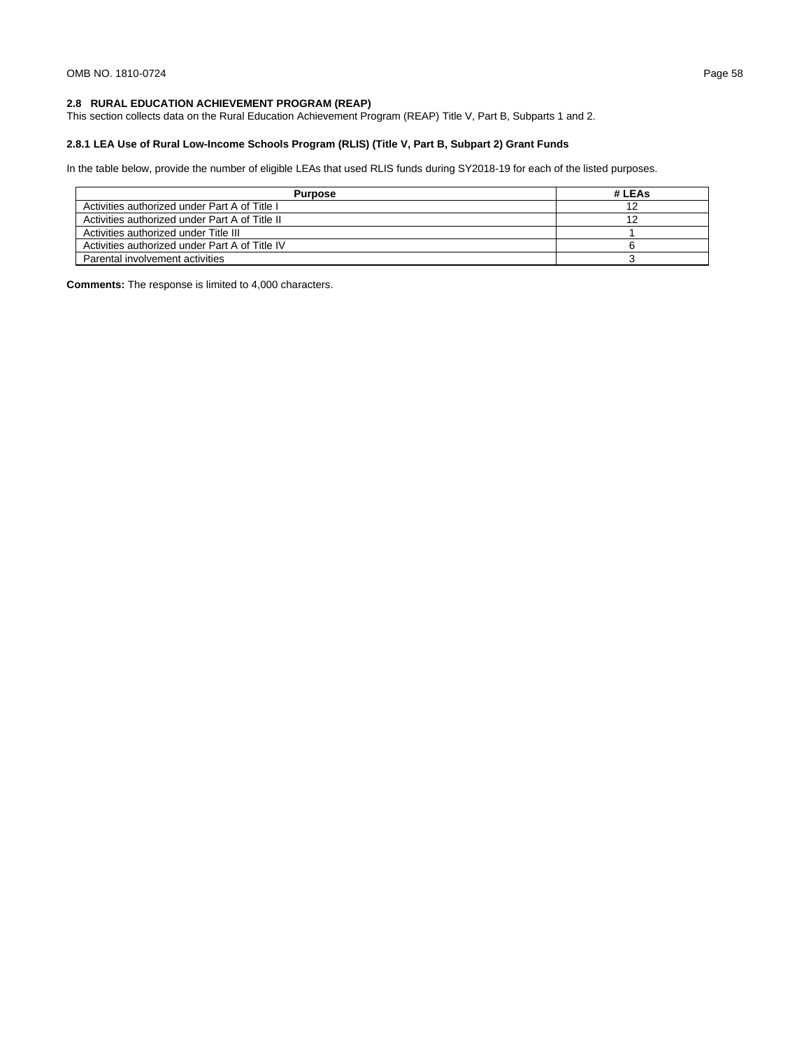# **2.8 RURAL EDUCATION ACHIEVEMENT PROGRAM (REAP)**

This section collects data on the Rural Education Achievement Program (REAP) Title V, Part B, Subparts 1 and 2.

# **2.8.1 LEA Use of Rural Low-Income Schools Program (RLIS) (Title V, Part B, Subpart 2) Grant Funds**

In the table below, provide the number of eligible LEAs that used RLIS funds during SY2018-19 for each of the listed purposes.

| <b>Purpose</b>                                 | # LEAs |
|------------------------------------------------|--------|
| Activities authorized under Part A of Title I  |        |
| Activities authorized under Part A of Title II |        |
| Activities authorized under Title III          |        |
| Activities authorized under Part A of Title IV |        |
| Parental involvement activities                |        |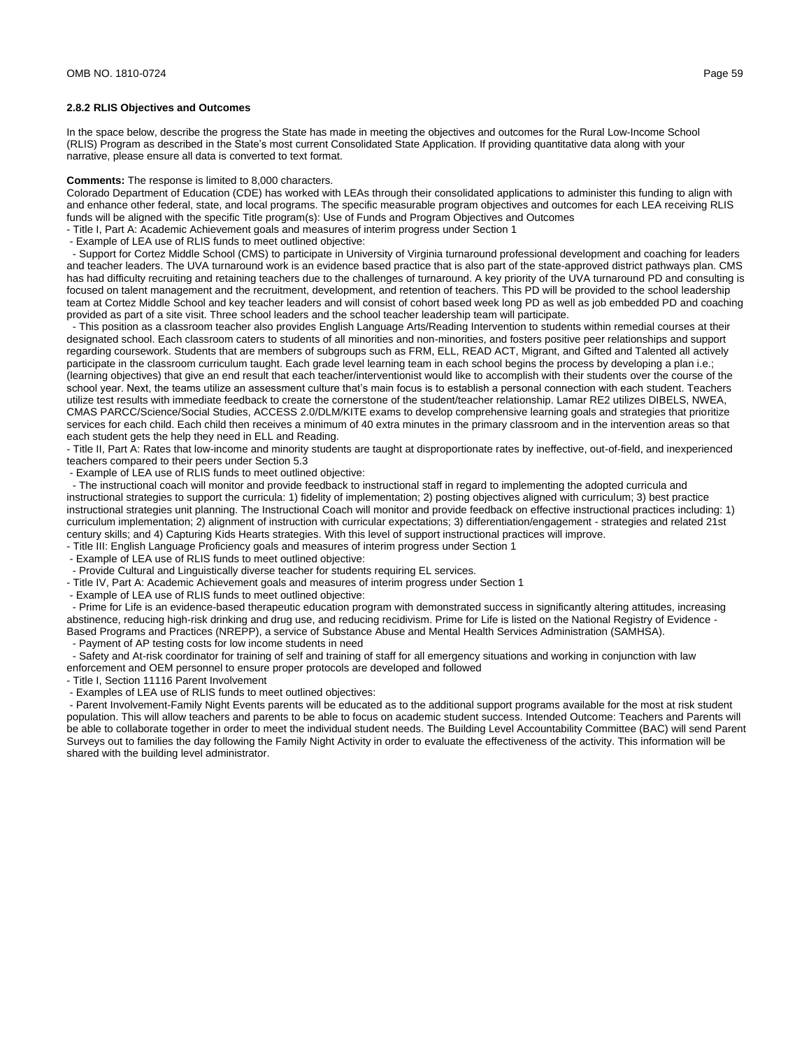#### **2.8.2 RLIS Objectives and Outcomes**

In the space below, describe the progress the State has made in meeting the objectives and outcomes for the Rural Low-Income School (RLIS) Program as described in the State's most current Consolidated State Application. If providing quantitative data along with your narrative, please ensure all data is converted to text format.

#### **Comments:** The response is limited to 8,000 characters.

Colorado Department of Education (CDE) has worked with LEAs through their consolidated applications to administer this funding to align with and enhance other federal, state, and local programs. The specific measurable program objectives and outcomes for each LEA receiving RLIS funds will be aligned with the specific Title program(s): Use of Funds and Program Objectives and Outcomes

- Title I, Part A: Academic Achievement goals and measures of interim progress under Section 1

- Example of LEA use of RLIS funds to meet outlined objective:

 - Support for Cortez Middle School (CMS) to participate in University of Virginia turnaround professional development and coaching for leaders and teacher leaders. The UVA turnaround work is an evidence based practice that is also part of the state-approved district pathways plan. CMS has had difficulty recruiting and retaining teachers due to the challenges of turnaround. A key priority of the UVA turnaround PD and consulting is focused on talent management and the recruitment, development, and retention of teachers. This PD will be provided to the school leadership team at Cortez Middle School and key teacher leaders and will consist of cohort based week long PD as well as job embedded PD and coaching provided as part of a site visit. Three school leaders and the school teacher leadership team will participate.

 - This position as a classroom teacher also provides English Language Arts/Reading Intervention to students within remedial courses at their designated school. Each classroom caters to students of all minorities and non-minorities, and fosters positive peer relationships and support regarding coursework. Students that are members of subgroups such as FRM, ELL, READ ACT, Migrant, and Gifted and Talented all actively participate in the classroom curriculum taught. Each grade level learning team in each school begins the process by developing a plan i.e.; (learning objectives) that give an end result that each teacher/interventionist would like to accomplish with their students over the course of the school year. Next, the teams utilize an assessment culture that's main focus is to establish a personal connection with each student. Teachers utilize test results with immediate feedback to create the cornerstone of the student/teacher relationship. Lamar RE2 utilizes DIBELS, NWEA, CMAS PARCC/Science/Social Studies, ACCESS 2.0/DLM/KITE exams to develop comprehensive learning goals and strategies that prioritize services for each child. Each child then receives a minimum of 40 extra minutes in the primary classroom and in the intervention areas so that each student gets the help they need in ELL and Reading.

- Title II, Part A: Rates that low-income and minority students are taught at disproportionate rates by ineffective, out-of-field, and inexperienced teachers compared to their peers under Section 5.3

- Example of LEA use of RLIS funds to meet outlined objective:

 - The instructional coach will monitor and provide feedback to instructional staff in regard to implementing the adopted curricula and instructional strategies to support the curricula: 1) fidelity of implementation; 2) posting objectives aligned with curriculum; 3) best practice instructional strategies unit planning. The Instructional Coach will monitor and provide feedback on effective instructional practices including: 1) curriculum implementation; 2) alignment of instruction with curricular expectations; 3) differentiation/engagement - strategies and related 21st century skills; and 4) Capturing Kids Hearts strategies. With this level of support instructional practices will improve.

- Title III: English Language Proficiency goals and measures of interim progress under Section 1

- Example of LEA use of RLIS funds to meet outlined objective:

- Provide Cultural and Linguistically diverse teacher for students requiring EL services.

- Title IV, Part A: Academic Achievement goals and measures of interim progress under Section 1

- Example of LEA use of RLIS funds to meet outlined objective:

 - Prime for Life is an evidence-based therapeutic education program with demonstrated success in significantly altering attitudes, increasing abstinence, reducing high-risk drinking and drug use, and reducing recidivism. Prime for Life is listed on the National Registry of Evidence - Based Programs and Practices (NREPP), a service of Substance Abuse and Mental Health Services Administration (SAMHSA).

- Payment of AP testing costs for low income students in need

 - Safety and At-risk coordinator for training of self and training of staff for all emergency situations and working in conjunction with law enforcement and OEM personnel to ensure proper protocols are developed and followed

- Title I, Section 11116 Parent Involvement

- Examples of LEA use of RLIS funds to meet outlined objectives:

- Parent Involvement-Family Night Events parents will be educated as to the additional support programs available for the most at risk student population. This will allow teachers and parents to be able to focus on academic student success. Intended Outcome: Teachers and Parents will be able to collaborate together in order to meet the individual student needs. The Building Level Accountability Committee (BAC) will send Parent Surveys out to families the day following the Family Night Activity in order to evaluate the effectiveness of the activity. This information will be shared with the building level administrator.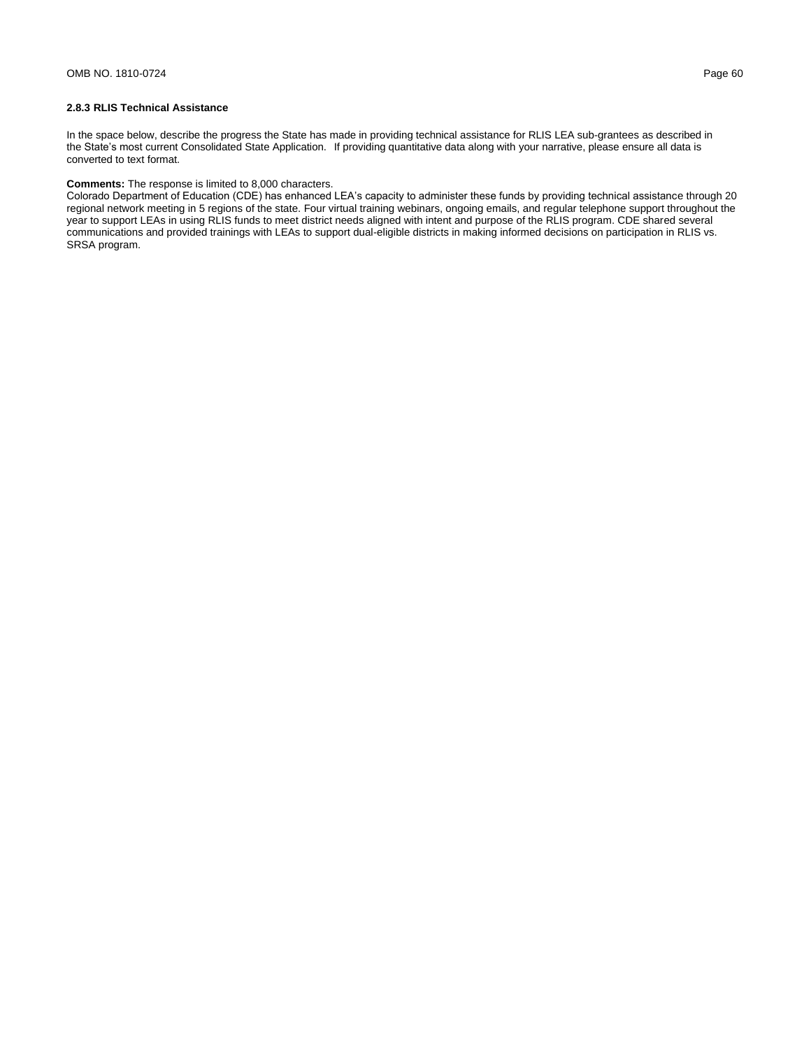## **2.8.3 RLIS Technical Assistance**

In the space below, describe the progress the State has made in providing technical assistance for RLIS LEA sub-grantees as described in the State's most current Consolidated State Application. If providing quantitative data along with your narrative, please ensure all data is converted to text format.

### **Comments:** The response is limited to 8,000 characters.

Colorado Department of Education (CDE) has enhanced LEA's capacity to administer these funds by providing technical assistance through 20 regional network meeting in 5 regions of the state. Four virtual training webinars, ongoing emails, and regular telephone support throughout the year to support LEAs in using RLIS funds to meet district needs aligned with intent and purpose of the RLIS program. CDE shared several communications and provided trainings with LEAs to support dual-eligible districts in making informed decisions on participation in RLIS vs. SRSA program.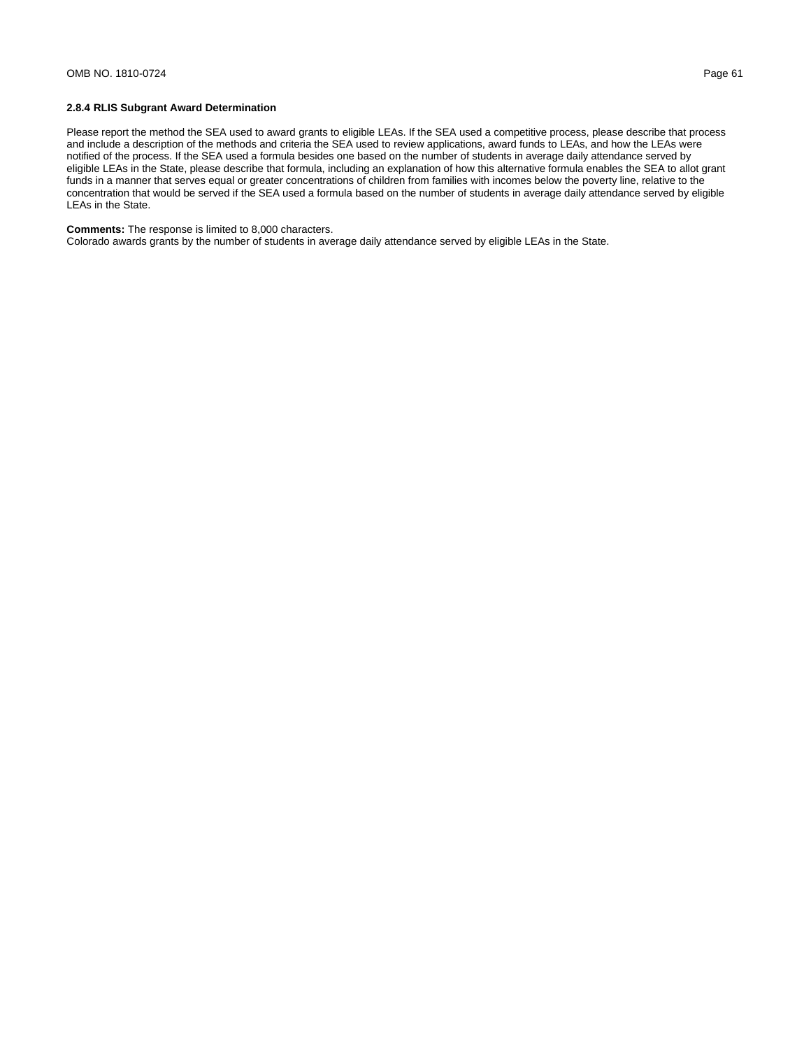### **2.8.4 RLIS Subgrant Award Determination**

Please report the method the SEA used to award grants to eligible LEAs. If the SEA used a competitive process, please describe that process and include a description of the methods and criteria the SEA used to review applications, award funds to LEAs, and how the LEAs were notified of the process. If the SEA used a formula besides one based on the number of students in average daily attendance served by eligible LEAs in the State, please describe that formula, including an explanation of how this alternative formula enables the SEA to allot grant funds in a manner that serves equal or greater concentrations of children from families with incomes below the poverty line, relative to the concentration that would be served if the SEA used a formula based on the number of students in average daily attendance served by eligible LEAs in the State.

**Comments:** The response is limited to 8,000 characters.

Colorado awards grants by the number of students in average daily attendance served by eligible LEAs in the State.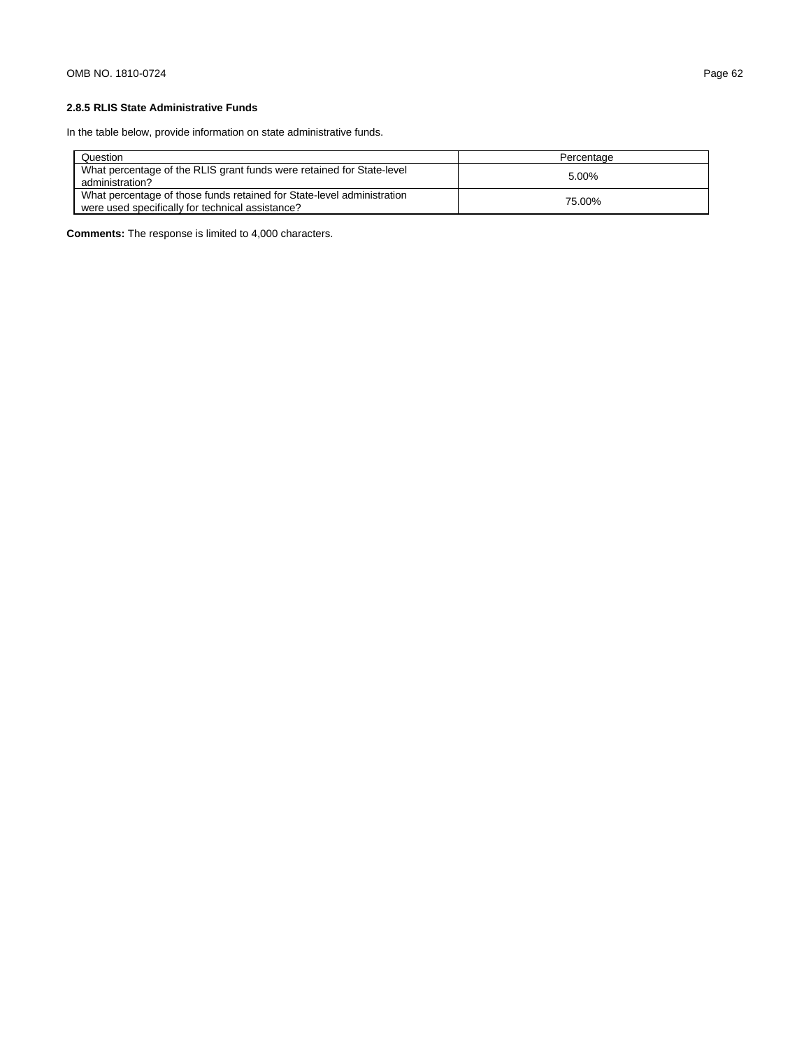# **2.8.5 RLIS State Administrative Funds**

In the table below, provide information on state administrative funds.

| Question                                                                                                                   | Percentage |
|----------------------------------------------------------------------------------------------------------------------------|------------|
| What percentage of the RLIS grant funds were retained for State-level<br>administration?                                   | 5.00%      |
| What percentage of those funds retained for State-level administration<br>were used specifically for technical assistance? | 75.00%     |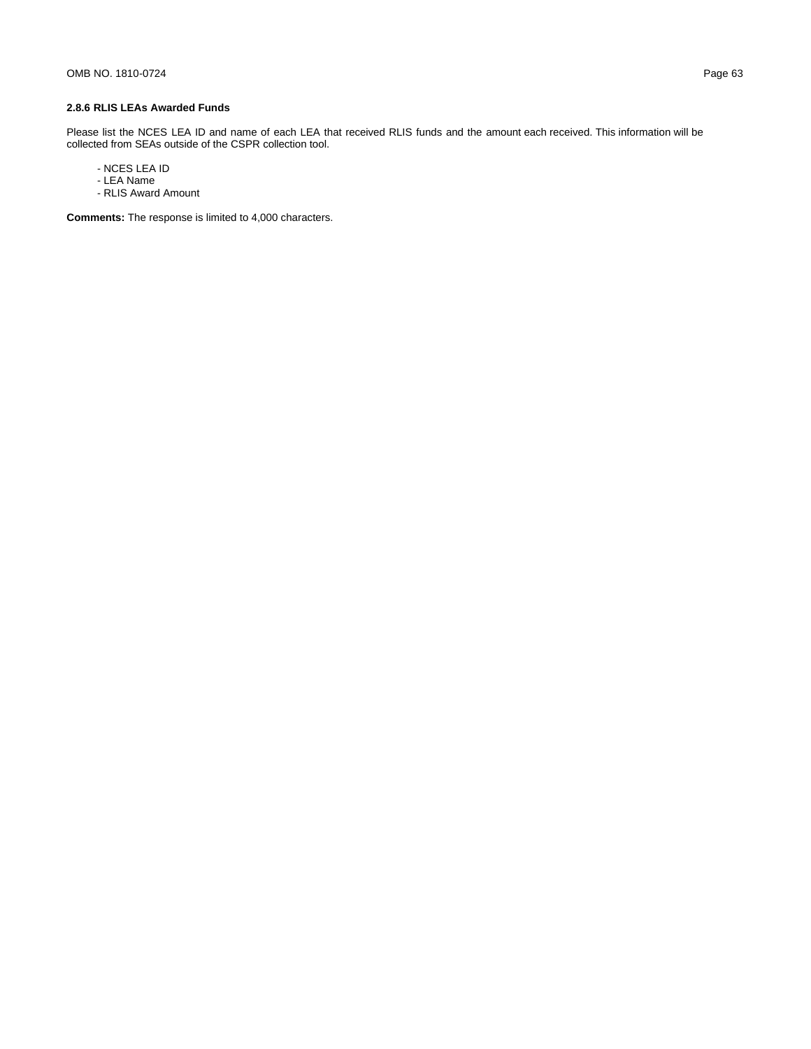Please list the NCES LEA ID and name of each LEA that received RLIS funds and the amount each received. This information will be collected from SEAs outside of the CSPR collection tool.

- NCES LEA ID
- LEA Name
- RLIS Award Amount